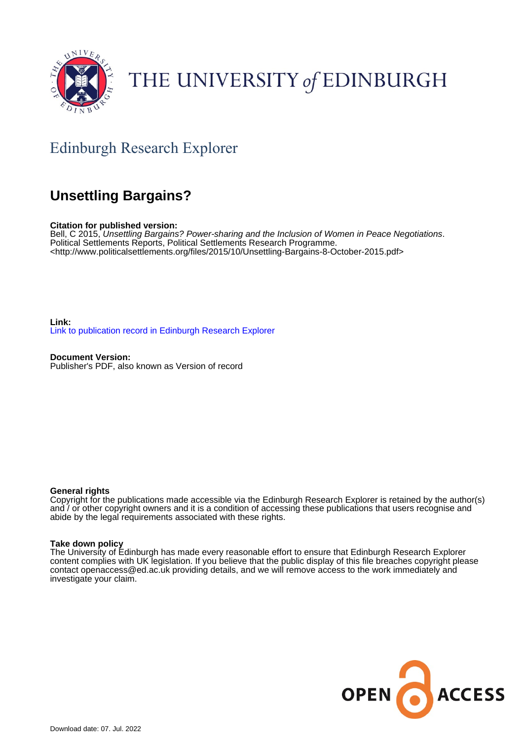

# THE UNIVERSITY of EDINBURGH

## Edinburgh Research Explorer

### **Unsettling Bargains?**

**Citation for published version:**

Bell, C 2015, Unsettling Bargains? Power-sharing and the Inclusion of Women in Peace Negotiations. Political Settlements Reports, Political Settlements Research Programme. <[http://www.politicalsettlements.org/files/2015/10/Unsettling-Bargains-8-October-2015.pdf>](http://www.politicalsettlements.org/files/2015/10/Unsettling-Bargains-8-October-2015.pdf)

**Link:** [Link to publication record in Edinburgh Research Explorer](https://www.research.ed.ac.uk/en/publications/29d4aef8-bbd6-421b-831d-4ede32d3a8eb)

**Document Version:** Publisher's PDF, also known as Version of record

#### **General rights**

Copyright for the publications made accessible via the Edinburgh Research Explorer is retained by the author(s) and / or other copyright owners and it is a condition of accessing these publications that users recognise and abide by the legal requirements associated with these rights.

#### **Take down policy**

The University of Edinburgh has made every reasonable effort to ensure that Edinburgh Research Explorer content complies with UK legislation. If you believe that the public display of this file breaches copyright please contact openaccess@ed.ac.uk providing details, and we will remove access to the work immediately and investigate your claim.

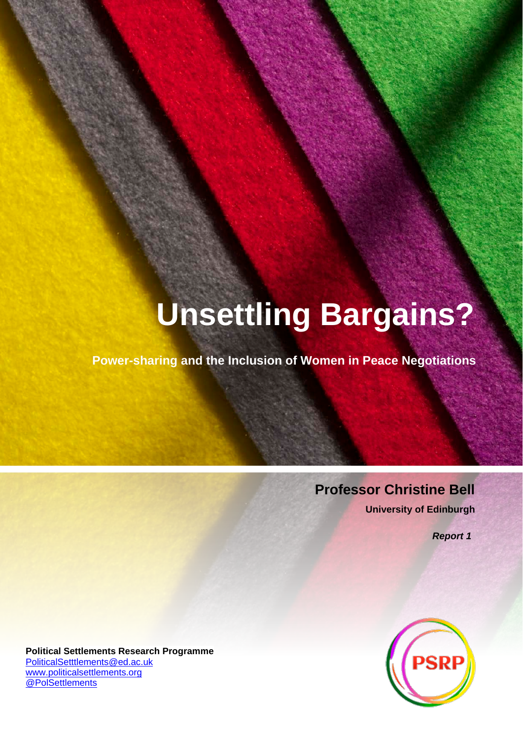# **Unsettling Bargains?**

**Power-sharing and the Inclusion of Women in Peace Negotiations**

## **Professor Christine Bell**

**University of Edinburgh**

*Report 1*



**Political Settlements Research Programme** [PoliticalSetttlements@ed.ac.uk](mailto:PoliticalSetttlements@ed.ac.uk) [www.politicalsettlements.org](http://www.politicalsettlements.org/) [@PolSettlements](https://twitter.com/polsettlements)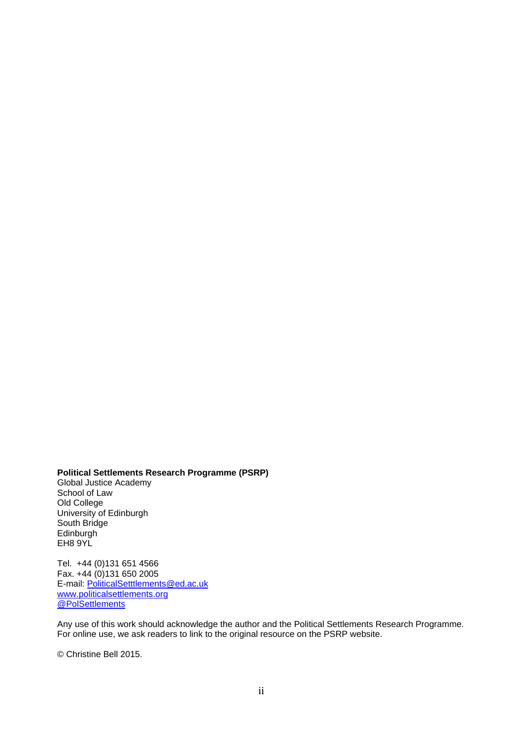**Political Settlements Research Programme (PSRP)** Global Justice Academy

School of Law Old College University of Edinburgh South Bridge Edinburgh EH8 9YL

Tel. +44 (0)131 651 4566 Fax.  $+44(0)1316502005$ E-mail: [PoliticalSetttlements@ed.ac.uk](mailto:PoliticalSetttlements@ed.ac.uk) [www.politicalsettlements.org](http://www.politicalsettlements.org/) [@PolSettlements](https://twitter.com/polsettlements)

Any use of this work should acknowledge the author and the Political Settlements Research Programme. For online use, we ask readers to link to the original resource on the PSRP website.

© Christine Bell 2015.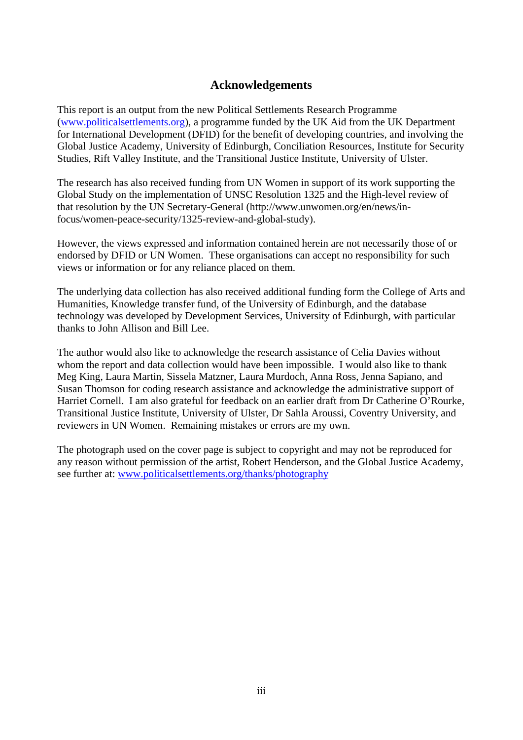#### **Acknowledgements**

This report is an output from the new Political Settlements Research Programme [\(www.politicalsettlements.org\)](http://www.politicalsettlements.org/), a programme funded by the UK Aid from the UK Department for International Development (DFID) for the benefit of developing countries, and involving the Global Justice Academy, University of Edinburgh, Conciliation Resources, Institute for Security Studies, Rift Valley Institute, and the Transitional Justice Institute, University of Ulster.

The research has also received funding from UN Women in support of its work supporting the Global Study on the implementation of UNSC Resolution 1325 and the High-level review of that resolution by the UN Secretary-General (http://www.unwomen.org/en/news/infocus/women-peace-security/1325-review-and-global-study).

However, the views expressed and information contained herein are not necessarily those of or endorsed by DFID or UN Women. These organisations can accept no responsibility for such views or information or for any reliance placed on them.

The underlying data collection has also received additional funding form the College of Arts and Humanities, Knowledge transfer fund, of the University of Edinburgh, and the database technology was developed by Development Services, University of Edinburgh, with particular thanks to John Allison and Bill Lee.

The author would also like to acknowledge the research assistance of Celia Davies without whom the report and data collection would have been impossible. I would also like to thank Meg King, Laura Martin, Sissela Matzner, Laura Murdoch, Anna Ross, Jenna Sapiano, and Susan Thomson for coding research assistance and acknowledge the administrative support of Harriet Cornell. I am also grateful for feedback on an earlier draft from Dr Catherine O'Rourke, Transitional Justice Institute, University of Ulster, Dr Sahla Aroussi, Coventry University, and reviewers in UN Women. Remaining mistakes or errors are my own.

The photograph used on the cover page is subject to copyright and may not be reproduced for any reason without permission of the artist, Robert Henderson, and the Global Justice Academy, see further at: [www.politicalsettlements.org/thanks/photography](http://www.politicalsettlements.org/thanks/photography)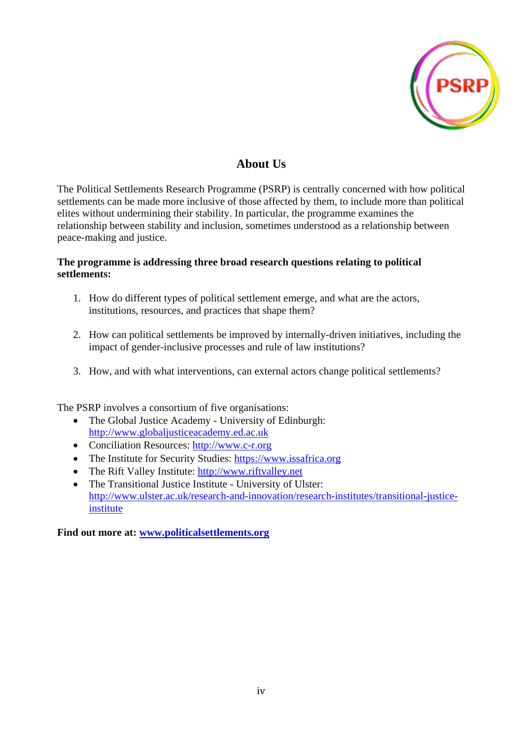

#### **About Us**

The Political Settlements Research Programme (PSRP) is centrally concerned with how political settlements can be made more inclusive of those affected by them, to include more than political elites without undermining their stability. In particular, the programme examines the relationship between stability and inclusion, sometimes understood as a relationship between peace-making and justice.

#### **The programme is addressing three broad research questions relating to political settlements:**

- 1. How do different types of political settlement emerge, and what are the actors, institutions, resources, and practices that shape them?
- 2. How can political settlements be improved by internally-driven initiatives, including the impact of gender-inclusive processes and rule of law institutions?
- 3. How, and with what interventions, can external actors change political settlements?

The PSRP involves a consortium of five organisations:

- The Global Justice Academy University of Edinburgh: [http://www.globaljusticeacademy.ed.ac.uk](http://www.globaljusticeacademy.ed.ac.uk/)
- Conciliation Resources: [http://www.c-r.org](http://www.c-r.org/)
- The Institute for Security Studies: [https://www.issafrica.org](https://www.issafrica.org/)
- The Rift Valley Institute: [http://www.riftvalley.net](http://www.riftvalley.net/)
- The Transitional Justice Institute University of Ulster: [http://www.ulster.ac.uk/research-and-innovation/research-institutes/transitional-justice](http://www.ulster.ac.uk/research-and-innovation/research-institutes/transitional-justice-institute)[institute](http://www.ulster.ac.uk/research-and-innovation/research-institutes/transitional-justice-institute)

**Find out more at: [www.politicalsettlements.org](http://www.politicalsettlements.org/)**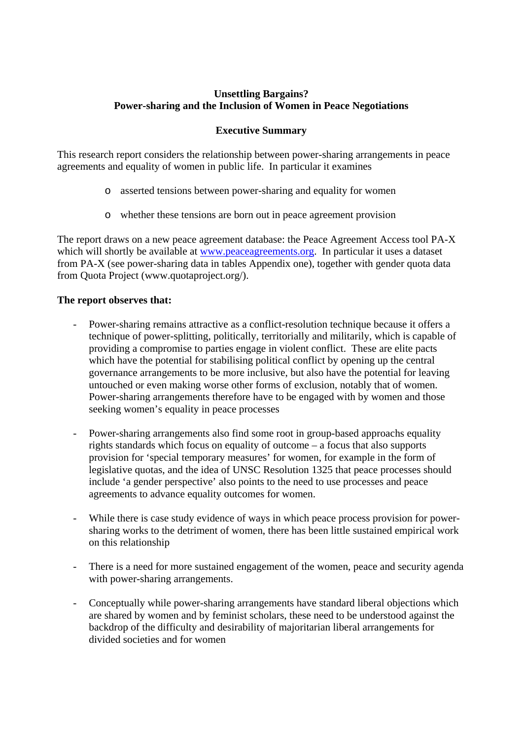#### **Unsettling Bargains? Power-sharing and the Inclusion of Women in Peace Negotiations**

#### **Executive Summary**

This research report considers the relationship between power-sharing arrangements in peace agreements and equality of women in public life. In particular it examines

- o asserted tensions between power-sharing and equality for women
- o whether these tensions are born out in peace agreement provision

The report draws on a new peace agreement database: the Peace Agreement Access tool PA-X which will shortly be available at [www.peaceagreements.org.](http://www.peaceagreements.org/) In particular it uses a dataset from PA-X (see power-sharing data in tables Appendix one), together with gender quota data from Quota Project (www.quotaproject.org/).

#### **The report observes that:**

- Power-sharing remains attractive as a conflict-resolution technique because it offers a technique of power-splitting, politically, territorially and militarily, which is capable of providing a compromise to parties engage in violent conflict. These are elite pacts which have the potential for stabilising political conflict by opening up the central governance arrangements to be more inclusive, but also have the potential for leaving untouched or even making worse other forms of exclusion, notably that of women. Power-sharing arrangements therefore have to be engaged with by women and those seeking women's equality in peace processes
- Power-sharing arrangements also find some root in group-based approachs equality rights standards which focus on equality of outcome – a focus that also supports provision for 'special temporary measures' for women, for example in the form of legislative quotas, and the idea of UNSC Resolution 1325 that peace processes should include 'a gender perspective' also points to the need to use processes and peace agreements to advance equality outcomes for women.
- While there is case study evidence of ways in which peace process provision for powersharing works to the detriment of women, there has been little sustained empirical work on this relationship
- There is a need for more sustained engagement of the women, peace and security agenda with power-sharing arrangements.
- Conceptually while power-sharing arrangements have standard liberal objections which are shared by women and by feminist scholars, these need to be understood against the backdrop of the difficulty and desirability of majoritarian liberal arrangements for divided societies and for women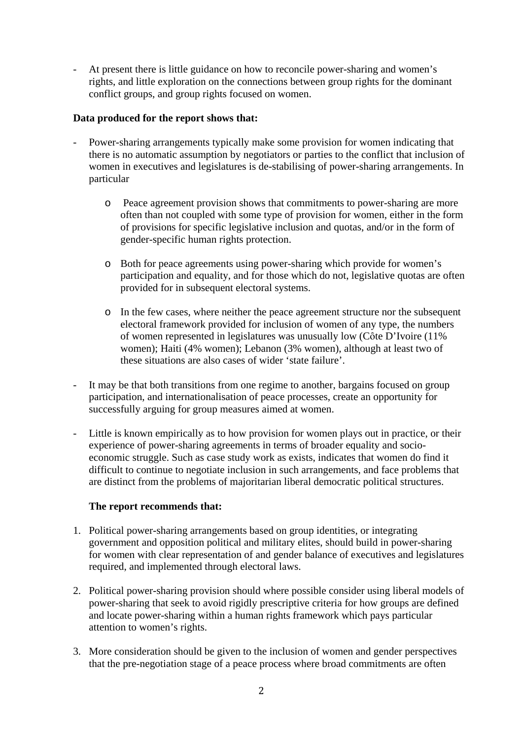At present there is little guidance on how to reconcile power-sharing and women's rights, and little exploration on the connections between group rights for the dominant conflict groups, and group rights focused on women.

#### **Data produced for the report shows that:**

- Power-sharing arrangements typically make some provision for women indicating that there is no automatic assumption by negotiators or parties to the conflict that inclusion of women in executives and legislatures is de-stabilising of power-sharing arrangements. In particular
	- o Peace agreement provision shows that commitments to power-sharing are more often than not coupled with some type of provision for women, either in the form of provisions for specific legislative inclusion and quotas, and/or in the form of gender-specific human rights protection.
	- o Both for peace agreements using power-sharing which provide for women's participation and equality, and for those which do not, legislative quotas are often provided for in subsequent electoral systems.
	- o In the few cases, where neither the peace agreement structure nor the subsequent electoral framework provided for inclusion of women of any type, the numbers of women represented in legislatures was unusually low (Côte D'Ivoire (11%) women); Haiti (4% women); Lebanon (3% women), although at least two of these situations are also cases of wider 'state failure'.
- It may be that both transitions from one regime to another, bargains focused on group participation, and internationalisation of peace processes, create an opportunity for successfully arguing for group measures aimed at women.
- Little is known empirically as to how provision for women plays out in practice, or their experience of power-sharing agreements in terms of broader equality and socioeconomic struggle. Such as case study work as exists, indicates that women do find it difficult to continue to negotiate inclusion in such arrangements, and face problems that are distinct from the problems of majoritarian liberal democratic political structures.

#### **The report recommends that:**

- 1. Political power-sharing arrangements based on group identities, or integrating government and opposition political and military elites, should build in power-sharing for women with clear representation of and gender balance of executives and legislatures required, and implemented through electoral laws.
- 2. Political power-sharing provision should where possible consider using liberal models of power-sharing that seek to avoid rigidly prescriptive criteria for how groups are defined and locate power-sharing within a human rights framework which pays particular attention to women's rights.
- 3. More consideration should be given to the inclusion of women and gender perspectives that the pre-negotiation stage of a peace process where broad commitments are often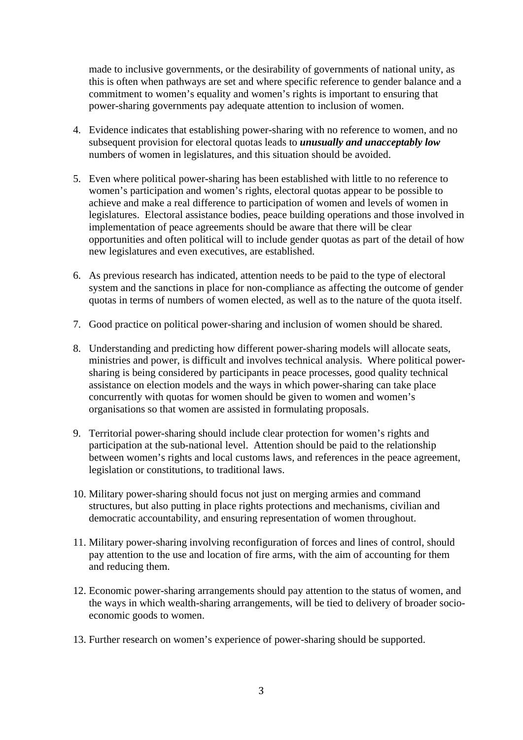made to inclusive governments, or the desirability of governments of national unity, as this is often when pathways are set and where specific reference to gender balance and a commitment to women's equality and women's rights is important to ensuring that power-sharing governments pay adequate attention to inclusion of women.

- 4. Evidence indicates that establishing power-sharing with no reference to women, and no subsequent provision for electoral quotas leads to *unusually and unacceptably low*  numbers of women in legislatures, and this situation should be avoided.
- 5. Even where political power-sharing has been established with little to no reference to women's participation and women's rights, electoral quotas appear to be possible to achieve and make a real difference to participation of women and levels of women in legislatures. Electoral assistance bodies, peace building operations and those involved in implementation of peace agreements should be aware that there will be clear opportunities and often political will to include gender quotas as part of the detail of how new legislatures and even executives, are established.
- 6. As previous research has indicated, attention needs to be paid to the type of electoral system and the sanctions in place for non-compliance as affecting the outcome of gender quotas in terms of numbers of women elected, as well as to the nature of the quota itself.
- 7. Good practice on political power-sharing and inclusion of women should be shared.
- 8. Understanding and predicting how different power-sharing models will allocate seats, ministries and power, is difficult and involves technical analysis. Where political powersharing is being considered by participants in peace processes, good quality technical assistance on election models and the ways in which power-sharing can take place concurrently with quotas for women should be given to women and women's organisations so that women are assisted in formulating proposals.
- 9. Territorial power-sharing should include clear protection for women's rights and participation at the sub-national level. Attention should be paid to the relationship between women's rights and local customs laws, and references in the peace agreement, legislation or constitutions, to traditional laws.
- 10. Military power-sharing should focus not just on merging armies and command structures, but also putting in place rights protections and mechanisms, civilian and democratic accountability, and ensuring representation of women throughout.
- 11. Military power-sharing involving reconfiguration of forces and lines of control, should pay attention to the use and location of fire arms, with the aim of accounting for them and reducing them.
- 12. Economic power-sharing arrangements should pay attention to the status of women, and the ways in which wealth-sharing arrangements, will be tied to delivery of broader socioeconomic goods to women.
- 13. Further research on women's experience of power-sharing should be supported.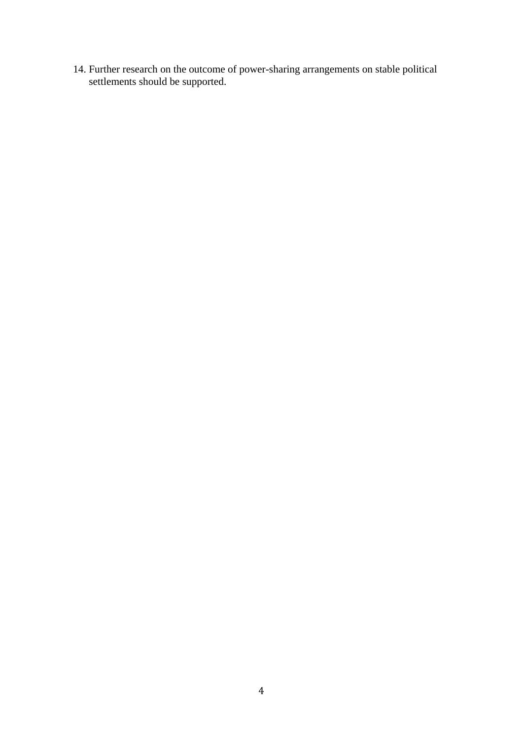14. Further research on the outcome of power-sharing arrangements on stable political settlements should be supported.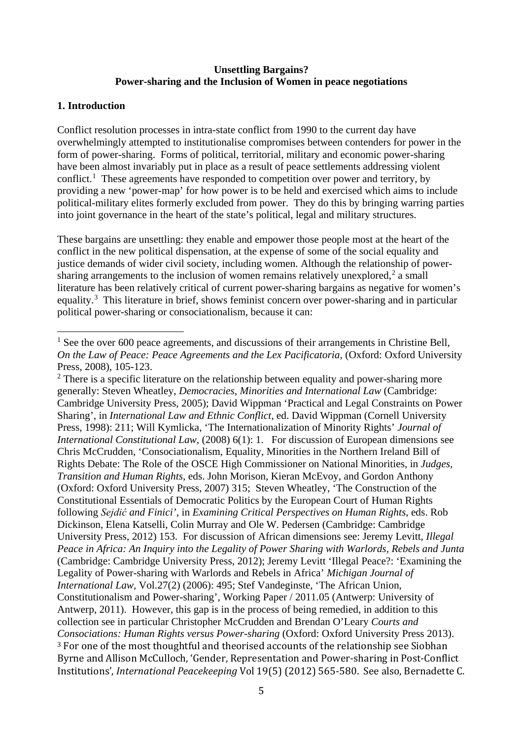#### **Unsettling Bargains? Power-sharing and the Inclusion of Women in peace negotiations**

#### **1. Introduction**

Conflict resolution processes in intra-state conflict from 1990 to the current day have overwhelmingly attempted to institutionalise compromises between contenders for power in the form of power-sharing. Forms of political, territorial, military and economic power-sharing have been almost invariably put in place as a result of peace settlements addressing violent conflict.<sup>[1](#page-9-0)</sup> These agreements have responded to competition over power and territory, by providing a new 'power-map' for how power is to be held and exercised which aims to include political-military elites formerly excluded from power. They do this by bringing warring parties into joint governance in the heart of the state's political, legal and military structures.

These bargains are unsettling: they enable and empower those people most at the heart of the conflict in the new political dispensation, at the expense of some of the social equality and justice demands of wider civil society, including women. Although the relationship of powersharing arrangements to the inclusion of women remains relatively unexplored, $2$  a small literature has been relatively critical of current power-sharing bargains as negative for women's equality.<sup>[3](#page-9-2)</sup> This literature in brief, shows feminist concern over power-sharing and in particular political power-sharing or consociationalism, because it can:

<span id="page-9-0"></span> $1$  See the over 600 peace agreements, and discussions of their arrangements in Christine Bell, *On the Law of Peace: Peace Agreements and the Lex Pacificatoria*, (Oxford: Oxford University Press, 2008), 105-123.

<span id="page-9-2"></span><span id="page-9-1"></span> $2$  There is a specific literature on the relationship between equality and power-sharing more generally: Steven Wheatley, *Democracies, Minorities and International Law* (Cambridge: Cambridge University Press, 2005); David Wippman 'Practical and Legal Constraints on Power Sharing', in *International Law and Ethnic Conflict,* ed. David Wippman (Cornell University Press, 1998): 211; Will Kymlicka, 'The Internationalization of Minority Rights' *Journal of International Constitutional Law,* (2008) 6(1): 1. For discussion of European dimensions see Chris McCrudden, 'Consociationalism, Equality, Minorities in the Northern Ireland Bill of Rights Debate: The Role of the OSCE High Commissioner on National Minorities, in *Judges, Transition and Human Rights*, eds. John Morison, Kieran McEvoy, and Gordon Anthony (Oxford: Oxford University Press, 2007) 315; Steven Wheatley, 'The Construction of the Constitutional Essentials of Democratic Politics by the European Court of Human Rights following *Sejdić and Finici',* in *Examining Critical Perspectives on Human Rights*, eds. Rob Dickinson, Elena Katselli, Colin Murray and Ole W. Pedersen (Cambridge: Cambridge University Press, 2012) 153. For discussion of African dimensions see: Jeremy Levitt, *Illegal Peace in Africa: An Inquiry into the Legality of Power Sharing with Warlords, Rebels and Junta*  (Cambridge: Cambridge University Press, 2012); Jeremy Levitt 'Illegal Peace?: 'Examining the Legality of Power-sharing with Warlords and Rebels in Africa' *Michigan Journal of International Law,* Vol.27(2) (2006): 495; Stef Vandeginste, 'The African Union, Constitutionalism and Power-sharing'*,* Working Paper / 2011.05 (Antwerp: University of Antwerp, 2011). However, this gap is in the process of being remedied, in addition to this collection see in particular Christopher McCrudden and Brendan O'Leary *Courts and Consociations: Human Rights versus Power-sharing* (Oxford: Oxford University Press 2013). <sup>3</sup> For one of the most thoughtful and theorised accounts of the relationship see Siobhan Byrne and Allison McCulloch, 'Gender, Representation and Power-sharing in Post-Conflict Institutions', *International Peacekeeping* Vol 19(5) (2012) 565-580. See also, Bernadette C.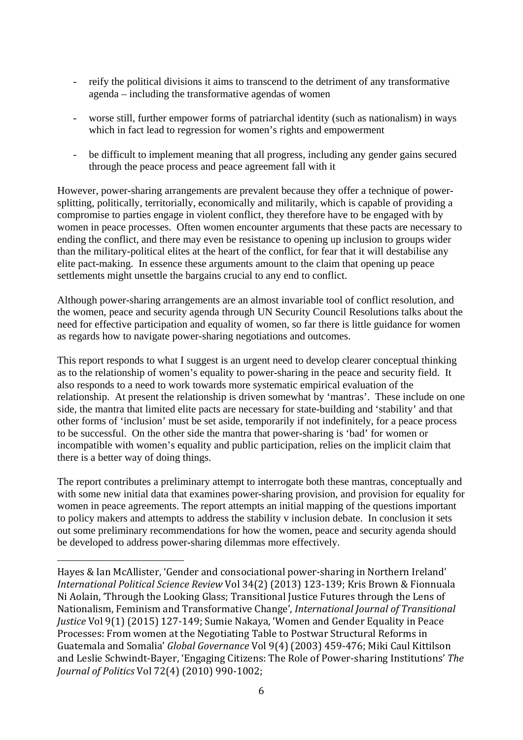- reify the political divisions it aims to transcend to the detriment of any transformative agenda – including the transformative agendas of women
- worse still, further empower forms of patriarchal identity (such as nationalism) in ways which in fact lead to regression for women's rights and empowerment
- be difficult to implement meaning that all progress, including any gender gains secured through the peace process and peace agreement fall with it

However, power-sharing arrangements are prevalent because they offer a technique of powersplitting, politically, territorially, economically and militarily, which is capable of providing a compromise to parties engage in violent conflict, they therefore have to be engaged with by women in peace processes. Often women encounter arguments that these pacts are necessary to ending the conflict, and there may even be resistance to opening up inclusion to groups wider than the military-political elites at the heart of the conflict, for fear that it will destabilise any elite pact-making. In essence these arguments amount to the claim that opening up peace settlements might unsettle the bargains crucial to any end to conflict.

Although power-sharing arrangements are an almost invariable tool of conflict resolution, and the women, peace and security agenda through UN Security Council Resolutions talks about the need for effective participation and equality of women, so far there is little guidance for women as regards how to navigate power-sharing negotiations and outcomes.

This report responds to what I suggest is an urgent need to develop clearer conceptual thinking as to the relationship of women's equality to power-sharing in the peace and security field. It also responds to a need to work towards more systematic empirical evaluation of the relationship. At present the relationship is driven somewhat by 'mantras'. These include on one side, the mantra that limited elite pacts are necessary for state-building and 'stability' and that other forms of 'inclusion' must be set aside, temporarily if not indefinitely, for a peace process to be successful. On the other side the mantra that power-sharing is 'bad' for women or incompatible with women's equality and public participation, relies on the implicit claim that there is a better way of doing things.

The report contributes a preliminary attempt to interrogate both these mantras, conceptually and with some new initial data that examines power-sharing provision, and provision for equality for women in peace agreements. The report attempts an initial mapping of the questions important to policy makers and attempts to address the stability v inclusion debate. In conclusion it sets out some preliminary recommendations for how the women, peace and security agenda should be developed to address power-sharing dilemmas more effectively.

i<br>I Hayes & Ian McAllister, 'Gender and consociational power-sharing in Northern Ireland' *International Political Science Review* Vol 34(2) (2013) 123-139; Kris Brown & Fionnuala Ni Aolain, 'Through the Looking Glass; Transitional Justice Futures through the Lens of Nationalism, Feminism and Transformative Change', *International Journal of Transitional Justice* Vol 9(1) (2015) 127-149; Sumie Nakaya, 'Women and Gender Equality in Peace Processes: From women at the Negotiating Table to Postwar Structural Reforms in Guatemala and Somalia' *Global Governance* Vol 9(4) (2003) 459-476; Miki Caul Kittilson and Leslie Schwindt-Bayer, 'Engaging Citizens: The Role of Power-sharing Institutions' *The Journal of Politics* Vol 72(4) (2010) 990-1002;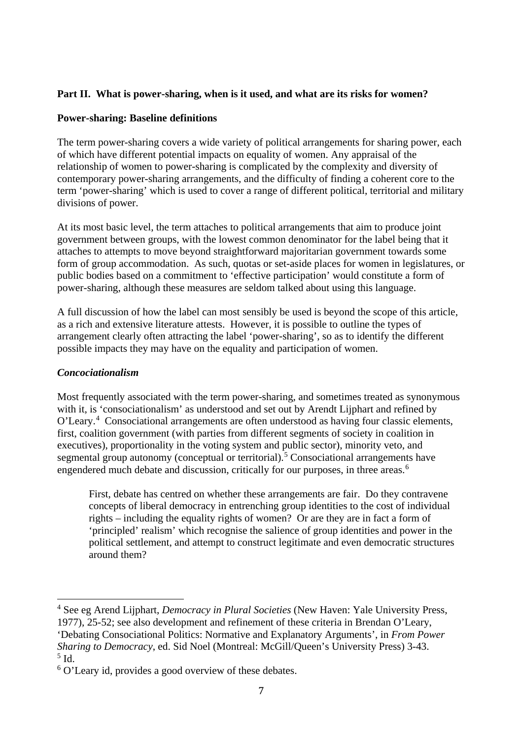#### **Part II. What is power-sharing, when is it used, and what are its risks for women?**

#### **Power-sharing: Baseline definitions**

The term power-sharing covers a wide variety of political arrangements for sharing power, each of which have different potential impacts on equality of women. Any appraisal of the relationship of women to power-sharing is complicated by the complexity and diversity of contemporary power-sharing arrangements, and the difficulty of finding a coherent core to the term 'power-sharing' which is used to cover a range of different political, territorial and military divisions of power.

At its most basic level, the term attaches to political arrangements that aim to produce joint government between groups, with the lowest common denominator for the label being that it attaches to attempts to move beyond straightforward majoritarian government towards some form of group accommodation. As such, quotas or set-aside places for women in legislatures, or public bodies based on a commitment to 'effective participation' would constitute a form of power-sharing, although these measures are seldom talked about using this language.

A full discussion of how the label can most sensibly be used is beyond the scope of this article, as a rich and extensive literature attests. However, it is possible to outline the types of arrangement clearly often attracting the label 'power-sharing', so as to identify the different possible impacts they may have on the equality and participation of women.

#### *Concociationalism*

Most frequently associated with the term power-sharing, and sometimes treated as synonymous with it, is 'consociationalism' as understood and set out by Arendt Lijphart and refined by O'Leary.<sup>[4](#page-11-0)</sup> Consociational arrangements are often understood as having four classic elements, first, coalition government (with parties from different segments of society in coalition in executives), proportionality in the voting system and public sector), minority veto, and segmental group autonomy (conceptual or territorial).<sup>[5](#page-11-1)</sup> Consociational arrangements have engendered much debate and discussion, critically for our purposes, in three areas.<sup>[6](#page-11-2)</sup>

First, debate has centred on whether these arrangements are fair. Do they contravene concepts of liberal democracy in entrenching group identities to the cost of individual rights – including the equality rights of women? Or are they are in fact a form of 'principled' realism' which recognise the salience of group identities and power in the political settlement, and attempt to construct legitimate and even democratic structures around them?

<span id="page-11-0"></span><sup>4</sup> See eg Arend Lijphart, *Democracy in Plural Societies* (New Haven: Yale University Press, 1977), 25-52; see also development and refinement of these criteria in Brendan O'Leary, 'Debating Consociational Politics: Normative and Explanatory Arguments', in *From Power Sharing to Democracy*, ed. Sid Noel (Montreal: McGill/Queen's University Press) 3-43. <sup>5</sup> Id.

<span id="page-11-2"></span><span id="page-11-1"></span><sup>6</sup> O'Leary id, provides a good overview of these debates.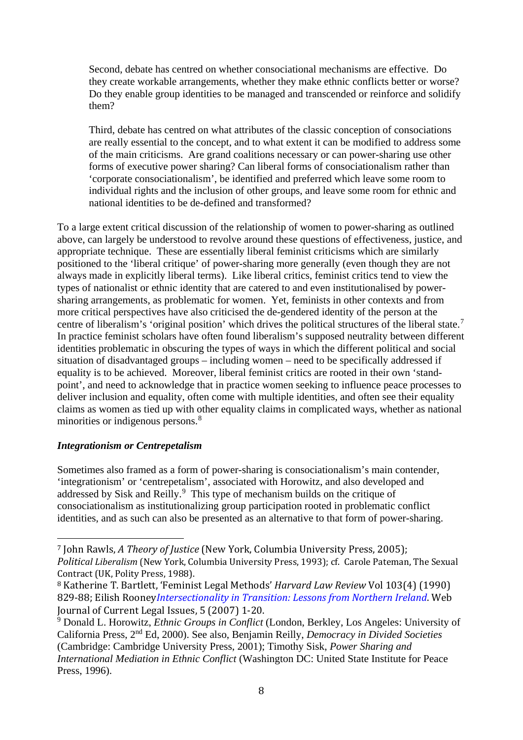Second, debate has centred on whether consociational mechanisms are effective. Do they create workable arrangements, whether they make ethnic conflicts better or worse? Do they enable group identities to be managed and transcended or reinforce and solidify them?

Third, debate has centred on what attributes of the classic conception of consociations are really essential to the concept, and to what extent it can be modified to address some of the main criticisms. Are grand coalitions necessary or can power-sharing use other forms of executive power sharing? Can liberal forms of consociationalism rather than 'corporate consociationalism', be identified and preferred which leave some room to individual rights and the inclusion of other groups, and leave some room for ethnic and national identities to be de-defined and transformed?

To a large extent critical discussion of the relationship of women to power-sharing as outlined above, can largely be understood to revolve around these questions of effectiveness, justice, and appropriate technique. These are essentially liberal feminist criticisms which are similarly positioned to the 'liberal critique' of power-sharing more generally (even though they are not always made in explicitly liberal terms). Like liberal critics, feminist critics tend to view the types of nationalist or ethnic identity that are catered to and even institutionalised by powersharing arrangements, as problematic for women. Yet, feminists in other contexts and from more critical perspectives have also criticised the de-gendered identity of the person at the centre of liberalism's 'original position' which drives the political structures of the liberal state.<sup>[7](#page-12-0)</sup> In practice feminist scholars have often found liberalism's supposed neutrality between different identities problematic in obscuring the types of ways in which the different political and social situation of disadvantaged groups – including women – need to be specifically addressed if equality is to be achieved. Moreover, liberal feminist critics are rooted in their own 'standpoint', and need to acknowledge that in practice women seeking to influence peace processes to deliver inclusion and equality, often come with multiple identities, and often see their equality claims as women as tied up with other equality claims in complicated ways, whether as national minorities or indigenous persons.<sup>[8](#page-12-1)</sup>

#### *Integrationism or Centrepetalism*

Sometimes also framed as a form of power-sharing is consociationalism's main contender, 'integrationism' or 'centrepetalism', associated with Horowitz, and also developed and addressed by Sisk and Reilly.<sup>[9](#page-12-2)</sup> This type of mechanism builds on the critique of consociationalism as institutionalizing group participation rooted in problematic conflict identities, and as such can also be presented as an alternative to that form of power-sharing.

<span id="page-12-0"></span> <sup>7</sup> John Rawls, *A Theory of Justice* (New York, Columbia University Press, 2005); *Political Liberalism* (New York, Columbia University Press, 1993); cf. Carole Pateman, The Sexual Contract (UK, Polity Press, 1988).

<span id="page-12-1"></span><sup>8</sup> Katherine T. Bartlett, 'Feminist Legal Methods' *Harvard Law Review* Vol 103(4) (1990) 829-88; Eilish Rooney*[Intersectionality in Transition: Lessons from Northern Ireland](http://eprints.ulster.ac.uk/16688)*. Web Journal of Current Legal Issues, 5 (2007) 1-20.

<span id="page-12-2"></span><sup>9</sup> Donald L. Horowitz, *Ethnic Groups in Conflict* (London, Berkley, Los Angeles: University of California Press, 2nd Ed, 2000). See also, Benjamin Reilly, *Democracy in Divided Societies*  (Cambridge: Cambridge University Press, 2001); Timothy Sisk, *Power Sharing and International Mediation in Ethnic Conflict* (Washington DC: United State Institute for Peace Press, 1996).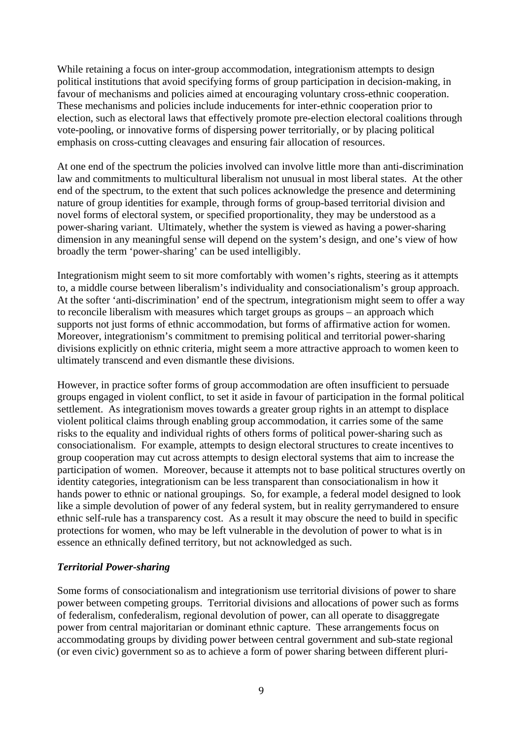While retaining a focus on inter-group accommodation, integrationism attempts to design political institutions that avoid specifying forms of group participation in decision-making, in favour of mechanisms and policies aimed at encouraging voluntary cross-ethnic cooperation. These mechanisms and policies include inducements for inter-ethnic cooperation prior to election, such as electoral laws that effectively promote pre-election electoral coalitions through vote-pooling, or innovative forms of dispersing power territorially, or by placing political emphasis on cross-cutting cleavages and ensuring fair allocation of resources.

At one end of the spectrum the policies involved can involve little more than anti-discrimination law and commitments to multicultural liberalism not unusual in most liberal states. At the other end of the spectrum, to the extent that such polices acknowledge the presence and determining nature of group identities for example, through forms of group-based territorial division and novel forms of electoral system, or specified proportionality, they may be understood as a power-sharing variant. Ultimately, whether the system is viewed as having a power-sharing dimension in any meaningful sense will depend on the system's design, and one's view of how broadly the term 'power-sharing' can be used intelligibly.

Integrationism might seem to sit more comfortably with women's rights, steering as it attempts to, a middle course between liberalism's individuality and consociationalism's group approach. At the softer 'anti-discrimination' end of the spectrum, integrationism might seem to offer a way to reconcile liberalism with measures which target groups as groups – an approach which supports not just forms of ethnic accommodation, but forms of affirmative action for women. Moreover, integrationism's commitment to premising political and territorial power-sharing divisions explicitly on ethnic criteria, might seem a more attractive approach to women keen to ultimately transcend and even dismantle these divisions.

However, in practice softer forms of group accommodation are often insufficient to persuade groups engaged in violent conflict, to set it aside in favour of participation in the formal political settlement. As integrationism moves towards a greater group rights in an attempt to displace violent political claims through enabling group accommodation, it carries some of the same risks to the equality and individual rights of others forms of political power-sharing such as consociationalism. For example, attempts to design electoral structures to create incentives to group cooperation may cut across attempts to design electoral systems that aim to increase the participation of women. Moreover, because it attempts not to base political structures overtly on identity categories, integrationism can be less transparent than consociationalism in how it hands power to ethnic or national groupings. So, for example, a federal model designed to look like a simple devolution of power of any federal system, but in reality gerrymandered to ensure ethnic self-rule has a transparency cost. As a result it may obscure the need to build in specific protections for women, who may be left vulnerable in the devolution of power to what is in essence an ethnically defined territory, but not acknowledged as such.

#### *Territorial Power-sharing*

Some forms of consociationalism and integrationism use territorial divisions of power to share power between competing groups. Territorial divisions and allocations of power such as forms of federalism, confederalism, regional devolution of power, can all operate to disaggregate power from central majoritarian or dominant ethnic capture. These arrangements focus on accommodating groups by dividing power between central government and sub-state regional (or even civic) government so as to achieve a form of power sharing between different pluri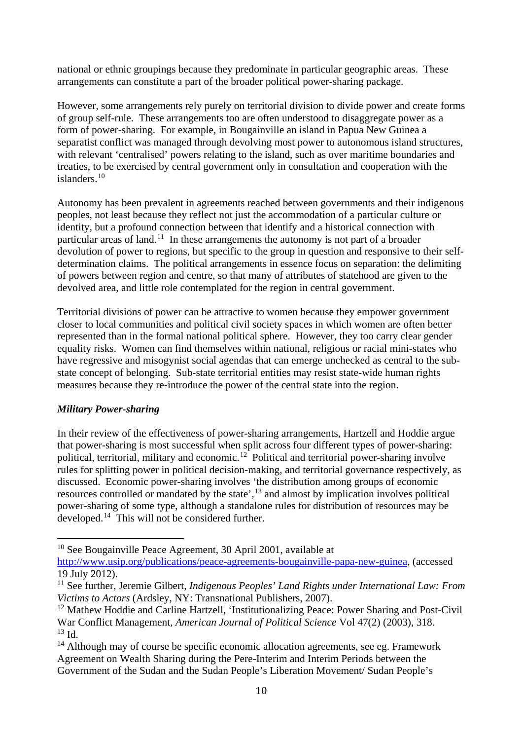national or ethnic groupings because they predominate in particular geographic areas. These arrangements can constitute a part of the broader political power-sharing package.

However, some arrangements rely purely on territorial division to divide power and create forms of group self-rule. These arrangements too are often understood to disaggregate power as a form of power-sharing. For example, in Bougainville an island in Papua New Guinea a separatist conflict was managed through devolving most power to autonomous island structures, with relevant 'centralised' powers relating to the island, such as over maritime boundaries and treaties, to be exercised by central government only in consultation and cooperation with the islanders. [10](#page-14-0)

Autonomy has been prevalent in agreements reached between governments and their indigenous peoples, not least because they reflect not just the accommodation of a particular culture or identity, but a profound connection between that identify and a historical connection with particular areas of land.<sup>[11](#page-14-1)</sup> In these arrangements the autonomy is not part of a broader devolution of power to regions, but specific to the group in question and responsive to their selfdetermination claims. The political arrangements in essence focus on separation: the delimiting of powers between region and centre, so that many of attributes of statehood are given to the devolved area, and little role contemplated for the region in central government.

Territorial divisions of power can be attractive to women because they empower government closer to local communities and political civil society spaces in which women are often better represented than in the formal national political sphere. However, they too carry clear gender equality risks. Women can find themselves within national, religious or racial mini-states who have regressive and misogynist social agendas that can emerge unchecked as central to the substate concept of belonging. Sub-state territorial entities may resist state-wide human rights measures because they re-introduce the power of the central state into the region.

#### *Military Power-sharing*

In their review of the effectiveness of power-sharing arrangements, Hartzell and Hoddie argue that power-sharing is most successful when split across four different types of power-sharing: political, territorial, military and economic.<sup>[12](#page-14-2)</sup> Political and territorial power-sharing involve rules for splitting power in political decision-making, and territorial governance respectively, as discussed. Economic power-sharing involves 'the distribution among groups of economic resources controlled or mandated by the state', $^{13}$  $^{13}$  $^{13}$  and almost by implication involves political power-sharing of some type, although a standalone rules for distribution of resources may be developed. [14](#page-14-4) This will not be considered further.

<span id="page-14-0"></span><sup>10</sup> See Bougainville Peace Agreement, 30 April 2001, available at

[http://www.usip.org/publications/peace-agreements-bougainville-papa-new-guinea,](http://www.usip.org/publications/peace-agreements-bougainville-papa-new-guinea) (accessed 19 July 2012).

<span id="page-14-1"></span><sup>&</sup>lt;sup>11</sup> See further, Jeremie Gilbert, *Indigenous Peoples' Land Rights under International Law: From Victims to Actors* (Ardsley, NY: Transnational Publishers, 2007).

<span id="page-14-2"></span><sup>&</sup>lt;sup>12</sup> Mathew Hoddie and Carline Hartzell, 'Institutionalizing Peace: Power Sharing and Post-Civil War Conflict Management, *American Journal of Political Science* Vol 47(2) (2003), 318.  $13$  Id.

<span id="page-14-4"></span><span id="page-14-3"></span> $14$  Although may of course be specific economic allocation agreements, see eg. Framework Agreement on Wealth Sharing during the Pere-Interim and Interim Periods between the Government of the Sudan and the Sudan People's Liberation Movement/ Sudan People's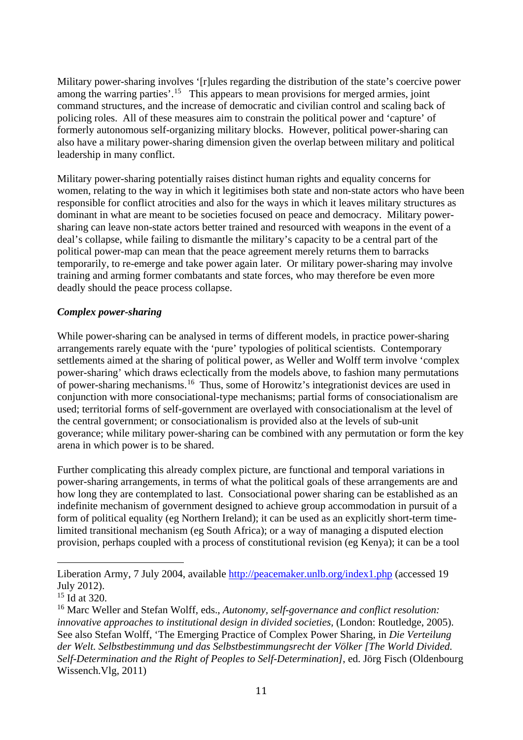Military power-sharing involves '[r]ules regarding the distribution of the state's coercive power among the warring parties'.<sup>[15](#page-15-0)</sup> This appears to mean provisions for merged armies, joint command structures, and the increase of democratic and civilian control and scaling back of policing roles. All of these measures aim to constrain the political power and 'capture' of formerly autonomous self-organizing military blocks. However, political power-sharing can also have a military power-sharing dimension given the overlap between military and political leadership in many conflict.

Military power-sharing potentially raises distinct human rights and equality concerns for women, relating to the way in which it legitimises both state and non-state actors who have been responsible for conflict atrocities and also for the ways in which it leaves military structures as dominant in what are meant to be societies focused on peace and democracy. Military powersharing can leave non-state actors better trained and resourced with weapons in the event of a deal's collapse, while failing to dismantle the military's capacity to be a central part of the political power-map can mean that the peace agreement merely returns them to barracks temporarily, to re-emerge and take power again later. Or military power-sharing may involve training and arming former combatants and state forces, who may therefore be even more deadly should the peace process collapse.

#### *Complex power-sharing*

While power-sharing can be analysed in terms of different models, in practice power-sharing arrangements rarely equate with the 'pure' typologies of political scientists. Contemporary settlements aimed at the sharing of political power, as Weller and Wolff term involve 'complex power-sharing' which draws eclectically from the models above, to fashion many permutations of power-sharing mechanisms.[16](#page-15-1) Thus, some of Horowitz's integrationist devices are used in conjunction with more consociational-type mechanisms; partial forms of consociationalism are used; territorial forms of self-government are overlayed with consociationalism at the level of the central government; or consociationalism is provided also at the levels of sub-unit goverance; while military power-sharing can be combined with any permutation or form the key arena in which power is to be shared.

Further complicating this already complex picture, are functional and temporal variations in power-sharing arrangements, in terms of what the political goals of these arrangements are and how long they are contemplated to last. Consociational power sharing can be established as an indefinite mechanism of government designed to achieve group accommodation in pursuit of a form of political equality (eg Northern Ireland); it can be used as an explicitly short-term timelimited transitional mechanism (eg South Africa); or a way of managing a disputed election provision, perhaps coupled with a process of constitutional revision (eg Kenya); it can be a tool

i<br>I Liberation Army, 7 July 2004, available **http://peacemaker.unlb.org/index1.php** (accessed 19 July 2012).

<span id="page-15-0"></span><sup>&</sup>lt;sup>15</sup> Id at 320.

<span id="page-15-1"></span><sup>16</sup> Marc Weller and Stefan Wolff, eds., *Autonomy, self-governance and conflict resolution: innovative approaches to institutional design in divided societies,* (London: Routledge, 2005). See also Stefan Wolff, 'The Emerging Practice of Complex Power Sharing, in *Die Verteilung der Welt. Selbstbestimmung und das Selbstbestimmungsrecht der Völker [The World Divided. Self-Determination and the Right of Peoples to Self-Determination]*, ed. Jörg Fisch (Oldenbourg Wissench.Vlg, 2011)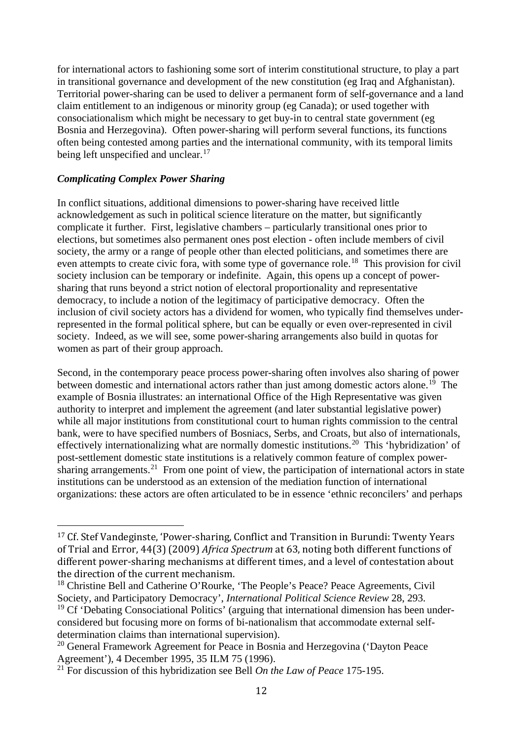for international actors to fashioning some sort of interim constitutional structure, to play a part in transitional governance and development of the new constitution (eg Iraq and Afghanistan). Territorial power-sharing can be used to deliver a permanent form of self-governance and a land claim entitlement to an indigenous or minority group (eg Canada); or used together with consociationalism which might be necessary to get buy-in to central state government (eg Bosnia and Herzegovina). Often power-sharing will perform several functions, its functions often being contested among parties and the international community, with its temporal limits being left unspecified and unclear.<sup>[17](#page-16-0)</sup>

#### *Complicating Complex Power Sharing*

In conflict situations, additional dimensions to power-sharing have received little acknowledgement as such in political science literature on the matter, but significantly complicate it further. First, legislative chambers – particularly transitional ones prior to elections, but sometimes also permanent ones post election - often include members of civil society, the army or a range of people other than elected politicians, and sometimes there are even attempts to create civic fora, with some type of governance role.<sup>[18](#page-16-1)</sup> This provision for civil society inclusion can be temporary or indefinite. Again, this opens up a concept of powersharing that runs beyond a strict notion of electoral proportionality and representative democracy, to include a notion of the legitimacy of participative democracy. Often the inclusion of civil society actors has a dividend for women, who typically find themselves underrepresented in the formal political sphere, but can be equally or even over-represented in civil society. Indeed, as we will see, some power-sharing arrangements also build in quotas for women as part of their group approach.

Second, in the contemporary peace process power-sharing often involves also sharing of power between domestic and international actors rather than just among domestic actors alone.<sup>[19](#page-16-2)</sup> The example of Bosnia illustrates: an international Office of the High Representative was given authority to interpret and implement the agreement (and later substantial legislative power) while all major institutions from constitutional court to human rights commission to the central bank, were to have specified numbers of Bosniacs, Serbs, and Croats, but also of internationals, effectively internationalizing what are normally domestic institutions.<sup>20</sup> This 'hybridization' of post-settlement domestic state institutions is a relatively common feature of complex powersharing arrangements.<sup>21</sup> From one point of view, the participation of international actors in state institutions can be understood as an extension of the mediation function of international organizations: these actors are often articulated to be in essence 'ethnic reconcilers' and perhaps

<span id="page-16-0"></span> <sup>17</sup> Cf. Stef Vandeginste, 'Power-sharing, Conflict and Transition in Burundi: Twenty Years of Trial and Error, 44(3) (2009) *Africa Spectrum* at 63, noting both different functions of different power-sharing mechanisms at different times, and a level of contestation about the direction of the current mechanism.

<span id="page-16-1"></span><sup>&</sup>lt;sup>18</sup> Christine Bell and Catherine O'Rourke, 'The People's Peace? Peace Agreements, Civil Society, and Participatory Democracy', *International Political Science Review* 28, 293.

<span id="page-16-2"></span> $19$  Cf 'Debating Consociational Politics' (arguing that international dimension has been underconsidered but focusing more on forms of bi-nationalism that accommodate external selfdetermination claims than international supervision).

<span id="page-16-3"></span><sup>&</sup>lt;sup>20</sup> General Framework Agreement for Peace in Bosnia and Herzegovina ('Dayton Peace Agreement'), 4 December 1995, 35 ILM 75 (1996).

<span id="page-16-4"></span><sup>21</sup> For discussion of this hybridization see Bell *On the Law of Peace* 175-195.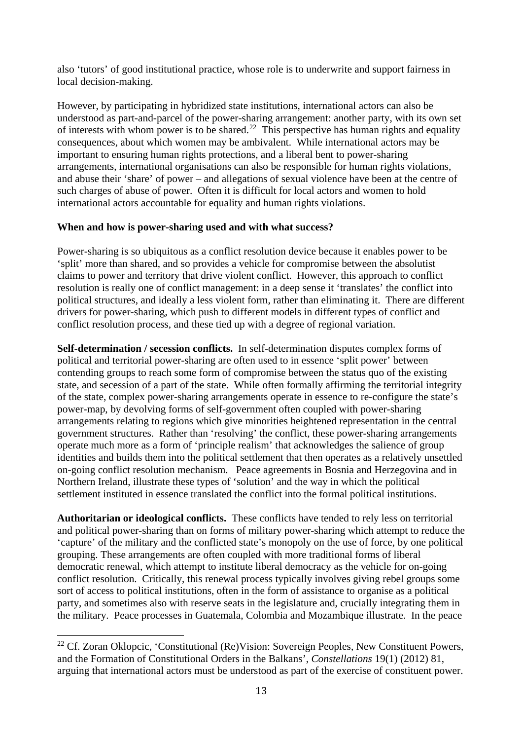also 'tutors' of good institutional practice, whose role is to underwrite and support fairness in local decision-making.

However, by participating in hybridized state institutions, international actors can also be understood as part-and-parcel of the power-sharing arrangement: another party, with its own set of interests with whom power is to be shared.<sup>[22](#page-17-0)</sup> This perspective has human rights and equality consequences, about which women may be ambivalent. While international actors may be important to ensuring human rights protections, and a liberal bent to power-sharing arrangements, international organisations can also be responsible for human rights violations, and abuse their 'share' of power – and allegations of sexual violence have been at the centre of such charges of abuse of power. Often it is difficult for local actors and women to hold international actors accountable for equality and human rights violations.

#### **When and how is power-sharing used and with what success?**

Power-sharing is so ubiquitous as a conflict resolution device because it enables power to be 'split' more than shared, and so provides a vehicle for compromise between the absolutist claims to power and territory that drive violent conflict. However, this approach to conflict resolution is really one of conflict management: in a deep sense it 'translates' the conflict into political structures, and ideally a less violent form, rather than eliminating it. There are different drivers for power-sharing, which push to different models in different types of conflict and conflict resolution process, and these tied up with a degree of regional variation.

**Self-determination / secession conflicts.** In self-determination disputes complex forms of political and territorial power-sharing are often used to in essence 'split power' between contending groups to reach some form of compromise between the status quo of the existing state, and secession of a part of the state. While often formally affirming the territorial integrity of the state, complex power-sharing arrangements operate in essence to re-configure the state's power-map, by devolving forms of self-government often coupled with power-sharing arrangements relating to regions which give minorities heightened representation in the central government structures. Rather than 'resolving' the conflict, these power-sharing arrangements operate much more as a form of 'principle realism' that acknowledges the salience of group identities and builds them into the political settlement that then operates as a relatively unsettled on-going conflict resolution mechanism. Peace agreements in Bosnia and Herzegovina and in Northern Ireland, illustrate these types of 'solution' and the way in which the political settlement instituted in essence translated the conflict into the formal political institutions.

**Authoritarian or ideological conflicts.** These conflicts have tended to rely less on territorial and political power-sharing than on forms of military power-sharing which attempt to reduce the 'capture' of the military and the conflicted state's monopoly on the use of force, by one political grouping. These arrangements are often coupled with more traditional forms of liberal democratic renewal, which attempt to institute liberal democracy as the vehicle for on-going conflict resolution. Critically, this renewal process typically involves giving rebel groups some sort of access to political institutions, often in the form of assistance to organise as a political party, and sometimes also with reserve seats in the legislature and, crucially integrating them in the military. Peace processes in Guatemala, Colombia and Mozambique illustrate. In the peace

<span id="page-17-0"></span><sup>&</sup>lt;sup>22</sup> Cf. Zoran Oklopcic, 'Constitutional (Re)Vision: Sovereign Peoples, New Constituent Powers, and the Formation of Constitutional Orders in the Balkans', *Constellations* 19(1) (2012) 81, arguing that international actors must be understood as part of the exercise of constituent power.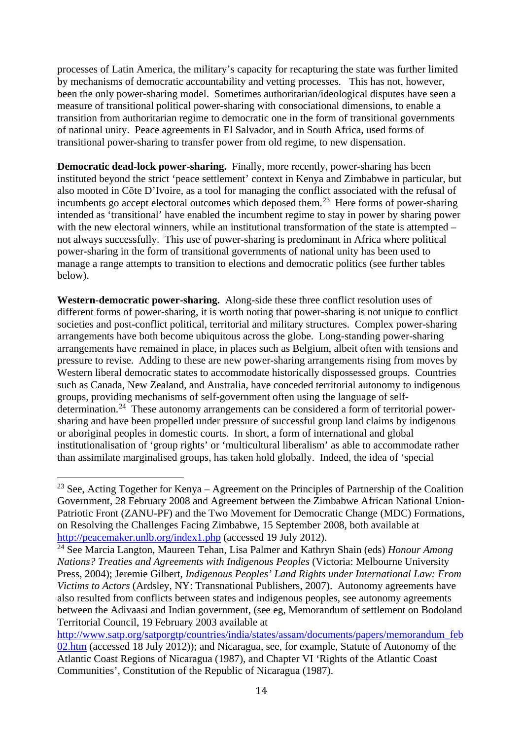processes of Latin America, the military's capacity for recapturing the state was further limited by mechanisms of democratic accountability and vetting processes. This has not, however, been the only power-sharing model. Sometimes authoritarian/ideological disputes have seen a measure of transitional political power-sharing with consociational dimensions, to enable a transition from authoritarian regime to democratic one in the form of transitional governments of national unity. Peace agreements in El Salvador, and in South Africa, used forms of transitional power-sharing to transfer power from old regime, to new dispensation.

**Democratic dead-lock power-sharing.** Finally, more recently, power-sharing has been instituted beyond the strict 'peace settlement' context in Kenya and Zimbabwe in particular, but also mooted in Côte D'Ivoire, as a tool for managing the conflict associated with the refusal of incumbents go accept electoral outcomes which deposed them.<sup>23</sup> Here forms of power-sharing intended as 'transitional' have enabled the incumbent regime to stay in power by sharing power with the new electoral winners, while an institutional transformation of the state is attempted – not always successfully. This use of power-sharing is predominant in Africa where political power-sharing in the form of transitional governments of national unity has been used to manage a range attempts to transition to elections and democratic politics (see further tables below).

**Western-democratic power-sharing.** Along-side these three conflict resolution uses of different forms of power-sharing, it is worth noting that power-sharing is not unique to conflict societies and post-conflict political, territorial and military structures. Complex power-sharing arrangements have both become ubiquitous across the globe. Long-standing power-sharing arrangements have remained in place, in places such as Belgium, albeit often with tensions and pressure to revise. Adding to these are new power-sharing arrangements rising from moves by Western liberal democratic states to accommodate historically dispossessed groups. Countries such as Canada, New Zealand, and Australia, have conceded territorial autonomy to indigenous groups, providing mechanisms of self-government often using the language of selfdetermination.[24](#page-18-1) These autonomy arrangements can be considered a form of territorial powersharing and have been propelled under pressure of successful group land claims by indigenous or aboriginal peoples in domestic courts. In short, a form of international and global institutionalisation of 'group rights' or 'multicultural liberalism' as able to accommodate rather than assimilate marginalised groups, has taken hold globally. Indeed, the idea of 'special

<span id="page-18-0"></span><sup>&</sup>lt;sup>23</sup> See, Acting Together for Kenya – Agreement on the Principles of Partnership of the Coalition Government, 28 February 2008 and Agreement between the Zimbabwe African National Union-Patriotic Front (ZANU-PF) and the Two Movement for Democratic Change (MDC) Formations, on Resolving the Challenges Facing Zimbabwe, 15 September 2008, both available at <http://peacemaker.unlb.org/index1.php> (accessed 19 July 2012).

<span id="page-18-1"></span><sup>24</sup> See Marcia Langton, Maureen Tehan, Lisa Palmer and Kathryn Shain (eds) *Honour Among Nations? Treaties and Agreements with Indigenous Peoples* (Victoria: Melbourne University Press, 2004); Jeremie Gilbert, *Indigenous Peoples' Land Rights under International Law: From Victims to Actors* (Ardsley, NY: Transnational Publishers, 2007). Autonomy agreements have also resulted from conflicts between states and indigenous peoples, see autonomy agreements between the Adivaasi and Indian government, (see eg, Memorandum of settlement on Bodoland Territorial Council, 19 February 2003 available at

[http://www.satp.org/satporgtp/countries/india/states/assam/documents/papers/memorandum\\_feb](http://www.satp.org/satporgtp/countries/india/states/assam/documents/papers/memorandum_feb02.htm) [02.htm](http://www.satp.org/satporgtp/countries/india/states/assam/documents/papers/memorandum_feb02.htm) (accessed 18 July 2012)); and Nicaragua, see, for example, Statute of Autonomy of the Atlantic Coast Regions of Nicaragua (1987), and Chapter VI 'Rights of the Atlantic Coast Communities', Constitution of the Republic of Nicaragua (1987).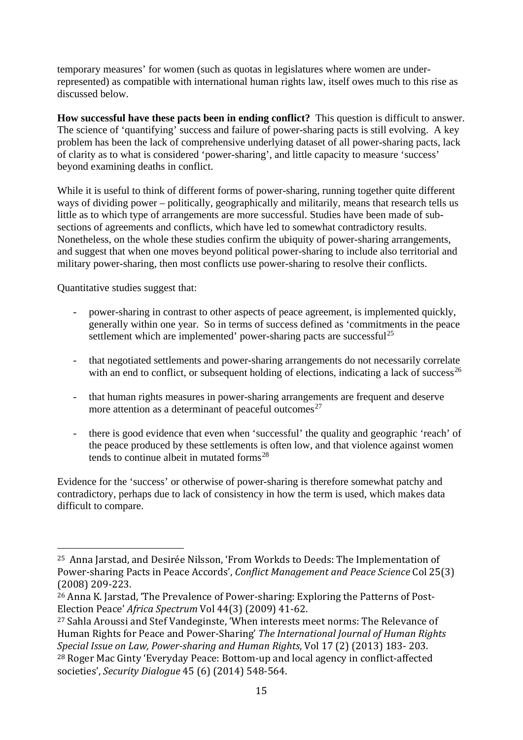temporary measures' for women (such as quotas in legislatures where women are underrepresented) as compatible with international human rights law, itself owes much to this rise as discussed below.

**How successful have these pacts been in ending conflict?** This question is difficult to answer. The science of 'quantifying' success and failure of power-sharing pacts is still evolving. A key problem has been the lack of comprehensive underlying dataset of all power-sharing pacts, lack of clarity as to what is considered 'power-sharing', and little capacity to measure 'success' beyond examining deaths in conflict.

While it is useful to think of different forms of power-sharing, running together quite different ways of dividing power – politically, geographically and militarily, means that research tells us little as to which type of arrangements are more successful. Studies have been made of subsections of agreements and conflicts, which have led to somewhat contradictory results. Nonetheless, on the whole these studies confirm the ubiquity of power-sharing arrangements, and suggest that when one moves beyond political power-sharing to include also territorial and military power-sharing, then most conflicts use power-sharing to resolve their conflicts.

Quantitative studies suggest that:

- power-sharing in contrast to other aspects of peace agreement, is implemented quickly, generally within one year. So in terms of success defined as 'commitments in the peace settlement which are implemented' power-sharing pacts are successful<sup>[25](#page-19-0)</sup>
- that negotiated settlements and power-sharing arrangements do not necessarily correlate with an end to conflict, or subsequent holding of elections, indicating a lack of success<sup>[26](#page-19-1)</sup>
- that human rights measures in power-sharing arrangements are frequent and deserve more attention as a determinant of peaceful outcomes<sup>[27](#page-19-2)</sup>
- there is good evidence that even when 'successful' the quality and geographic 'reach' of the peace produced by these settlements is often low, and that violence against women tends to continue albeit in mutated forms $^{28}$  $^{28}$  $^{28}$

Evidence for the 'success' or otherwise of power-sharing is therefore somewhat patchy and contradictory, perhaps due to lack of consistency in how the term is used, which makes data difficult to compare.

<span id="page-19-0"></span> <sup>25</sup> Anna Jarstad, and Desirée Nilsson, 'From Workds to Deeds: The Implementation of Power-sharing Pacts in Peace Accords', *Conflict Management and Peace Science* Col 25(3) (2008) 209-223.

<span id="page-19-1"></span><sup>26</sup> Anna K. Jarstad, 'The Prevalence of Power-sharing: Exploring the Patterns of Post-Election Peace' *Africa Spectrum* Vol 44(3) (2009) 41-62.

<span id="page-19-3"></span><span id="page-19-2"></span><sup>27</sup> Sahla Aroussi and Stef Vandeginste, 'When interests meet norms: The Relevance of Human Rights for Peace and Power-Sharing' *The International Journal of Human Rights Special Issue on Law, Power-sharing and Human Rights*, Vol 17 (2) (2013) 183- 203. <sup>28</sup> Roger Mac Ginty 'Everyday Peace: Bottom-up and local agency in conflict-affected societies', *Security Dialogue* 45 (6) (2014) 548-564.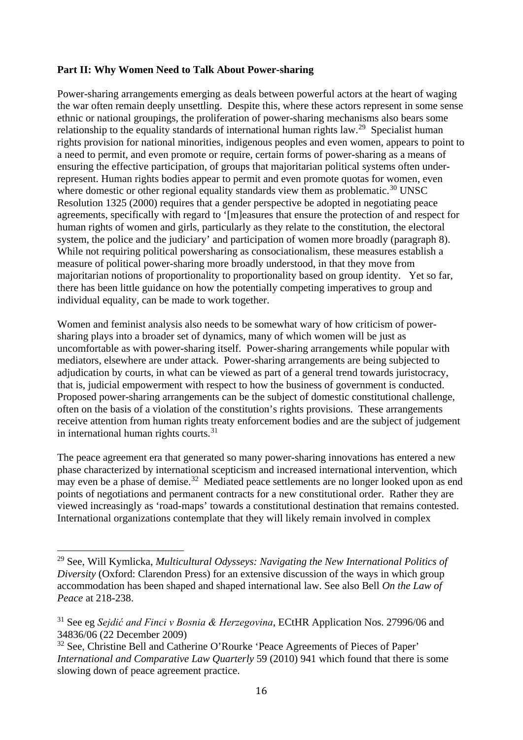#### **Part II: Why Women Need to Talk About Power-sharing**

Power-sharing arrangements emerging as deals between powerful actors at the heart of waging the war often remain deeply unsettling. Despite this, where these actors represent in some sense ethnic or national groupings, the proliferation of power-sharing mechanisms also bears some relationship to the equality standards of international human rights law.<sup>[29](#page-20-0)</sup> Specialist human rights provision for national minorities, indigenous peoples and even women, appears to point to a need to permit, and even promote or require, certain forms of power-sharing as a means of ensuring the effective participation, of groups that majoritarian political systems often underrepresent. Human rights bodies appear to permit and even promote quotas for women, even where domestic or other regional equality standards view them as problematic.<sup>[30](#page-20-1)</sup> UNSC Resolution 1325 (2000) requires that a gender perspective be adopted in negotiating peace agreements, specifically with regard to '[m]easures that ensure the protection of and respect for human rights of women and girls, particularly as they relate to the constitution, the electoral system, the police and the judiciary' and participation of women more broadly (paragraph 8). While not requiring political powersharing as consociationalism, these measures establish a measure of political power-sharing more broadly understood, in that they move from majoritarian notions of proportionality to proportionality based on group identity. Yet so far, there has been little guidance on how the potentially competing imperatives to group and individual equality, can be made to work together.

Women and feminist analysis also needs to be somewhat wary of how criticism of powersharing plays into a broader set of dynamics, many of which women will be just as uncomfortable as with power-sharing itself. Power-sharing arrangements while popular with mediators, elsewhere are under attack. Power-sharing arrangements are being subjected to adjudication by courts, in what can be viewed as part of a general trend towards juristocracy, that is, judicial empowerment with respect to how the business of government is conducted. Proposed power-sharing arrangements can be the subject of domestic constitutional challenge, often on the basis of a violation of the constitution's rights provisions. These arrangements receive attention from human rights treaty enforcement bodies and are the subject of judgement in international human rights courts. $31$ 

The peace agreement era that generated so many power-sharing innovations has entered a new phase characterized by international scepticism and increased international intervention, which may even be a phase of demise.<sup>[32](#page-20-3)</sup> Mediated peace settlements are no longer looked upon as end points of negotiations and permanent contracts for a new constitutional order. Rather they are viewed increasingly as 'road-maps' towards a constitutional destination that remains contested. International organizations contemplate that they will likely remain involved in complex

<span id="page-20-0"></span><sup>29</sup> See, Will Kymlicka, *Multicultural Odysseys: Navigating the New International Politics of Diversity* (Oxford: Clarendon Press) for an extensive discussion of the ways in which group accommodation has been shaped and shaped international law. See also Bell *On the Law of Peace* at 218-238.

<span id="page-20-2"></span><span id="page-20-1"></span><sup>31</sup> See eg *Sejdić and Finci v Bosnia & Herzegovina*, ECtHR Application Nos. 27996/06 and 34836/06 (22 December 2009)

<span id="page-20-3"></span><sup>&</sup>lt;sup>32</sup> See. Christine Bell and Catherine O'Rourke 'Peace Agreements of Pieces of Paper' *International and Comparative Law Quarterly* 59 (2010) 941 which found that there is some slowing down of peace agreement practice.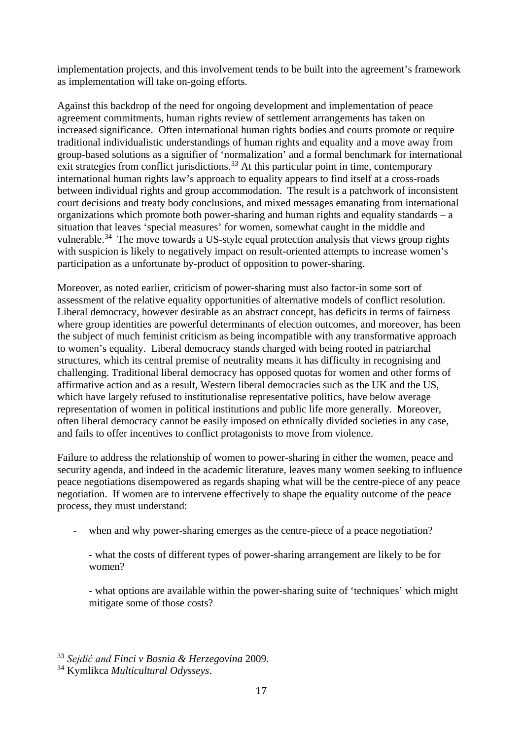implementation projects, and this involvement tends to be built into the agreement's framework as implementation will take on-going efforts.

Against this backdrop of the need for ongoing development and implementation of peace agreement commitments, human rights review of settlement arrangements has taken on increased significance. Often international human rights bodies and courts promote or require traditional individualistic understandings of human rights and equality and a move away from group-based solutions as a signifier of 'normalization' and a formal benchmark for international  $\epsilon$  exit strategies from conflict jurisdictions.<sup>[33](#page-21-0)</sup> At this particular point in time, contemporary international human rights law's approach to equality appears to find itself at a cross-roads between individual rights and group accommodation. The result is a patchwork of inconsistent court decisions and treaty body conclusions, and mixed messages emanating from international organizations which promote both power-sharing and human rights and equality standards – a situation that leaves 'special measures' for women, somewhat caught in the middle and vulnerable.<sup>[34](#page-21-1)</sup> The move towards a US-style equal protection analysis that views group rights with suspicion is likely to negatively impact on result-oriented attempts to increase women's participation as a unfortunate by-product of opposition to power-sharing.

Moreover, as noted earlier, criticism of power-sharing must also factor-in some sort of assessment of the relative equality opportunities of alternative models of conflict resolution. Liberal democracy, however desirable as an abstract concept, has deficits in terms of fairness where group identities are powerful determinants of election outcomes, and moreover, has been the subject of much feminist criticism as being incompatible with any transformative approach to women's equality. Liberal democracy stands charged with being rooted in patriarchal structures, which its central premise of neutrality means it has difficulty in recognising and challenging. Traditional liberal democracy has opposed quotas for women and other forms of affirmative action and as a result, Western liberal democracies such as the UK and the US, which have largely refused to institutionalise representative politics, have below average representation of women in political institutions and public life more generally. Moreover, often liberal democracy cannot be easily imposed on ethnically divided societies in any case, and fails to offer incentives to conflict protagonists to move from violence.

Failure to address the relationship of women to power-sharing in either the women, peace and security agenda, and indeed in the academic literature, leaves many women seeking to influence peace negotiations disempowered as regards shaping what will be the centre-piece of any peace negotiation. If women are to intervene effectively to shape the equality outcome of the peace process, they must understand:

when and why power-sharing emerges as the centre-piece of a peace negotiation?

- what the costs of different types of power-sharing arrangement are likely to be for women?

- what options are available within the power-sharing suite of 'techniques' which might mitigate some of those costs?

<span id="page-21-0"></span><sup>33</sup> *Sejdić and Finci v Bosnia & Herzegovina* <sup>2009</sup>*.*

<span id="page-21-1"></span><sup>34</sup> Kymlikca *Multicultural Odysseys*.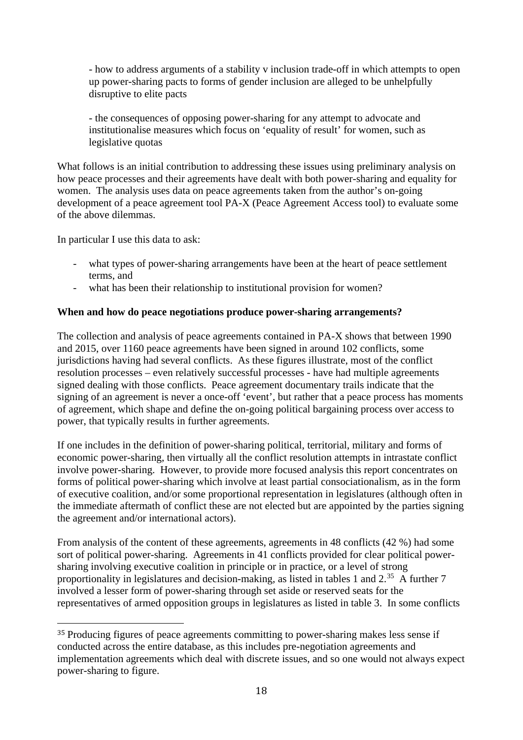- how to address arguments of a stability v inclusion trade-off in which attempts to open up power-sharing pacts to forms of gender inclusion are alleged to be unhelpfully disruptive to elite pacts

- the consequences of opposing power-sharing for any attempt to advocate and institutionalise measures which focus on 'equality of result' for women, such as legislative quotas

What follows is an initial contribution to addressing these issues using preliminary analysis on how peace processes and their agreements have dealt with both power-sharing and equality for women. The analysis uses data on peace agreements taken from the author's on-going development of a peace agreement tool PA-X (Peace Agreement Access tool) to evaluate some of the above dilemmas.

In particular I use this data to ask:

- what types of power-sharing arrangements have been at the heart of peace settlement terms, and
- what has been their relationship to institutional provision for women?

#### **When and how do peace negotiations produce power-sharing arrangements?**

The collection and analysis of peace agreements contained in PA-X shows that between 1990 and 2015, over 1160 peace agreements have been signed in around 102 conflicts, some jurisdictions having had several conflicts. As these figures illustrate, most of the conflict resolution processes – even relatively successful processes - have had multiple agreements signed dealing with those conflicts. Peace agreement documentary trails indicate that the signing of an agreement is never a once-off 'event', but rather that a peace process has moments of agreement, which shape and define the on-going political bargaining process over access to power, that typically results in further agreements.

If one includes in the definition of power-sharing political, territorial, military and forms of economic power-sharing, then virtually all the conflict resolution attempts in intrastate conflict involve power-sharing. However, to provide more focused analysis this report concentrates on forms of political power-sharing which involve at least partial consociationalism, as in the form of executive coalition, and/or some proportional representation in legislatures (although often in the immediate aftermath of conflict these are not elected but are appointed by the parties signing the agreement and/or international actors).

From analysis of the content of these agreements, agreements in 48 conflicts (42 %) had some sort of political power-sharing. Agreements in 41 conflicts provided for clear political powersharing involving executive coalition in principle or in practice, or a level of strong proportionality in legislatures and decision-making, as listed in tables 1 and  $2.^{35}$  $2.^{35}$  $2.^{35}$  A further 7 involved a lesser form of power-sharing through set aside or reserved seats for the representatives of armed opposition groups in legislatures as listed in table 3. In some conflicts

<span id="page-22-0"></span><sup>&</sup>lt;sup>35</sup> Producing figures of peace agreements committing to power-sharing makes less sense if conducted across the entire database, as this includes pre-negotiation agreements and implementation agreements which deal with discrete issues, and so one would not always expect power-sharing to figure.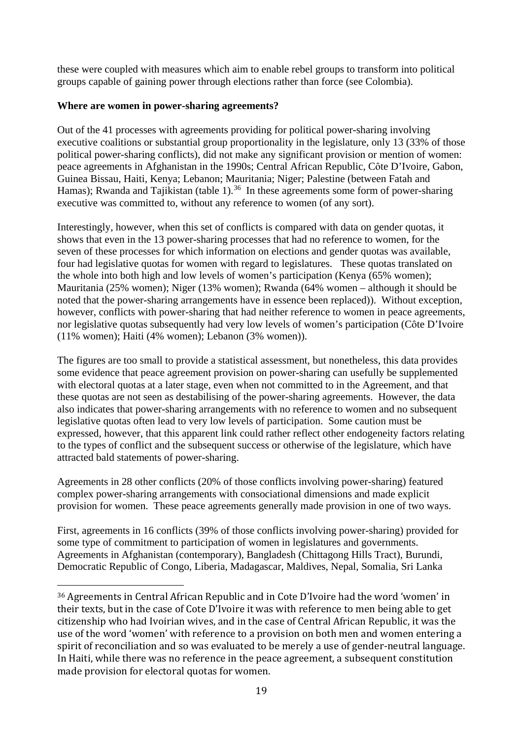these were coupled with measures which aim to enable rebel groups to transform into political groups capable of gaining power through elections rather than force (see Colombia).

#### **Where are women in power-sharing agreements?**

Out of the 41 processes with agreements providing for political power-sharing involving executive coalitions or substantial group proportionality in the legislature, only 13 (33% of those political power-sharing conflicts), did not make any significant provision or mention of women: peace agreements in Afghanistan in the 1990s; Central African Republic, Côte D'Ivoire, Gabon, Guinea Bissau, Haiti, Kenya; Lebanon; Mauritania; Niger; Palestine (between Fatah and Hamas); Rwanda and Tajikistan (table 1).<sup>[36](#page-23-0)</sup> In these agreements some form of power-sharing executive was committed to, without any reference to women (of any sort).

Interestingly, however, when this set of conflicts is compared with data on gender quotas, it shows that even in the 13 power-sharing processes that had no reference to women, for the seven of these processes for which information on elections and gender quotas was available, four had legislative quotas for women with regard to legislatures. These quotas translated on the whole into both high and low levels of women's participation (Kenya (65% women); Mauritania (25% women); Niger (13% women); Rwanda (64% women – although it should be noted that the power-sharing arrangements have in essence been replaced)). Without exception, however, conflicts with power-sharing that had neither reference to women in peace agreements, nor legislative quotas subsequently had very low levels of women's participation (Côte D'Ivoire (11% women); Haiti (4% women); Lebanon (3% women)).

The figures are too small to provide a statistical assessment, but nonetheless, this data provides some evidence that peace agreement provision on power-sharing can usefully be supplemented with electoral quotas at a later stage, even when not committed to in the Agreement, and that these quotas are not seen as destabilising of the power-sharing agreements. However, the data also indicates that power-sharing arrangements with no reference to women and no subsequent legislative quotas often lead to very low levels of participation. Some caution must be expressed, however, that this apparent link could rather reflect other endogeneity factors relating to the types of conflict and the subsequent success or otherwise of the legislature, which have attracted bald statements of power-sharing.

Agreements in 28 other conflicts (20% of those conflicts involving power-sharing) featured complex power-sharing arrangements with consociational dimensions and made explicit provision for women. These peace agreements generally made provision in one of two ways.

First, agreements in 16 conflicts (39% of those conflicts involving power-sharing) provided for some type of commitment to participation of women in legislatures and governments. Agreements in Afghanistan (contemporary), Bangladesh (Chittagong Hills Tract), Burundi, Democratic Republic of Congo, Liberia, Madagascar, Maldives, Nepal, Somalia, Sri Lanka

<span id="page-23-0"></span> <sup>36</sup> Agreements in Central African Republic and in Cote D'Ivoire had the word 'women' in their texts, but in the case of Cote D'Ivoire it was with reference to men being able to get citizenship who had Ivoirian wives, and in the case of Central African Republic, it was the use of the word 'women' with reference to a provision on both men and women entering a spirit of reconciliation and so was evaluated to be merely a use of gender-neutral language. In Haiti, while there was no reference in the peace agreement, a subsequent constitution made provision for electoral quotas for women.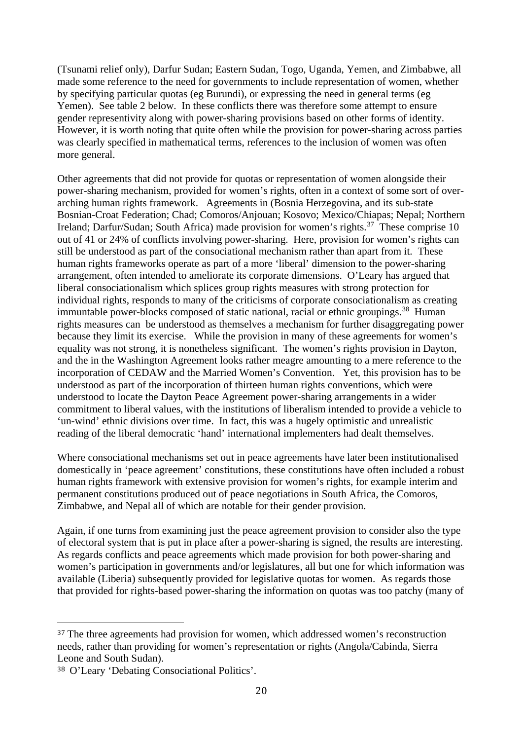(Tsunami relief only), Darfur Sudan; Eastern Sudan, Togo, Uganda, Yemen, and Zimbabwe, all made some reference to the need for governments to include representation of women, whether by specifying particular quotas (eg Burundi), or expressing the need in general terms (eg Yemen). See table 2 below. In these conflicts there was therefore some attempt to ensure gender representivity along with power-sharing provisions based on other forms of identity. However, it is worth noting that quite often while the provision for power-sharing across parties was clearly specified in mathematical terms, references to the inclusion of women was often more general.

Other agreements that did not provide for quotas or representation of women alongside their power-sharing mechanism, provided for women's rights, often in a context of some sort of overarching human rights framework. Agreements in (Bosnia Herzegovina, and its sub-state Bosnian-Croat Federation; Chad; Comoros/Anjouan; Kosovo; Mexico/Chiapas; Nepal; Northern Ireland; Darfur/Sudan; South Africa) made provision for women's rights.<sup>[37](#page-24-0)</sup> These comprise 10 out of 41 or 24% of conflicts involving power-sharing. Here, provision for women's rights can still be understood as part of the consociational mechanism rather than apart from it. These human rights frameworks operate as part of a more 'liberal' dimension to the power-sharing arrangement, often intended to ameliorate its corporate dimensions. O'Leary has argued that liberal consociationalism which splices group rights measures with strong protection for individual rights, responds to many of the criticisms of corporate consociationalism as creating immuntable power-blocks composed of static national, racial or ethnic groupings.<sup>[38](#page-24-1)</sup> Human rights measures can be understood as themselves a mechanism for further disaggregating power because they limit its exercise. While the provision in many of these agreements for women's equality was not strong, it is nonetheless significant. The women's rights provision in Dayton, and the in the Washington Agreement looks rather meagre amounting to a mere reference to the incorporation of CEDAW and the Married Women's Convention. Yet, this provision has to be understood as part of the incorporation of thirteen human rights conventions, which were understood to locate the Dayton Peace Agreement power-sharing arrangements in a wider commitment to liberal values, with the institutions of liberalism intended to provide a vehicle to 'un-wind' ethnic divisions over time. In fact, this was a hugely optimistic and unrealistic reading of the liberal democratic 'hand' international implementers had dealt themselves.

Where consociational mechanisms set out in peace agreements have later been institutionalised domestically in 'peace agreement' constitutions, these constitutions have often included a robust human rights framework with extensive provision for women's rights, for example interim and permanent constitutions produced out of peace negotiations in South Africa, the Comoros, Zimbabwe, and Nepal all of which are notable for their gender provision.

Again, if one turns from examining just the peace agreement provision to consider also the type of electoral system that is put in place after a power-sharing is signed, the results are interesting. As regards conflicts and peace agreements which made provision for both power-sharing and women's participation in governments and/or legislatures, all but one for which information was available (Liberia) subsequently provided for legislative quotas for women. As regards those that provided for rights-based power-sharing the information on quotas was too patchy (many of

<span id="page-24-0"></span><sup>&</sup>lt;sup>37</sup> The three agreements had provision for women, which addressed women's reconstruction needs, rather than providing for women's representation or rights (Angola/Cabinda, Sierra Leone and South Sudan).

<span id="page-24-1"></span><sup>38</sup> O'Leary 'Debating Consociational Politics'.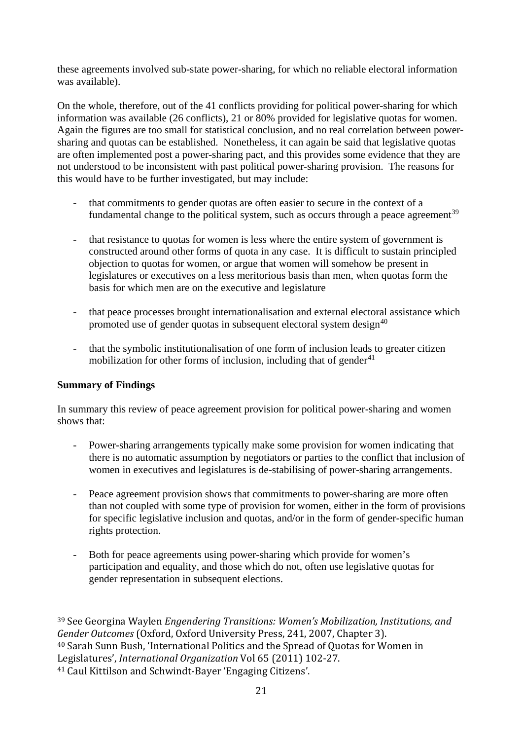these agreements involved sub-state power-sharing, for which no reliable electoral information was available).

On the whole, therefore, out of the 41 conflicts providing for political power-sharing for which information was available (26 conflicts), 21 or 80% provided for legislative quotas for women. Again the figures are too small for statistical conclusion, and no real correlation between powersharing and quotas can be established. Nonetheless, it can again be said that legislative quotas are often implemented post a power-sharing pact, and this provides some evidence that they are not understood to be inconsistent with past political power-sharing provision. The reasons for this would have to be further investigated, but may include:

- that commitments to gender quotas are often easier to secure in the context of a fundamental change to the political system, such as occurs through a peace agreement<sup>[39](#page-25-0)</sup>
- that resistance to quotas for women is less where the entire system of government is constructed around other forms of quota in any case. It is difficult to sustain principled objection to quotas for women, or argue that women will somehow be present in legislatures or executives on a less meritorious basis than men, when quotas form the basis for which men are on the executive and legislature
- that peace processes brought internationalisation and external electoral assistance which promoted use of gender quotas in subsequent electoral system design<sup>[40](#page-25-1)</sup>
- that the symbolic institutionalisation of one form of inclusion leads to greater citizen mobilization for other forms of inclusion, including that of gender $41$

#### **Summary of Findings**

In summary this review of peace agreement provision for political power-sharing and women shows that:

- Power-sharing arrangements typically make some provision for women indicating that there is no automatic assumption by negotiators or parties to the conflict that inclusion of women in executives and legislatures is de-stabilising of power-sharing arrangements.
- Peace agreement provision shows that commitments to power-sharing are more often than not coupled with some type of provision for women, either in the form of provisions for specific legislative inclusion and quotas, and/or in the form of gender-specific human rights protection.
- Both for peace agreements using power-sharing which provide for women's participation and equality, and those which do not, often use legislative quotas for gender representation in subsequent elections.

<span id="page-25-0"></span> <sup>39</sup> See Georgina Waylen *Engendering Transitions: Women's Mobilization, Institutions, and Gender Outcomes* (Oxford, Oxford University Press, 241, 2007, Chapter 3). <sup>40</sup> Sarah Sunn Bush, 'International Politics and the Spread of Quotas for Women in Legislatures', *International Organization* Vol 65 (2011) 102-27.

<span id="page-25-2"></span><span id="page-25-1"></span><sup>41</sup> Caul Kittilson and Schwindt-Bayer 'Engaging Citizens'.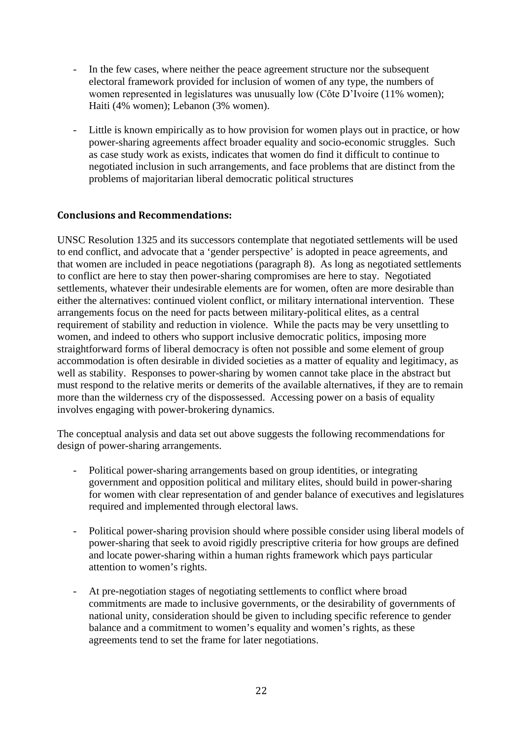- In the few cases, where neither the peace agreement structure nor the subsequent electoral framework provided for inclusion of women of any type, the numbers of women represented in legislatures was unusually low (Côte D'Ivoire (11% women); Haiti (4% women); Lebanon (3% women).
- Little is known empirically as to how provision for women plays out in practice, or how power-sharing agreements affect broader equality and socio-economic struggles. Such as case study work as exists, indicates that women do find it difficult to continue to negotiated inclusion in such arrangements, and face problems that are distinct from the problems of majoritarian liberal democratic political structures

#### **Conclusions and Recommendations:**

UNSC Resolution 1325 and its successors contemplate that negotiated settlements will be used to end conflict, and advocate that a 'gender perspective' is adopted in peace agreements, and that women are included in peace negotiations (paragraph 8). As long as negotiated settlements to conflict are here to stay then power-sharing compromises are here to stay. Negotiated settlements, whatever their undesirable elements are for women, often are more desirable than either the alternatives: continued violent conflict, or military international intervention. These arrangements focus on the need for pacts between military-political elites, as a central requirement of stability and reduction in violence. While the pacts may be very unsettling to women, and indeed to others who support inclusive democratic politics, imposing more straightforward forms of liberal democracy is often not possible and some element of group accommodation is often desirable in divided societies as a matter of equality and legitimacy, as well as stability. Responses to power-sharing by women cannot take place in the abstract but must respond to the relative merits or demerits of the available alternatives, if they are to remain more than the wilderness cry of the dispossessed. Accessing power on a basis of equality involves engaging with power-brokering dynamics.

The conceptual analysis and data set out above suggests the following recommendations for design of power-sharing arrangements.

- Political power-sharing arrangements based on group identities, or integrating government and opposition political and military elites, should build in power-sharing for women with clear representation of and gender balance of executives and legislatures required and implemented through electoral laws.
- Political power-sharing provision should where possible consider using liberal models of power-sharing that seek to avoid rigidly prescriptive criteria for how groups are defined and locate power-sharing within a human rights framework which pays particular attention to women's rights.
- At pre-negotiation stages of negotiating settlements to conflict where broad commitments are made to inclusive governments, or the desirability of governments of national unity, consideration should be given to including specific reference to gender balance and a commitment to women's equality and women's rights, as these agreements tend to set the frame for later negotiations.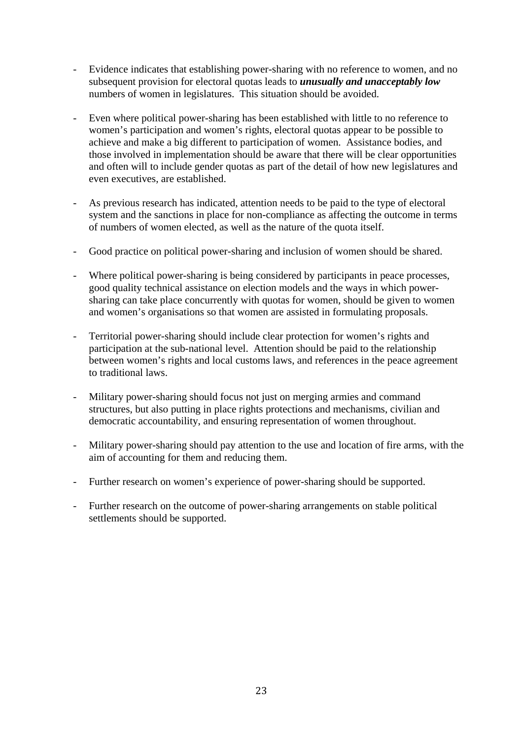- Evidence indicates that establishing power-sharing with no reference to women, and no subsequent provision for electoral quotas leads to *unusually and unacceptably low*  numbers of women in legislatures. This situation should be avoided.
- Even where political power-sharing has been established with little to no reference to women's participation and women's rights, electoral quotas appear to be possible to achieve and make a big different to participation of women. Assistance bodies, and those involved in implementation should be aware that there will be clear opportunities and often will to include gender quotas as part of the detail of how new legislatures and even executives, are established.
- As previous research has indicated, attention needs to be paid to the type of electoral system and the sanctions in place for non-compliance as affecting the outcome in terms of numbers of women elected, as well as the nature of the quota itself.
- Good practice on political power-sharing and inclusion of women should be shared.
- Where political power-sharing is being considered by participants in peace processes, good quality technical assistance on election models and the ways in which powersharing can take place concurrently with quotas for women, should be given to women and women's organisations so that women are assisted in formulating proposals.
- Territorial power-sharing should include clear protection for women's rights and participation at the sub-national level. Attention should be paid to the relationship between women's rights and local customs laws, and references in the peace agreement to traditional laws.
- Military power-sharing should focus not just on merging armies and command structures, but also putting in place rights protections and mechanisms, civilian and democratic accountability, and ensuring representation of women throughout.
- Military power-sharing should pay attention to the use and location of fire arms, with the aim of accounting for them and reducing them.
- Further research on women's experience of power-sharing should be supported.
- Further research on the outcome of power-sharing arrangements on stable political settlements should be supported.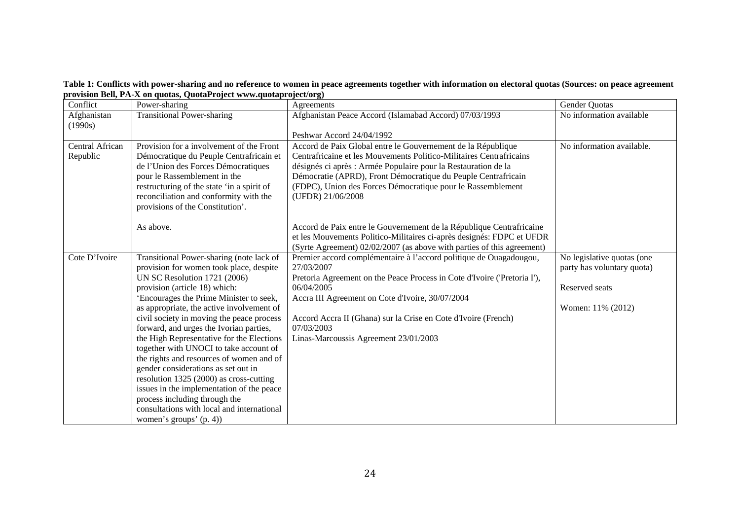**Table 1: Conflicts with power-sharing and no reference to women in peace agreements together with information on electoral quotas (Sources: on peace agreement provision Bell, PA-X on quotas, QuotaProject www.quotaproject/org)**

| Conflict        | Power-sharing                                                               | Agreements                                                               | Gender Quotas              |
|-----------------|-----------------------------------------------------------------------------|--------------------------------------------------------------------------|----------------------------|
| Afghanistan     | <b>Transitional Power-sharing</b>                                           | Afghanistan Peace Accord (Islamabad Accord) 07/03/1993                   | No information available   |
| (1990s)         |                                                                             |                                                                          |                            |
|                 |                                                                             | Peshwar Accord 24/04/1992                                                |                            |
| Central African | Provision for a involvement of the Front                                    | Accord de Paix Global entre le Gouvernement de la République             | No information available.  |
| Republic        | Démocratique du Peuple Centrafricain et                                     | Centrafricaine et les Mouvements Politico-Militaires Centrafricains      |                            |
|                 | de l'Union des Forces Démocratiques                                         | désignés ci après : Armée Populaire pour la Restauration de la           |                            |
|                 | pour le Rassemblement in the                                                | Démocratie (APRD), Front Démocratique du Peuple Centrafricain            |                            |
|                 | restructuring of the state 'in a spirit of                                  | (FDPC), Union des Forces Démocratique pour le Rassemblement              |                            |
|                 | reconciliation and conformity with the                                      | (UFDR) 21/06/2008                                                        |                            |
|                 | provisions of the Constitution'.                                            |                                                                          |                            |
|                 | As above.                                                                   | Accord de Paix entre le Gouvernement de la République Centrafricaine     |                            |
|                 |                                                                             | et les Mouvements Politico-Militaires ci-après designés: FDPC et UFDR    |                            |
|                 |                                                                             | (Syrte Agreement) 02/02/2007 (as above with parties of this agreement)   |                            |
| Cote D'Ivoire   | Transitional Power-sharing (note lack of                                    | Premier accord complémentaire à l'accord politique de Ouagadougou,       | No legislative quotas (one |
|                 | provision for women took place, despite                                     | 27/03/2007                                                               | party has voluntary quota) |
|                 | <b>UN SC Resolution 1721 (2006)</b>                                         | Pretoria Agreement on the Peace Process in Cote d'Ivoire ('Pretoria I'), |                            |
|                 | provision (article 18) which:                                               | 06/04/2005                                                               | Reserved seats             |
|                 | 'Encourages the Prime Minister to seek,                                     | Accra III Agreement on Cote d'Ivoire, 30/07/2004                         |                            |
|                 | as appropriate, the active involvement of                                   |                                                                          | Women: 11% (2012)          |
|                 | civil society in moving the peace process                                   | Accord Accra II (Ghana) sur la Crise en Cote d'Ivoire (French)           |                            |
|                 | forward, and urges the Ivorian parties,                                     | 07/03/2003                                                               |                            |
|                 | the High Representative for the Elections                                   | Linas-Marcoussis Agreement 23/01/2003                                    |                            |
|                 | together with UNOCI to take account of                                      |                                                                          |                            |
|                 | the rights and resources of women and of                                    |                                                                          |                            |
|                 | gender considerations as set out in                                         |                                                                          |                            |
|                 | resolution 1325 (2000) as cross-cutting                                     |                                                                          |                            |
|                 | issues in the implementation of the peace                                   |                                                                          |                            |
|                 | process including through the<br>consultations with local and international |                                                                          |                            |
|                 |                                                                             |                                                                          |                            |
|                 | women's groups' (p. 4))                                                     |                                                                          |                            |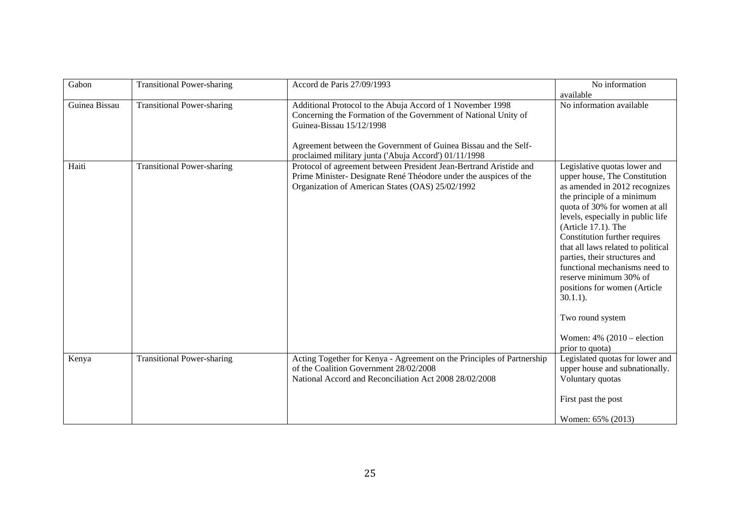| Gabon         | <b>Transitional Power-sharing</b> | Accord de Paris 27/09/1993                                                                                                                                                                                                                                                            | No information<br>available                                                                                                                                                                                                                                                                                                                                                                                                                                                                                            |
|---------------|-----------------------------------|---------------------------------------------------------------------------------------------------------------------------------------------------------------------------------------------------------------------------------------------------------------------------------------|------------------------------------------------------------------------------------------------------------------------------------------------------------------------------------------------------------------------------------------------------------------------------------------------------------------------------------------------------------------------------------------------------------------------------------------------------------------------------------------------------------------------|
| Guinea Bissau | <b>Transitional Power-sharing</b> | Additional Protocol to the Abuja Accord of 1 November 1998<br>Concerning the Formation of the Government of National Unity of<br>Guinea-Bissau 15/12/1998<br>Agreement between the Government of Guinea Bissau and the Self-<br>proclaimed military junta ('Abuja Accord') 01/11/1998 | No information available                                                                                                                                                                                                                                                                                                                                                                                                                                                                                               |
| Haiti         | <b>Transitional Power-sharing</b> | Protocol of agreement between President Jean-Bertrand Aristide and<br>Prime Minister- Designate René Théodore under the auspices of the<br>Organization of American States (OAS) 25/02/1992                                                                                           | Legislative quotas lower and<br>upper house, The Constitution<br>as amended in 2012 recognizes<br>the principle of a minimum<br>quota of 30% for women at all<br>levels, especially in public life<br>(Article $17.1$ ). The<br>Constitution further requires<br>that all laws related to political<br>parties, their structures and<br>functional mechanisms need to<br>reserve minimum 30% of<br>positions for women (Article<br>$30.1.1$ ).<br>Two round system<br>Women: $4\%$ (2010 – election<br>prior to quota) |
| Kenya         | <b>Transitional Power-sharing</b> | Acting Together for Kenya - Agreement on the Principles of Partnership<br>of the Coalition Government 28/02/2008<br>National Accord and Reconciliation Act 2008 28/02/2008                                                                                                            | Legislated quotas for lower and<br>upper house and subnationally.<br>Voluntary quotas<br>First past the post<br>Women: 65% (2013)                                                                                                                                                                                                                                                                                                                                                                                      |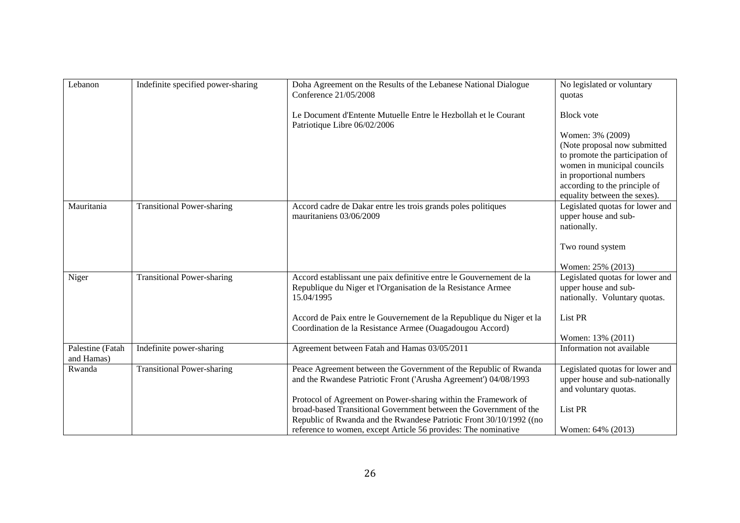| Lebanon          | Indefinite specified power-sharing | Doha Agreement on the Results of the Lebanese National Dialogue                                 | No legislated or voluntary      |
|------------------|------------------------------------|-------------------------------------------------------------------------------------------------|---------------------------------|
|                  |                                    |                                                                                                 |                                 |
|                  |                                    | Conference 21/05/2008                                                                           | quotas                          |
|                  |                                    | Le Document d'Entente Mutuelle Entre le Hezbollah et le Courant<br>Patriotique Libre 06/02/2006 | <b>Block</b> vote               |
|                  |                                    |                                                                                                 | Women: 3% (2009)                |
|                  |                                    |                                                                                                 | (Note proposal now submitted    |
|                  |                                    |                                                                                                 | to promote the participation of |
|                  |                                    |                                                                                                 |                                 |
|                  |                                    |                                                                                                 | women in municipal councils     |
|                  |                                    |                                                                                                 | in proportional numbers         |
|                  |                                    |                                                                                                 | according to the principle of   |
|                  |                                    |                                                                                                 | equality between the sexes).    |
| Mauritania       | <b>Transitional Power-sharing</b>  | Accord cadre de Dakar entre les trois grands poles politiques                                   | Legislated quotas for lower and |
|                  |                                    | mauritaniens 03/06/2009                                                                         | upper house and sub-            |
|                  |                                    |                                                                                                 | nationally.                     |
|                  |                                    |                                                                                                 |                                 |
|                  |                                    |                                                                                                 | Two round system                |
|                  |                                    |                                                                                                 |                                 |
|                  |                                    |                                                                                                 | Women: 25% (2013)               |
| Niger            | <b>Transitional Power-sharing</b>  | Accord establissant une paix definitive entre le Gouvernement de la                             | Legislated quotas for lower and |
|                  |                                    | Republique du Niger et l'Organisation de la Resistance Armee                                    | upper house and sub-            |
|                  |                                    | 15.04/1995                                                                                      | nationally. Voluntary quotas.   |
|                  |                                    |                                                                                                 |                                 |
|                  |                                    | Accord de Paix entre le Gouvernement de la Republique du Niger et la                            | List PR                         |
|                  |                                    | Coordination de la Resistance Armee (Ouagadougou Accord)                                        |                                 |
|                  |                                    |                                                                                                 | Women: 13% (2011)               |
| Palestine (Fatah | Indefinite power-sharing           | Agreement between Fatah and Hamas 03/05/2011                                                    | Information not available       |
| and Hamas)       |                                    |                                                                                                 |                                 |
| Rwanda           | <b>Transitional Power-sharing</b>  | Peace Agreement between the Government of the Republic of Rwanda                                | Legislated quotas for lower and |
|                  |                                    | and the Rwandese Patriotic Front ('Arusha Agreement') 04/08/1993                                | upper house and sub-nationally  |
|                  |                                    |                                                                                                 | and voluntary quotas.           |
|                  |                                    | Protocol of Agreement on Power-sharing within the Framework of                                  |                                 |
|                  |                                    | broad-based Transitional Government between the Government of the                               | List PR                         |
|                  |                                    | Republic of Rwanda and the Rwandese Patriotic Front 30/10/1992 ((no                             |                                 |
|                  |                                    |                                                                                                 |                                 |
|                  |                                    | reference to women, except Article 56 provides: The nominative                                  | Women: 64% (2013)               |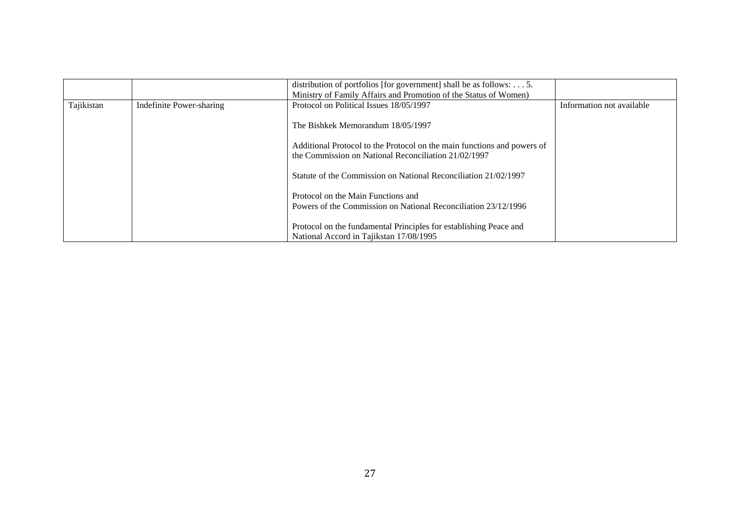|            |                          | distribution of portfolios [for government] shall be as follows: $\dots$ 5.<br>Ministry of Family Affairs and Promotion of the Status of Women) |                           |
|------------|--------------------------|-------------------------------------------------------------------------------------------------------------------------------------------------|---------------------------|
| Tajikistan | Indefinite Power-sharing | Protocol on Political Issues 18/05/1997                                                                                                         | Information not available |
|            |                          | The Bishkek Memorandum 18/05/1997                                                                                                               |                           |
|            |                          | Additional Protocol to the Protocol on the main functions and powers of<br>the Commission on National Reconciliation 21/02/1997                 |                           |
|            |                          | Statute of the Commission on National Reconciliation 21/02/1997                                                                                 |                           |
|            |                          | Protocol on the Main Functions and<br>Powers of the Commission on National Reconciliation 23/12/1996                                            |                           |
|            |                          | Protocol on the fundamental Principles for establishing Peace and<br>National Accord in Tajikstan 17/08/1995                                    |                           |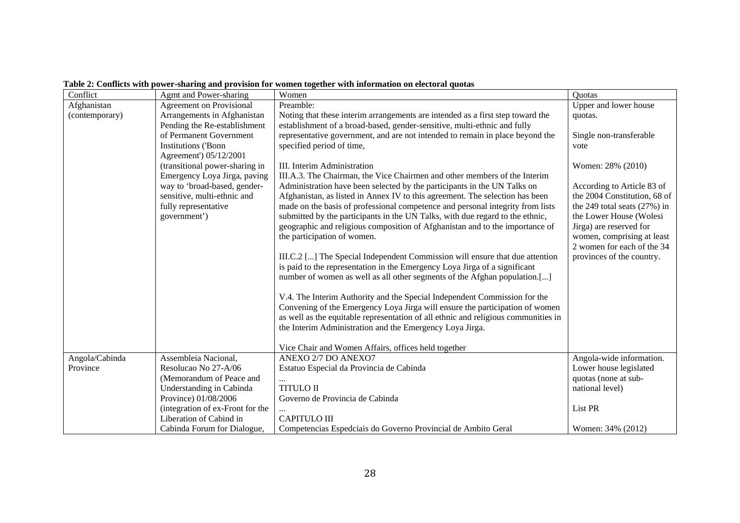| Conflict       | Agmt and Power-sharing           | Women                                                                              | <b>Ouotas</b>                  |
|----------------|----------------------------------|------------------------------------------------------------------------------------|--------------------------------|
| Afghanistan    | <b>Agreement on Provisional</b>  | Preamble:                                                                          | Upper and lower house          |
| (contemporary) | Arrangements in Afghanistan      | Noting that these interim arrangements are intended as a first step toward the     | quotas.                        |
|                | Pending the Re-establishment     | establishment of a broad-based, gender-sensitive, multi-ethnic and fully           |                                |
|                | of Permanent Government          | representative government, and are not intended to remain in place beyond the      | Single non-transferable        |
|                | Institutions ('Bonn              | specified period of time,                                                          | vote                           |
|                | Agreement') 05/12/2001           |                                                                                    |                                |
|                | (transitional power-sharing in   | III. Interim Administration                                                        | Women: 28% (2010)              |
|                | Emergency Loya Jirga, paving     | III.A.3. The Chairman, the Vice Chairmen and other members of the Interim          |                                |
|                | way to 'broad-based, gender-     | Administration have been selected by the participants in the UN Talks on           | According to Article 83 of     |
|                | sensitive, multi-ethnic and      | Afghanistan, as listed in Annex IV to this agreement. The selection has been       | the 2004 Constitution, 68 of   |
|                | fully representative             | made on the basis of professional competence and personal integrity from lists     | the 249 total seats $(27%)$ in |
|                | government')                     | submitted by the participants in the UN Talks, with due regard to the ethnic,      | the Lower House (Wolesi        |
|                |                                  | geographic and religious composition of Afghanistan and to the importance of       | Jirga) are reserved for        |
|                |                                  | the participation of women.                                                        | women, comprising at least     |
|                |                                  |                                                                                    | 2 women for each of the 34     |
|                |                                  | III.C.2 [] The Special Independent Commission will ensure that due attention       | provinces of the country.      |
|                |                                  | is paid to the representation in the Emergency Loya Jirga of a significant         |                                |
|                |                                  | number of women as well as all other segments of the Afghan population.[]          |                                |
|                |                                  |                                                                                    |                                |
|                |                                  | V.4. The Interim Authority and the Special Independent Commission for the          |                                |
|                |                                  | Convening of the Emergency Loya Jirga will ensure the participation of women       |                                |
|                |                                  | as well as the equitable representation of all ethnic and religious communities in |                                |
|                |                                  | the Interim Administration and the Emergency Loya Jirga.                           |                                |
|                |                                  | Vice Chair and Women Affairs, offices held together                                |                                |
| Angola/Cabinda | Assembleia Nacional,             | ANEXO 2/7 DO ANEXO7                                                                | Angola-wide information.       |
| Province       | Resolucao No 27-A/06             | Estatuo Especial da Provincia de Cabinda                                           | Lower house legislated         |
|                | (Memorandum of Peace and         |                                                                                    | quotas (none at sub-           |
|                | Understanding in Cabinda         | <b>TITULO II</b>                                                                   | national level)                |
|                | Province) 01/08/2006             | Governo de Provincia de Cabinda                                                    |                                |
|                | (integration of ex-Front for the |                                                                                    | List PR                        |
|                | Liberation of Cabind in          | <b>CAPITULO III</b>                                                                |                                |
|                | Cabinda Forum for Dialogue,      | Competencias Espedciais do Governo Provincial de Ambito Geral                      | Women: 34% (2012)              |

#### **Table 2: Conflicts with power-sharing and provision for women together with information on electoral quotas**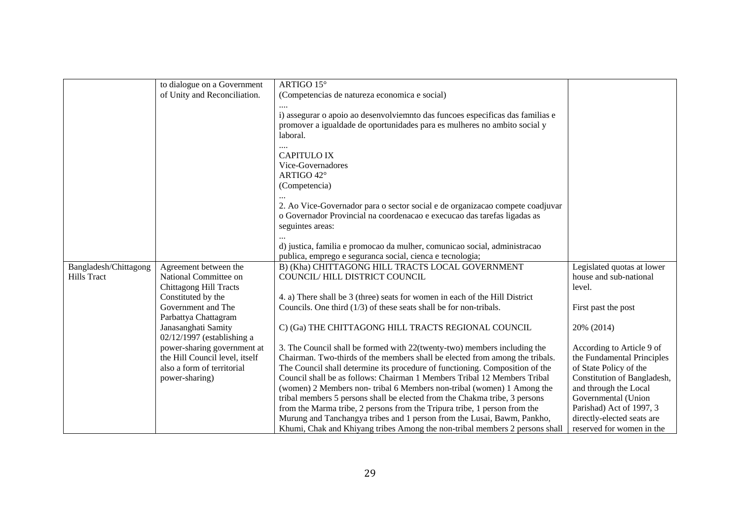|                       | to dialogue on a Government    | ARTIGO 15°                                                                     |                             |
|-----------------------|--------------------------------|--------------------------------------------------------------------------------|-----------------------------|
|                       | of Unity and Reconciliation.   | (Competencias de natureza economica e social)                                  |                             |
|                       |                                |                                                                                |                             |
|                       |                                | i) assegurar o apoio ao desenvolviemnto das funcoes especificas das familias e |                             |
|                       |                                |                                                                                |                             |
|                       |                                | promover a igualdade de oportunidades para es mulheres no ambito social y      |                             |
|                       |                                | laboral.                                                                       |                             |
|                       |                                |                                                                                |                             |
|                       |                                | <b>CAPITULO IX</b>                                                             |                             |
|                       |                                | Vice-Governadores                                                              |                             |
|                       |                                | ARTIGO 42°                                                                     |                             |
|                       |                                | (Competencia)                                                                  |                             |
|                       |                                |                                                                                |                             |
|                       |                                | 2. Ao Vice-Governador para o sector social e de organizacao compete coadjuvar  |                             |
|                       |                                | o Governador Provincial na coordenacao e execucao das tarefas ligadas as       |                             |
|                       |                                | seguintes areas:                                                               |                             |
|                       |                                |                                                                                |                             |
|                       |                                | d) justica, familia e promocao da mulher, comunicao social, administracao      |                             |
|                       |                                | publica, emprego e seguranca social, cienca e tecnologia;                      |                             |
| Bangladesh/Chittagong | Agreement between the          | B) (Kha) CHITTAGONG HILL TRACTS LOCAL GOVERNMENT                               | Legislated quotas at lower  |
| <b>Hills Tract</b>    | National Committee on          | COUNCIL/HILL DISTRICT COUNCIL                                                  | house and sub-national      |
|                       | <b>Chittagong Hill Tracts</b>  |                                                                                | level.                      |
|                       | Constituted by the             | 4. a) There shall be 3 (three) seats for women in each of the Hill District    |                             |
|                       | Government and The             | Councils. One third $(1/3)$ of these seats shall be for non-tribals.           | First past the post         |
|                       | Parbattya Chattagram           |                                                                                |                             |
|                       | Janasanghati Samity            | C) (Ga) THE CHITTAGONG HILL TRACTS REGIONAL COUNCIL                            | 20% (2014)                  |
|                       | $02/12/1997$ (establishing a   |                                                                                |                             |
|                       | power-sharing government at    | 3. The Council shall be formed with 22(twenty-two) members including the       | According to Article 9 of   |
|                       | the Hill Council level, itself | Chairman. Two-thirds of the members shall be elected from among the tribals.   | the Fundamental Principles  |
|                       | also a form of territorial     | The Council shall determine its procedure of functioning. Composition of the   | of State Policy of the      |
|                       | power-sharing)                 | Council shall be as follows: Chairman 1 Members Tribal 12 Members Tribal       | Constitution of Bangladesh, |
|                       |                                | (women) 2 Members non- tribal 6 Members non-tribal (women) 1 Among the         | and through the Local       |
|                       |                                | tribal members 5 persons shall be elected from the Chakma tribe, 3 persons     | Governmental (Union         |
|                       |                                | from the Marma tribe, 2 persons from the Tripura tribe, 1 person from the      | Parishad) Act of 1997, 3    |
|                       |                                | Murung and Tanchangya tribes and 1 person from the Lusai, Bawm, Pankho,        | directly-elected seats are  |
|                       |                                | Khumi, Chak and Khiyang tribes Among the non-tribal members 2 persons shall    | reserved for women in the   |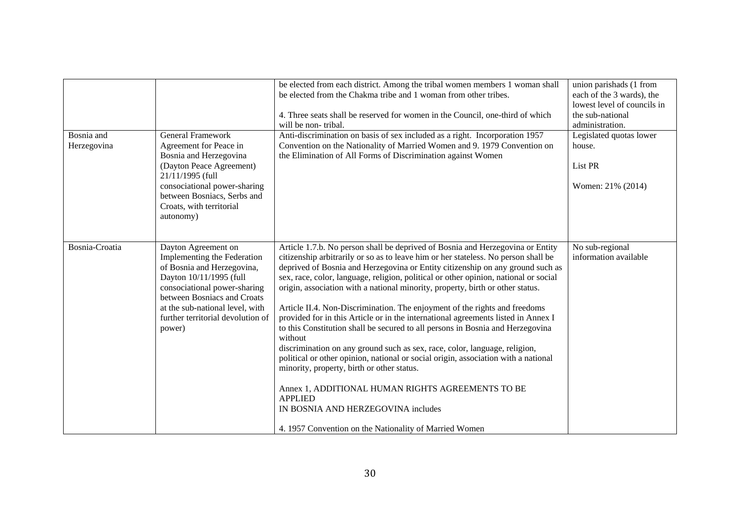| Bosnia and     | <b>General Framework</b>                                                                                                                                                                                                                                     | be elected from each district. Among the tribal women members 1 woman shall<br>be elected from the Chakma tribe and 1 woman from other tribes.<br>4. Three seats shall be reserved for women in the Council, one-third of which<br>will be non-tribal.<br>Anti-discrimination on basis of sex included as a right. Incorporation 1957                                                                                                                                                                                                                                                                                                                                                                                                                                                                                                                                                                                                                                                                                                                                                     | union parishads (1 from<br>each of the 3 wards), the<br>lowest level of councils in<br>the sub-national<br>administration.<br>Legislated quotas lower |
|----------------|--------------------------------------------------------------------------------------------------------------------------------------------------------------------------------------------------------------------------------------------------------------|-------------------------------------------------------------------------------------------------------------------------------------------------------------------------------------------------------------------------------------------------------------------------------------------------------------------------------------------------------------------------------------------------------------------------------------------------------------------------------------------------------------------------------------------------------------------------------------------------------------------------------------------------------------------------------------------------------------------------------------------------------------------------------------------------------------------------------------------------------------------------------------------------------------------------------------------------------------------------------------------------------------------------------------------------------------------------------------------|-------------------------------------------------------------------------------------------------------------------------------------------------------|
| Herzegovina    | Agreement for Peace in<br>Bosnia and Herzegovina<br>(Dayton Peace Agreement)<br>21/11/1995 (full<br>consociational power-sharing<br>between Bosniacs, Serbs and<br>Croats, with territorial<br>autonomy)                                                     | Convention on the Nationality of Married Women and 9. 1979 Convention on<br>the Elimination of All Forms of Discrimination against Women                                                                                                                                                                                                                                                                                                                                                                                                                                                                                                                                                                                                                                                                                                                                                                                                                                                                                                                                                  | house.<br>List PR<br>Women: 21% (2014)                                                                                                                |
| Bosnia-Croatia | Dayton Agreement on<br>Implementing the Federation<br>of Bosnia and Herzegovina,<br>Dayton 10/11/1995 (full<br>consociational power-sharing<br>between Bosniacs and Croats<br>at the sub-national level, with<br>further territorial devolution of<br>power) | Article 1.7.b. No person shall be deprived of Bosnia and Herzegovina or Entity<br>citizenship arbitrarily or so as to leave him or her stateless. No person shall be<br>deprived of Bosnia and Herzegovina or Entity citizenship on any ground such as<br>sex, race, color, language, religion, political or other opinion, national or social<br>origin, association with a national minority, property, birth or other status.<br>Article II.4. Non-Discrimination. The enjoyment of the rights and freedoms<br>provided for in this Article or in the international agreements listed in Annex I<br>to this Constitution shall be secured to all persons in Bosnia and Herzegovina<br>without<br>discrimination on any ground such as sex, race, color, language, religion,<br>political or other opinion, national or social origin, association with a national<br>minority, property, birth or other status.<br>Annex 1, ADDITIONAL HUMAN RIGHTS AGREEMENTS TO BE<br><b>APPLIED</b><br>IN BOSNIA AND HERZEGOVINA includes<br>4. 1957 Convention on the Nationality of Married Women | No sub-regional<br>information available                                                                                                              |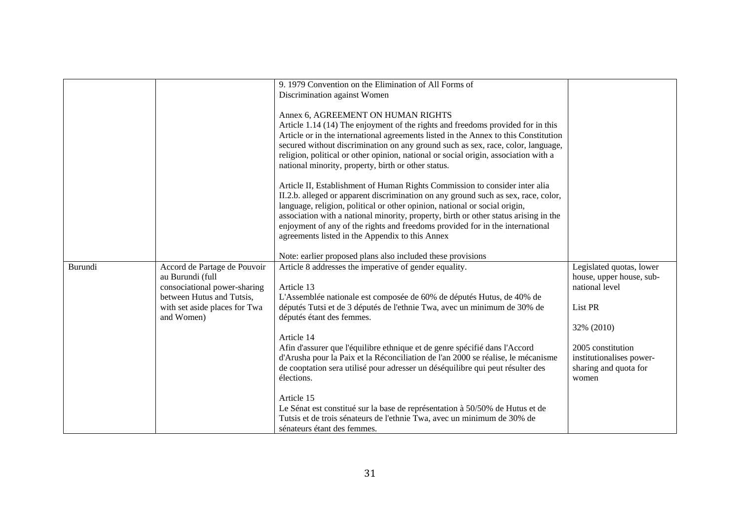|         |                               | 9. 1979 Convention on the Elimination of All Forms of                                |                          |
|---------|-------------------------------|--------------------------------------------------------------------------------------|--------------------------|
|         |                               | Discrimination against Women                                                         |                          |
|         |                               | Annex 6, AGREEMENT ON HUMAN RIGHTS                                                   |                          |
|         |                               | Article 1.14 (14) The enjoyment of the rights and freedoms provided for in this      |                          |
|         |                               | Article or in the international agreements listed in the Annex to this Constitution  |                          |
|         |                               | secured without discrimination on any ground such as sex, race, color, language,     |                          |
|         |                               | religion, political or other opinion, national or social origin, association with a  |                          |
|         |                               | national minority, property, birth or other status.                                  |                          |
|         |                               | Article II, Establishment of Human Rights Commission to consider inter alia          |                          |
|         |                               | II.2.b. alleged or apparent discrimination on any ground such as sex, race, color,   |                          |
|         |                               | language, religion, political or other opinion, national or social origin,           |                          |
|         |                               | association with a national minority, property, birth or other status arising in the |                          |
|         |                               | enjoyment of any of the rights and freedoms provided for in the international        |                          |
|         |                               | agreements listed in the Appendix to this Annex                                      |                          |
|         |                               | Note: earlier proposed plans also included these provisions                          |                          |
| Burundi | Accord de Partage de Pouvoir  | Article 8 addresses the imperative of gender equality.                               | Legislated quotas, lower |
|         | au Burundi (full              |                                                                                      | house, upper house, sub- |
|         | consociational power-sharing  | Article 13                                                                           | national level           |
|         | between Hutus and Tutsis,     | L'Assemblée nationale est composée de 60% de députés Hutus, de 40% de                |                          |
|         | with set aside places for Twa | députés Tutsi et de 3 députés de l'ethnie Twa, avec un minimum de 30% de             | List PR                  |
|         | and Women)                    | députés étant des femmes.                                                            | 32% (2010)               |
|         |                               | Article 14                                                                           |                          |
|         |                               | Afin d'assurer que l'équilibre ethnique et de genre spécifié dans l'Accord           | 2005 constitution        |
|         |                               | d'Arusha pour la Paix et la Réconciliation de l'an 2000 se réalise, le mécanisme     | institutionalises power- |
|         |                               | de cooptation sera utilisé pour adresser un déséquilibre qui peut résulter des       | sharing and quota for    |
|         |                               | élections.                                                                           | women                    |
|         |                               | Article 15                                                                           |                          |
|         |                               | Le Sénat est constitué sur la base de représentation à 50/50% de Hutus et de         |                          |
|         |                               | Tutsis et de trois sénateurs de l'ethnie Twa, avec un minimum de 30% de              |                          |
|         |                               | sénateurs étant des femmes.                                                          |                          |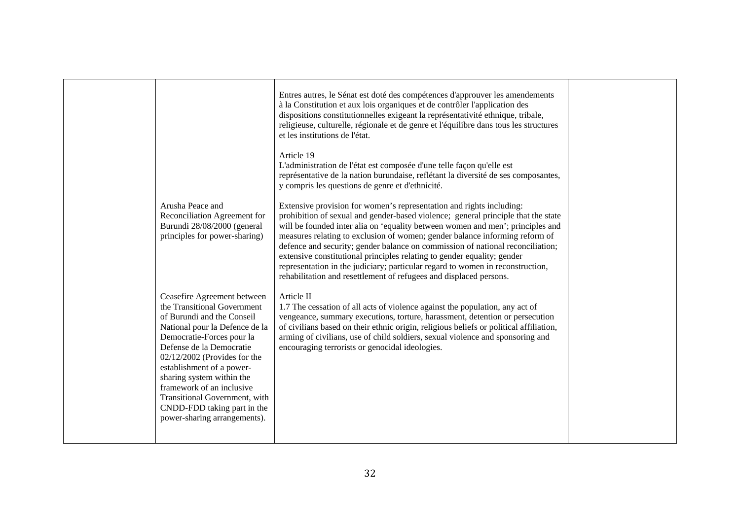|                                                                                                                                                                                                                                                                                                                                                                                                              | Entres autres, le Sénat est doté des compétences d'approuver les amendements<br>à la Constitution et aux lois organiques et de contrôler l'application des<br>dispositions constitutionnelles exigeant la représentativité ethnique, tribale,<br>religieuse, culturelle, régionale et de genre et l'équilibre dans tous les structures<br>et les institutions de l'état.                                                                                                                                                                                                                                                                        |  |
|--------------------------------------------------------------------------------------------------------------------------------------------------------------------------------------------------------------------------------------------------------------------------------------------------------------------------------------------------------------------------------------------------------------|-------------------------------------------------------------------------------------------------------------------------------------------------------------------------------------------------------------------------------------------------------------------------------------------------------------------------------------------------------------------------------------------------------------------------------------------------------------------------------------------------------------------------------------------------------------------------------------------------------------------------------------------------|--|
|                                                                                                                                                                                                                                                                                                                                                                                                              | Article 19<br>L'administration de l'état est composée d'une telle façon qu'elle est<br>représentative de la nation burundaise, reflétant la diversité de ses composantes,<br>y compris les questions de genre et d'ethnicité.                                                                                                                                                                                                                                                                                                                                                                                                                   |  |
| Arusha Peace and<br>Reconciliation Agreement for<br>Burundi 28/08/2000 (general<br>principles for power-sharing)                                                                                                                                                                                                                                                                                             | Extensive provision for women's representation and rights including:<br>prohibition of sexual and gender-based violence; general principle that the state<br>will be founded inter alia on 'equality between women and men'; principles and<br>measures relating to exclusion of women; gender balance informing reform of<br>defence and security; gender balance on commission of national reconciliation;<br>extensive constitutional principles relating to gender equality; gender<br>representation in the judiciary; particular regard to women in reconstruction,<br>rehabilitation and resettlement of refugees and displaced persons. |  |
| Ceasefire Agreement between<br>the Transitional Government<br>of Burundi and the Conseil<br>National pour la Defence de la<br>Democratie-Forces pour la<br>Defense de la Democratie<br>$02/12/2002$ (Provides for the<br>establishment of a power-<br>sharing system within the<br>framework of an inclusive<br>Transitional Government, with<br>CNDD-FDD taking part in the<br>power-sharing arrangements). | Article II<br>1.7 The cessation of all acts of violence against the population, any act of<br>vengeance, summary executions, torture, harassment, detention or persecution<br>of civilians based on their ethnic origin, religious beliefs or political affiliation,<br>arming of civilians, use of child soldiers, sexual violence and sponsoring and<br>encouraging terrorists or genocidal ideologies.                                                                                                                                                                                                                                       |  |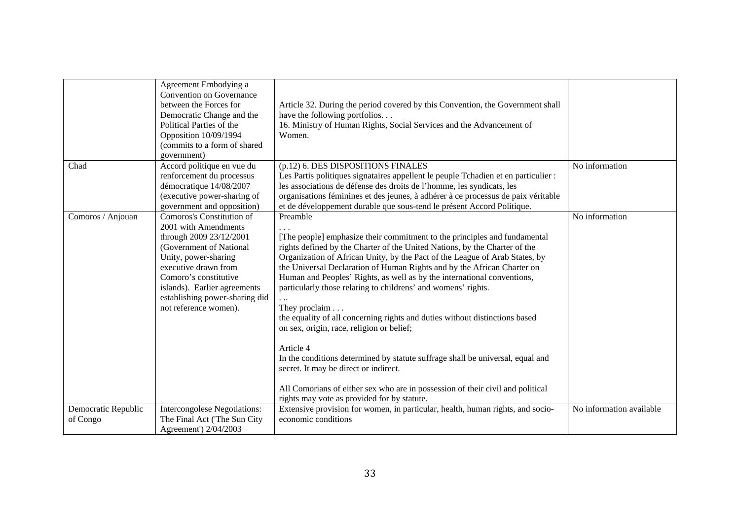| Agreement Embodying a<br>Convention on Governance<br>between the Forces for<br>Article 32. During the period covered by this Convention, the Government shall<br>have the following portfolios<br>Democratic Change and the                                                                                                                                                                                                                                                                                                                                                                                                                                                                                                                                                                                                                                                                                                                                                                                                                                                                                                                                                                                           |  |
|-----------------------------------------------------------------------------------------------------------------------------------------------------------------------------------------------------------------------------------------------------------------------------------------------------------------------------------------------------------------------------------------------------------------------------------------------------------------------------------------------------------------------------------------------------------------------------------------------------------------------------------------------------------------------------------------------------------------------------------------------------------------------------------------------------------------------------------------------------------------------------------------------------------------------------------------------------------------------------------------------------------------------------------------------------------------------------------------------------------------------------------------------------------------------------------------------------------------------|--|
| 16. Ministry of Human Rights, Social Services and the Advancement of<br>Political Parties of the<br>Opposition 10/09/1994<br>Women.<br>(commits to a form of shared                                                                                                                                                                                                                                                                                                                                                                                                                                                                                                                                                                                                                                                                                                                                                                                                                                                                                                                                                                                                                                                   |  |
| government)                                                                                                                                                                                                                                                                                                                                                                                                                                                                                                                                                                                                                                                                                                                                                                                                                                                                                                                                                                                                                                                                                                                                                                                                           |  |
| Chad<br>Accord politique en vue du<br>(p.12) 6. DES DISPOSITIONS FINALES<br>No information<br>renforcement du processus<br>Les Partis politiques signataires appellent le peuple Tchadien et en particulier :<br>démocratique 14/08/2007<br>les associations de défense des droits de l'homme, les syndicats, les<br>(executive power-sharing of<br>organisations féminines et des jeunes, à adhérer à ce processus de paix véritable<br>government and opposition)<br>et de développement durable que sous-tend le présent Accord Politique.                                                                                                                                                                                                                                                                                                                                                                                                                                                                                                                                                                                                                                                                         |  |
| Comoros's Constitution of<br>Preamble<br>No information<br>Comoros / Anjouan<br>2001 with Amendments<br>through 2009 23/12/2001<br>[The people] emphasize their commitment to the principles and fundamental<br>(Government of National<br>rights defined by the Charter of the United Nations, by the Charter of the<br>Unity, power-sharing<br>Organization of African Unity, by the Pact of the League of Arab States, by<br>executive drawn from<br>the Universal Declaration of Human Rights and by the African Charter on<br>Comoro's constitutive<br>Human and Peoples' Rights, as well as by the international conventions,<br>particularly those relating to childrens' and womens' rights.<br>islands). Earlier agreements<br>establishing power-sharing did<br>not reference women).<br>They proclaim<br>the equality of all concerning rights and duties without distinctions based<br>on sex, origin, race, religion or belief;<br>Article 4<br>In the conditions determined by statute suffrage shall be universal, equal and<br>secret. It may be direct or indirect.<br>All Comorians of either sex who are in possession of their civil and political<br>rights may vote as provided for by statute. |  |
| Extensive provision for women, in particular, health, human rights, and socio-<br>No information available<br>Democratic Republic<br>Intercongolese Negotiations:<br>The Final Act ('The Sun City<br>economic conditions<br>of Congo<br>Agreement') 2/04/2003                                                                                                                                                                                                                                                                                                                                                                                                                                                                                                                                                                                                                                                                                                                                                                                                                                                                                                                                                         |  |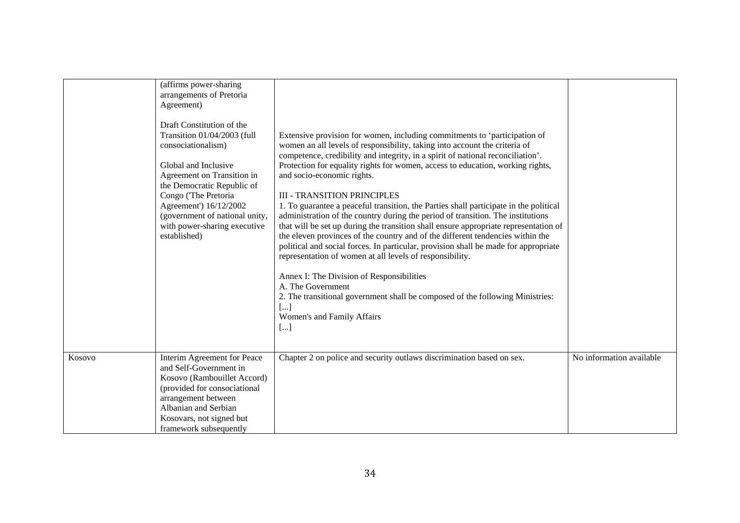|        | (affirms power-sharing<br>arrangements of Pretoria<br>Agreement)<br>Draft Constitution of the<br>Transition 01/04/2003 (full<br>consociationalism)<br>Global and Inclusive<br>Agreement on Transition in<br>the Democratic Republic of<br>Congo ('The Pretoria<br>Agreement') 16/12/2002<br>(government of national unity,<br>with power-sharing executive<br>established) | Extensive provision for women, including commitments to 'participation of<br>women an all levels of responsibility, taking into account the criteria of<br>competence, credibility and integrity, in a spirit of national reconciliation'.<br>Protection for equality rights for women, access to education, working rights,<br>and socio-economic rights.<br><b>III - TRANSITION PRINCIPLES</b><br>1. To guarantee a peaceful transition, the Parties shall participate in the political<br>administration of the country during the period of transition. The institutions<br>that will be set up during the transition shall ensure appropriate representation of<br>the eleven provinces of the country and of the different tendencies within the<br>political and social forces. In particular, provision shall be made for appropriate<br>representation of women at all levels of responsibility.<br>Annex I: The Division of Responsibilities<br>A. The Government<br>2. The transitional government shall be composed of the following Ministries:<br>$\left  \dots \right $<br>Women's and Family Affairs<br>[] |                          |
|--------|----------------------------------------------------------------------------------------------------------------------------------------------------------------------------------------------------------------------------------------------------------------------------------------------------------------------------------------------------------------------------|----------------------------------------------------------------------------------------------------------------------------------------------------------------------------------------------------------------------------------------------------------------------------------------------------------------------------------------------------------------------------------------------------------------------------------------------------------------------------------------------------------------------------------------------------------------------------------------------------------------------------------------------------------------------------------------------------------------------------------------------------------------------------------------------------------------------------------------------------------------------------------------------------------------------------------------------------------------------------------------------------------------------------------------------------------------------------------------------------------------------------|--------------------------|
| Kosovo | Interim Agreement for Peace<br>and Self-Government in<br>Kosovo (Rambouillet Accord)<br>(provided for consociational<br>arrangement between<br>Albanian and Serbian<br>Kosovars, not signed but<br>framework subsequently                                                                                                                                                  | Chapter 2 on police and security outlaws discrimination based on sex.                                                                                                                                                                                                                                                                                                                                                                                                                                                                                                                                                                                                                                                                                                                                                                                                                                                                                                                                                                                                                                                      | No information available |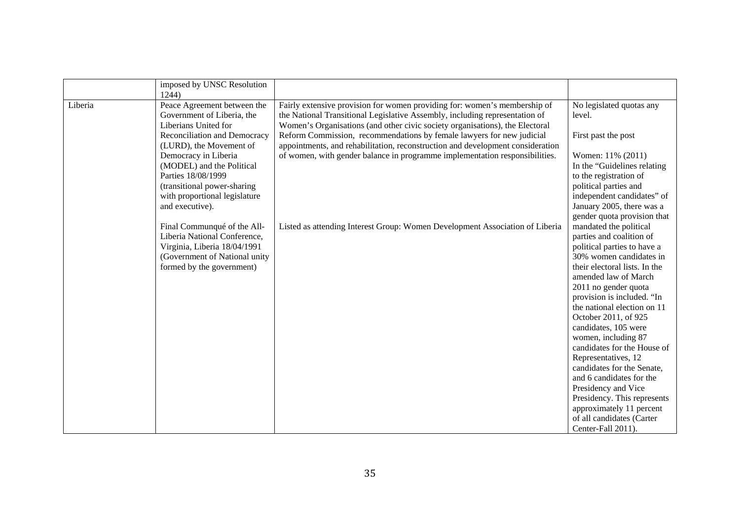|         | imposed by UNSC Resolution<br>1244)                                                                                                                       |                                                                                                                                                                                                                                          |                                                                                                                                                                                                                                                                                                                                                                  |
|---------|-----------------------------------------------------------------------------------------------------------------------------------------------------------|------------------------------------------------------------------------------------------------------------------------------------------------------------------------------------------------------------------------------------------|------------------------------------------------------------------------------------------------------------------------------------------------------------------------------------------------------------------------------------------------------------------------------------------------------------------------------------------------------------------|
| Liberia | Peace Agreement between the<br>Government of Liberia, the<br>Liberians United for                                                                         | Fairly extensive provision for women providing for: women's membership of<br>the National Transitional Legislative Assembly, including representation of<br>Women's Organisations (and other civic society organisations), the Electoral | No legislated quotas any<br>level.                                                                                                                                                                                                                                                                                                                               |
|         | Reconciliation and Democracy<br>(LURD), the Movement of                                                                                                   | Reform Commission, recommendations by female lawyers for new judicial<br>appointments, and rehabilitation, reconstruction and development consideration                                                                                  | First past the post                                                                                                                                                                                                                                                                                                                                              |
|         | Democracy in Liberia<br>(MODEL) and the Political                                                                                                         | of women, with gender balance in programme implementation responsibilities.                                                                                                                                                              | Women: 11% (2011)<br>In the "Guidelines relating                                                                                                                                                                                                                                                                                                                 |
|         | Parties 18/08/1999                                                                                                                                        |                                                                                                                                                                                                                                          | to the registration of                                                                                                                                                                                                                                                                                                                                           |
|         | (transitional power-sharing<br>with proportional legislature                                                                                              |                                                                                                                                                                                                                                          | political parties and<br>independent candidates" of                                                                                                                                                                                                                                                                                                              |
|         | and executive).                                                                                                                                           |                                                                                                                                                                                                                                          | January 2005, there was a                                                                                                                                                                                                                                                                                                                                        |
|         | Final Communqué of the All-<br>Liberia National Conference,<br>Virginia, Liberia 18/04/1991<br>(Government of National unity<br>formed by the government) | Listed as attending Interest Group: Women Development Association of Liberia                                                                                                                                                             | gender quota provision that<br>mandated the political<br>parties and coalition of<br>political parties to have a<br>30% women candidates in<br>their electoral lists. In the<br>amended law of March<br>2011 no gender quota<br>provision is included. "In<br>the national election on 11<br>October 2011, of 925<br>candidates, 105 were<br>women, including 87 |
|         |                                                                                                                                                           |                                                                                                                                                                                                                                          | candidates for the House of<br>Representatives, 12                                                                                                                                                                                                                                                                                                               |
|         |                                                                                                                                                           |                                                                                                                                                                                                                                          | candidates for the Senate,<br>and 6 candidates for the                                                                                                                                                                                                                                                                                                           |
|         |                                                                                                                                                           |                                                                                                                                                                                                                                          | Presidency and Vice                                                                                                                                                                                                                                                                                                                                              |
|         |                                                                                                                                                           |                                                                                                                                                                                                                                          | Presidency. This represents                                                                                                                                                                                                                                                                                                                                      |
|         |                                                                                                                                                           |                                                                                                                                                                                                                                          | approximately 11 percent                                                                                                                                                                                                                                                                                                                                         |
|         |                                                                                                                                                           |                                                                                                                                                                                                                                          | of all candidates (Carter<br>Center-Fall 2011).                                                                                                                                                                                                                                                                                                                  |
|         |                                                                                                                                                           |                                                                                                                                                                                                                                          |                                                                                                                                                                                                                                                                                                                                                                  |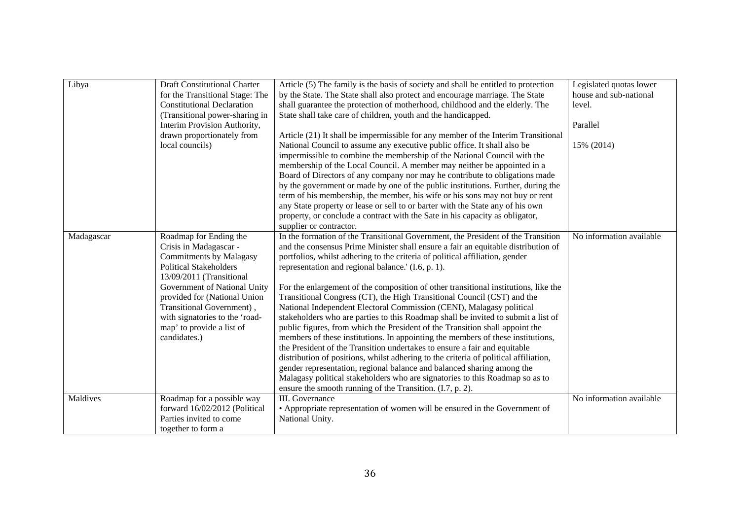| Libya      | <b>Draft Constitutional Charter</b> | Article (5) The family is the basis of society and shall be entitled to protection   | Legislated quotas lower  |
|------------|-------------------------------------|--------------------------------------------------------------------------------------|--------------------------|
|            | for the Transitional Stage: The     | by the State. The State shall also protect and encourage marriage. The State         | house and sub-national   |
|            | <b>Constitutional Declaration</b>   | shall guarantee the protection of motherhood, childhood and the elderly. The         | level.                   |
|            | (Transitional power-sharing in      | State shall take care of children, youth and the handicapped.                        |                          |
|            | Interim Provision Authority,        |                                                                                      | Parallel                 |
|            | drawn proportionately from          | Article (21) It shall be impermissible for any member of the Interim Transitional    |                          |
|            | local councils)                     | National Council to assume any executive public office. It shall also be             | 15% (2014)               |
|            |                                     | impermissible to combine the membership of the National Council with the             |                          |
|            |                                     | membership of the Local Council. A member may neither be appointed in a              |                          |
|            |                                     | Board of Directors of any company nor may he contribute to obligations made          |                          |
|            |                                     | by the government or made by one of the public institutions. Further, during the     |                          |
|            |                                     | term of his membership, the member, his wife or his sons may not buy or rent         |                          |
|            |                                     | any State property or lease or sell to or barter with the State any of his own       |                          |
|            |                                     | property, or conclude a contract with the Sate in his capacity as obligator,         |                          |
|            |                                     | supplier or contractor.                                                              |                          |
| Madagascar | Roadmap for Ending the              | In the formation of the Transitional Government, the President of the Transition     | No information available |
|            | Crisis in Madagascar -              | and the consensus Prime Minister shall ensure a fair an equitable distribution of    |                          |
|            | <b>Commitments by Malagasy</b>      | portfolios, whilst adhering to the criteria of political affiliation, gender         |                          |
|            | <b>Political Stakeholders</b>       | representation and regional balance.' (I.6, p. 1).                                   |                          |
|            | 13/09/2011 (Transitional            |                                                                                      |                          |
|            | Government of National Unity        | For the enlargement of the composition of other transitional institutions, like the  |                          |
|            | provided for (National Union        | Transitional Congress (CT), the High Transitional Council (CST) and the              |                          |
|            | Transitional Government),           | National Independent Electoral Commission (CENI), Malagasy political                 |                          |
|            | with signatories to the 'road-      | stakeholders who are parties to this Roadmap shall be invited to submit a list of    |                          |
|            | map' to provide a list of           | public figures, from which the President of the Transition shall appoint the         |                          |
|            | candidates.)                        | members of these institutions. In appointing the members of these institutions,      |                          |
|            |                                     | the President of the Transition undertakes to ensure a fair and equitable            |                          |
|            |                                     | distribution of positions, whilst adhering to the criteria of political affiliation, |                          |
|            |                                     | gender representation, regional balance and balanced sharing among the               |                          |
|            |                                     | Malagasy political stakeholders who are signatories to this Roadmap so as to         |                          |
|            |                                     | ensure the smooth running of the Transition. (I.7, p. 2).                            |                          |
| Maldives   | Roadmap for a possible way          | III. Governance                                                                      | No information available |
|            | forward 16/02/2012 (Political       | • Appropriate representation of women will be ensured in the Government of           |                          |
|            | Parties invited to come             | National Unity.                                                                      |                          |
|            | together to form a                  |                                                                                      |                          |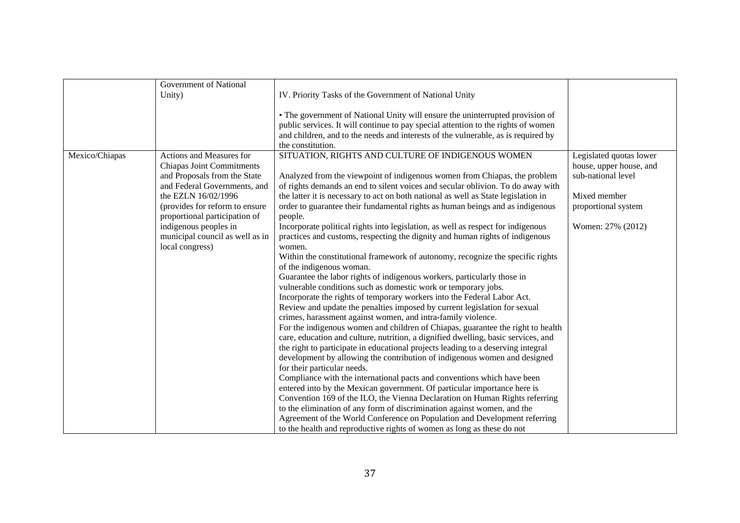|                | <b>Government of National</b>    |                                                                                    |                         |
|----------------|----------------------------------|------------------------------------------------------------------------------------|-------------------------|
|                | Unity)                           | IV. Priority Tasks of the Government of National Unity                             |                         |
|                |                                  |                                                                                    |                         |
|                |                                  | • The government of National Unity will ensure the uninterrupted provision of      |                         |
|                |                                  | public services. It will continue to pay special attention to the rights of women  |                         |
|                |                                  | and children, and to the needs and interests of the vulnerable, as is required by  |                         |
|                |                                  | the constitution.                                                                  |                         |
|                |                                  |                                                                                    |                         |
| Mexico/Chiapas | Actions and Measures for         | SITUATION, RIGHTS AND CULTURE OF INDIGENOUS WOMEN                                  | Legislated quotas lower |
|                | <b>Chiapas Joint Commitments</b> |                                                                                    | house, upper house, and |
|                | and Proposals from the State     | Analyzed from the viewpoint of indigenous women from Chiapas, the problem          | sub-national level      |
|                | and Federal Governments, and     | of rights demands an end to silent voices and secular oblivion. To do away with    |                         |
|                | the EZLN 16/02/1996              | the latter it is necessary to act on both national as well as State legislation in | Mixed member            |
|                | (provides for reform to ensure   | order to guarantee their fundamental rights as human beings and as indigenous      | proportional system     |
|                | proportional participation of    | people.                                                                            |                         |
|                | indigenous peoples in            | Incorporate political rights into legislation, as well as respect for indigenous   | Women: 27% (2012)       |
|                | municipal council as well as in  | practices and customs, respecting the dignity and human rights of indigenous       |                         |
|                | local congress)                  | women.                                                                             |                         |
|                |                                  | Within the constitutional framework of autonomy, recognize the specific rights     |                         |
|                |                                  | of the indigenous woman.                                                           |                         |
|                |                                  | Guarantee the labor rights of indigenous workers, particularly those in            |                         |
|                |                                  | vulnerable conditions such as domestic work or temporary jobs.                     |                         |
|                |                                  | Incorporate the rights of temporary workers into the Federal Labor Act.            |                         |
|                |                                  | Review and update the penalties imposed by current legislation for sexual          |                         |
|                |                                  | crimes, harassment against women, and intra-family violence.                       |                         |
|                |                                  | For the indigenous women and children of Chiapas, guarantee the right to health    |                         |
|                |                                  | care, education and culture, nutrition, a dignified dwelling, basic services, and  |                         |
|                |                                  | the right to participate in educational projects leading to a deserving integral   |                         |
|                |                                  | development by allowing the contribution of indigenous women and designed          |                         |
|                |                                  | for their particular needs.                                                        |                         |
|                |                                  | Compliance with the international pacts and conventions which have been            |                         |
|                |                                  |                                                                                    |                         |
|                |                                  | entered into by the Mexican government. Of particular importance here is           |                         |
|                |                                  | Convention 169 of the ILO, the Vienna Declaration on Human Rights referring        |                         |
|                |                                  | to the elimination of any form of discrimination against women, and the            |                         |
|                |                                  | Agreement of the World Conference on Population and Development referring          |                         |
|                |                                  | to the health and reproductive rights of women as long as these do not             |                         |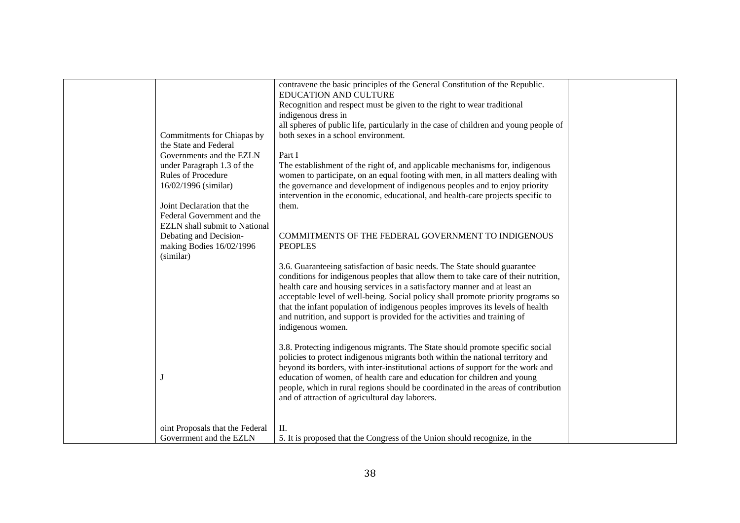|                                       | contravene the basic principles of the General Constitution of the Republic.<br>EDUCATION AND CULTURE |  |
|---------------------------------------|-------------------------------------------------------------------------------------------------------|--|
|                                       | Recognition and respect must be given to the right to wear traditional                                |  |
|                                       | indigenous dress in                                                                                   |  |
|                                       | all spheres of public life, particularly in the case of children and young people of                  |  |
| Commitments for Chiapas by            | both sexes in a school environment.                                                                   |  |
| the State and Federal                 |                                                                                                       |  |
| Governments and the EZLN              | Part I                                                                                                |  |
| under Paragraph 1.3 of the            | The establishment of the right of, and applicable mechanisms for, indigenous                          |  |
| Rules of Procedure                    | women to participate, on an equal footing with men, in all matters dealing with                       |  |
| 16/02/1996 (similar)                  | the governance and development of indigenous peoples and to enjoy priority                            |  |
|                                       | intervention in the economic, educational, and health-care projects specific to                       |  |
| Joint Declaration that the            | them.                                                                                                 |  |
| Federal Government and the            |                                                                                                       |  |
| <b>EZLN</b> shall submit to National  |                                                                                                       |  |
| Debating and Decision-                | COMMITMENTS OF THE FEDERAL GOVERNMENT TO INDIGENOUS                                                   |  |
| making Bodies 16/02/1996<br>(similar) | <b>PEOPLES</b>                                                                                        |  |
|                                       | 3.6. Guaranteeing satisfaction of basic needs. The State should guarantee                             |  |
|                                       | conditions for indigenous peoples that allow them to take care of their nutrition,                    |  |
|                                       | health care and housing services in a satisfactory manner and at least an                             |  |
|                                       | acceptable level of well-being. Social policy shall promote priority programs so                      |  |
|                                       | that the infant population of indigenous peoples improves its levels of health                        |  |
|                                       | and nutrition, and support is provided for the activities and training of                             |  |
|                                       | indigenous women.                                                                                     |  |
|                                       |                                                                                                       |  |
|                                       | 3.8. Protecting indigenous migrants. The State should promote specific social                         |  |
|                                       | policies to protect indigenous migrants both within the national territory and                        |  |
|                                       | beyond its borders, with inter-institutional actions of support for the work and                      |  |
| J                                     | education of women, of health care and education for children and young                               |  |
|                                       | people, which in rural regions should be coordinated in the areas of contribution                     |  |
|                                       | and of attraction of agricultural day laborers.                                                       |  |
|                                       |                                                                                                       |  |
| oint Proposals that the Federal       | II.                                                                                                   |  |
| Government and the EZLN               | 5. It is proposed that the Congress of the Union should recognize, in the                             |  |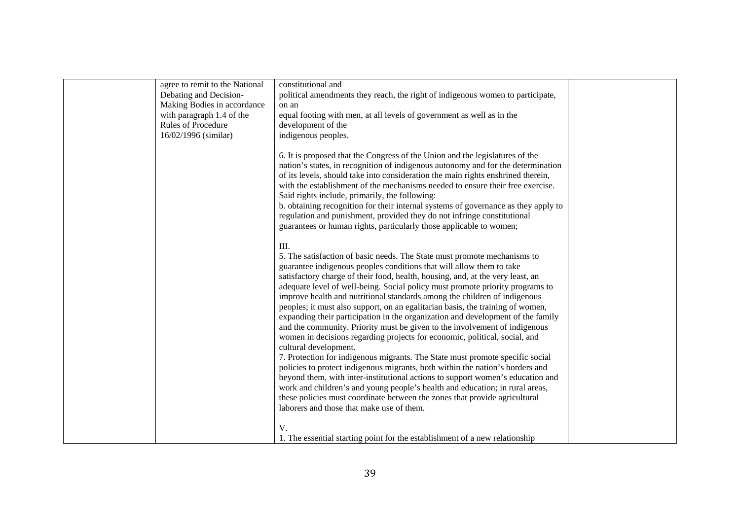| agree to remit to the National<br>Debating and Decision-<br>Making Bodies in accordance<br>with paragraph 1.4 of the<br><b>Rules of Procedure</b><br>16/02/1996 (similar) | constitutional and<br>political amendments they reach, the right of indigenous women to participate,<br>on an<br>equal footing with men, at all levels of government as well as in the<br>development of the<br>indigenous peoples.                                                                                                                                                                                                                                                                                                                                                                                                                                                                                                                                                                                                                                                                                                                                                                                                                                                                                                                                                                                               |  |
|---------------------------------------------------------------------------------------------------------------------------------------------------------------------------|-----------------------------------------------------------------------------------------------------------------------------------------------------------------------------------------------------------------------------------------------------------------------------------------------------------------------------------------------------------------------------------------------------------------------------------------------------------------------------------------------------------------------------------------------------------------------------------------------------------------------------------------------------------------------------------------------------------------------------------------------------------------------------------------------------------------------------------------------------------------------------------------------------------------------------------------------------------------------------------------------------------------------------------------------------------------------------------------------------------------------------------------------------------------------------------------------------------------------------------|--|
|                                                                                                                                                                           | 6. It is proposed that the Congress of the Union and the legislatures of the<br>nation's states, in recognition of indigenous autonomy and for the determination<br>of its levels, should take into consideration the main rights enshrined therein,<br>with the establishment of the mechanisms needed to ensure their free exercise.<br>Said rights include, primarily, the following:<br>b. obtaining recognition for their internal systems of governance as they apply to<br>regulation and punishment, provided they do not infringe constitutional<br>guarantees or human rights, particularly those applicable to women;                                                                                                                                                                                                                                                                                                                                                                                                                                                                                                                                                                                                  |  |
|                                                                                                                                                                           | III.<br>5. The satisfaction of basic needs. The State must promote mechanisms to<br>guarantee indigenous peoples conditions that will allow them to take<br>satisfactory charge of their food, health, housing, and, at the very least, an<br>adequate level of well-being. Social policy must promote priority programs to<br>improve health and nutritional standards among the children of indigenous<br>peoples; it must also support, on an egalitarian basis, the training of women,<br>expanding their participation in the organization and development of the family<br>and the community. Priority must be given to the involvement of indigenous<br>women in decisions regarding projects for economic, political, social, and<br>cultural development.<br>7. Protection for indigenous migrants. The State must promote specific social<br>policies to protect indigenous migrants, both within the nation's borders and<br>beyond them, with inter-institutional actions to support women's education and<br>work and children's and young people's health and education; in rural areas,<br>these policies must coordinate between the zones that provide agricultural<br>laborers and those that make use of them. |  |
|                                                                                                                                                                           | V.<br>1. The essential starting point for the establishment of a new relationship                                                                                                                                                                                                                                                                                                                                                                                                                                                                                                                                                                                                                                                                                                                                                                                                                                                                                                                                                                                                                                                                                                                                                 |  |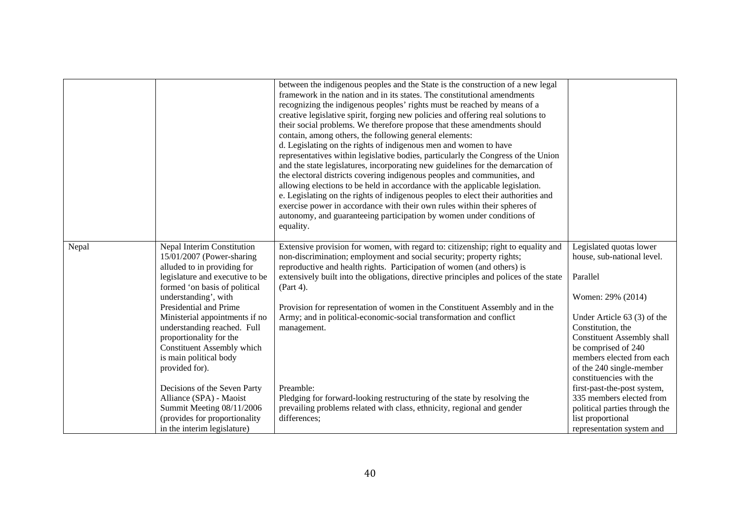|       |                                                                                                                                                                                                                                                                                                                                                                                    | between the indigenous peoples and the State is the construction of a new legal<br>framework in the nation and in its states. The constitutional amendments<br>recognizing the indigenous peoples' rights must be reached by means of a<br>creative legislative spirit, forging new policies and offering real solutions to<br>their social problems. We therefore propose that these amendments should<br>contain, among others, the following general elements:<br>d. Legislating on the rights of indigenous men and women to have<br>representatives within legislative bodies, particularly the Congress of the Union<br>and the state legislatures, incorporating new guidelines for the demarcation of<br>the electoral districts covering indigenous peoples and communities, and<br>allowing elections to be held in accordance with the applicable legislation.<br>e. Legislating on the rights of indigenous peoples to elect their authorities and<br>exercise power in accordance with their own rules within their spheres of<br>autonomy, and guaranteeing participation by women under conditions of<br>equality. |                                                                                                                                                                                                                                                                                            |
|-------|------------------------------------------------------------------------------------------------------------------------------------------------------------------------------------------------------------------------------------------------------------------------------------------------------------------------------------------------------------------------------------|-----------------------------------------------------------------------------------------------------------------------------------------------------------------------------------------------------------------------------------------------------------------------------------------------------------------------------------------------------------------------------------------------------------------------------------------------------------------------------------------------------------------------------------------------------------------------------------------------------------------------------------------------------------------------------------------------------------------------------------------------------------------------------------------------------------------------------------------------------------------------------------------------------------------------------------------------------------------------------------------------------------------------------------------------------------------------------------------------------------------------------------|--------------------------------------------------------------------------------------------------------------------------------------------------------------------------------------------------------------------------------------------------------------------------------------------|
| Nepal | Nepal Interim Constitution<br>15/01/2007 (Power-sharing<br>alluded to in providing for<br>legislature and executive to be<br>formed 'on basis of political<br>understanding', with<br>Presidential and Prime<br>Ministerial appointments if no<br>understanding reached. Full<br>proportionality for the<br>Constituent Assembly which<br>is main political body<br>provided for). | Extensive provision for women, with regard to: citizenship; right to equality and<br>non-discrimination; employment and social security; property rights;<br>reproductive and health rights. Participation of women (and others) is<br>extensively built into the obligations, directive principles and polices of the state<br>(Part 4).<br>Provision for representation of women in the Constituent Assembly and in the<br>Army; and in political-economic-social transformation and conflict<br>management.                                                                                                                                                                                                                                                                                                                                                                                                                                                                                                                                                                                                                    | Legislated quotas lower<br>house, sub-national level.<br>Parallel<br>Women: 29% (2014)<br>Under Article 63 (3) of the<br>Constitution, the<br><b>Constituent Assembly shall</b><br>be comprised of 240<br>members elected from each<br>of the 240 single-member<br>constituencies with the |
|       | Decisions of the Seven Party<br>Alliance (SPA) - Maoist<br>Summit Meeting 08/11/2006<br>(provides for proportionality)<br>in the interim legislature)                                                                                                                                                                                                                              | Preamble:<br>Pledging for forward-looking restructuring of the state by resolving the<br>prevailing problems related with class, ethnicity, regional and gender<br>differences;                                                                                                                                                                                                                                                                                                                                                                                                                                                                                                                                                                                                                                                                                                                                                                                                                                                                                                                                                   | first-past-the-post system,<br>335 members elected from<br>political parties through the<br>list proportional<br>representation system and                                                                                                                                                 |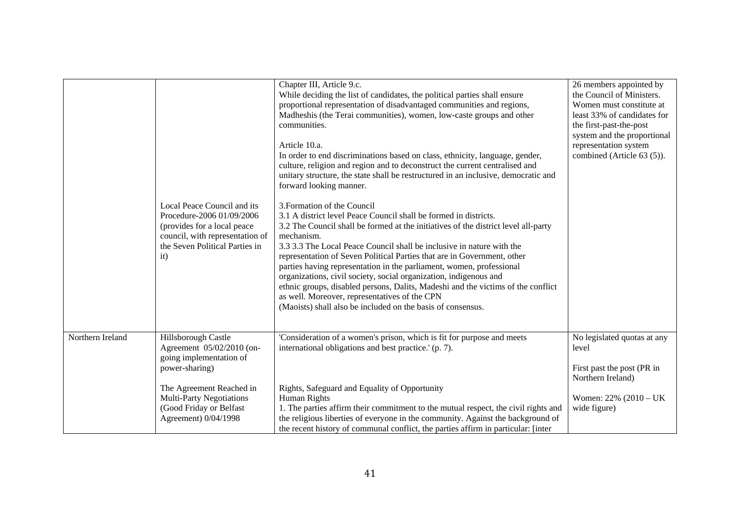|                  | Local Peace Council and its<br>Procedure-2006 01/09/2006<br>(provides for a local peace<br>council, with representation of<br>the Seven Political Parties in<br>it)                                             | Chapter III, Article 9.c.<br>While deciding the list of candidates, the political parties shall ensure<br>proportional representation of disadvantaged communities and regions,<br>Madheshis (the Terai communities), women, low-caste groups and other<br>communities.<br>Article 10.a.<br>In order to end discriminations based on class, ethnicity, language, gender,<br>culture, religion and region and to deconstruct the current centralised and<br>unitary structure, the state shall be restructured in an inclusive, democratic and<br>forward looking manner.<br>3. Formation of the Council<br>3.1 A district level Peace Council shall be formed in districts.<br>3.2 The Council shall be formed at the initiatives of the district level all-party<br>mechanism.<br>3.3 3.3 The Local Peace Council shall be inclusive in nature with the<br>representation of Seven Political Parties that are in Government, other<br>parties having representation in the parliament, women, professional<br>organizations, civil society, social organization, indigenous and<br>ethnic groups, disabled persons, Dalits, Madeshi and the victims of the conflict<br>as well. Moreover, representatives of the CPN<br>(Maoists) shall also be included on the basis of consensus. | 26 members appointed by<br>the Council of Ministers.<br>Women must constitute at<br>least 33% of candidates for<br>the first-past-the-post<br>system and the proportional<br>representation system<br>combined (Article 63 (5)). |
|------------------|-----------------------------------------------------------------------------------------------------------------------------------------------------------------------------------------------------------------|--------------------------------------------------------------------------------------------------------------------------------------------------------------------------------------------------------------------------------------------------------------------------------------------------------------------------------------------------------------------------------------------------------------------------------------------------------------------------------------------------------------------------------------------------------------------------------------------------------------------------------------------------------------------------------------------------------------------------------------------------------------------------------------------------------------------------------------------------------------------------------------------------------------------------------------------------------------------------------------------------------------------------------------------------------------------------------------------------------------------------------------------------------------------------------------------------------------------------------------------------------------------------------------|----------------------------------------------------------------------------------------------------------------------------------------------------------------------------------------------------------------------------------|
| Northern Ireland | Hillsborough Castle<br>Agreement 05/02/2010 (on-<br>going implementation of<br>power-sharing)<br>The Agreement Reached in<br><b>Multi-Party Negotiations</b><br>(Good Friday or Belfast<br>Agreement) 0/04/1998 | 'Consideration of a women's prison, which is fit for purpose and meets<br>international obligations and best practice.' (p. 7).<br>Rights, Safeguard and Equality of Opportunity<br>Human Rights<br>1. The parties affirm their commitment to the mutual respect, the civil rights and<br>the religious liberties of everyone in the community. Against the background of<br>the recent history of communal conflict, the parties affirm in particular: [inter]                                                                                                                                                                                                                                                                                                                                                                                                                                                                                                                                                                                                                                                                                                                                                                                                                      | No legislated quotas at any<br>level<br>First past the post (PR in<br>Northern Ireland)<br>Women: 22% (2010 - UK<br>wide figure)                                                                                                 |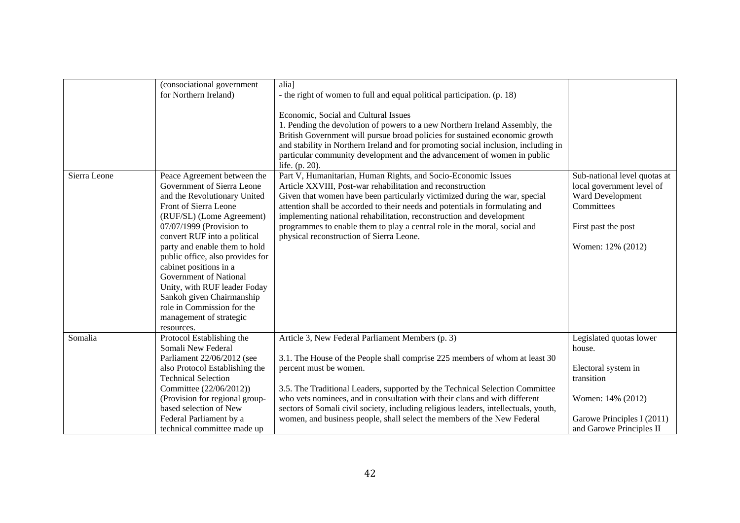|              | (consociational government<br>for Northern Ireland)                                                                                                                                                                                                                                                                                                                                                                                                                      | alia]<br>- the right of women to full and equal political participation. (p. 18)<br>Economic, Social and Cultural Issues<br>1. Pending the devolution of powers to a new Northern Ireland Assembly, the<br>British Government will pursue broad policies for sustained economic growth<br>and stability in Northern Ireland and for promoting social inclusion, including in<br>particular community development and the advancement of women in public<br>life. (p. 20).                  |                                                                                                                                         |
|--------------|--------------------------------------------------------------------------------------------------------------------------------------------------------------------------------------------------------------------------------------------------------------------------------------------------------------------------------------------------------------------------------------------------------------------------------------------------------------------------|--------------------------------------------------------------------------------------------------------------------------------------------------------------------------------------------------------------------------------------------------------------------------------------------------------------------------------------------------------------------------------------------------------------------------------------------------------------------------------------------|-----------------------------------------------------------------------------------------------------------------------------------------|
| Sierra Leone | Peace Agreement between the<br>Government of Sierra Leone<br>and the Revolutionary United<br>Front of Sierra Leone<br>(RUF/SL) (Lome Agreement)<br>07/07/1999 (Provision to<br>convert RUF into a political<br>party and enable them to hold<br>public office, also provides for<br>cabinet positions in a<br>Government of National<br>Unity, with RUF leader Foday<br>Sankoh given Chairmanship<br>role in Commission for the<br>management of strategic<br>resources. | Part V, Humanitarian, Human Rights, and Socio-Economic Issues<br>Article XXVIII, Post-war rehabilitation and reconstruction<br>Given that women have been particularly victimized during the war, special<br>attention shall be accorded to their needs and potentials in formulating and<br>implementing national rehabilitation, reconstruction and development<br>programmes to enable them to play a central role in the moral, social and<br>physical reconstruction of Sierra Leone. | Sub-national level quotas at<br>local government level of<br>Ward Development<br>Committees<br>First past the post<br>Women: 12% (2012) |
| Somalia      | Protocol Establishing the<br>Somali New Federal<br>Parliament 22/06/2012 (see<br>also Protocol Establishing the<br><b>Technical Selection</b><br>Committee (22/06/2012))                                                                                                                                                                                                                                                                                                 | Article 3, New Federal Parliament Members (p. 3)<br>3.1. The House of the People shall comprise 225 members of whom at least 30<br>percent must be women.<br>3.5. The Traditional Leaders, supported by the Technical Selection Committee                                                                                                                                                                                                                                                  | Legislated quotas lower<br>house.<br>Electoral system in<br>transition                                                                  |
|              | (Provision for regional group-<br>based selection of New<br>Federal Parliament by a<br>technical committee made up                                                                                                                                                                                                                                                                                                                                                       | who vets nominees, and in consultation with their clans and with different<br>sectors of Somali civil society, including religious leaders, intellectuals, youth,<br>women, and business people, shall select the members of the New Federal                                                                                                                                                                                                                                               | Women: 14% (2012)<br>Garowe Principles I (2011)<br>and Garowe Principles II                                                             |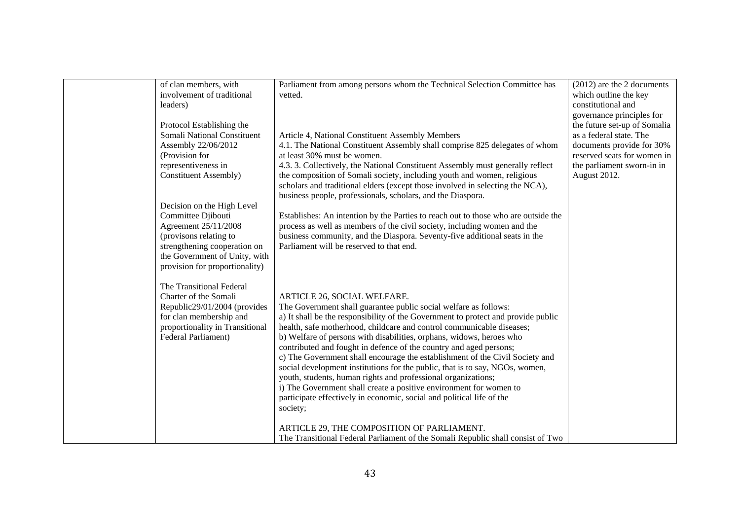| of clan members, with           | Parliament from among persons whom the Technical Selection Committee has           | (2012) are the 2 documents   |
|---------------------------------|------------------------------------------------------------------------------------|------------------------------|
| involvement of traditional      | vetted.                                                                            | which outline the key        |
| leaders)                        |                                                                                    | constitutional and           |
|                                 |                                                                                    | governance principles for    |
|                                 |                                                                                    | the future set-up of Somalia |
| Protocol Establishing the       |                                                                                    |                              |
| Somali National Constituent     | Article 4, National Constituent Assembly Members                                   | as a federal state. The      |
| Assembly 22/06/2012             | 4.1. The National Constituent Assembly shall comprise 825 delegates of whom        | documents provide for 30%    |
| (Provision for                  | at least 30% must be women.                                                        | reserved seats for women in  |
| representiveness in             | 4.3. 3. Collectively, the National Constituent Assembly must generally reflect     | the parliament sworn-in in   |
| <b>Constituent Assembly)</b>    | the composition of Somali society, including youth and women, religious            | August 2012.                 |
|                                 | scholars and traditional elders (except those involved in selecting the NCA),      |                              |
|                                 | business people, professionals, scholars, and the Diaspora.                        |                              |
| Decision on the High Level      |                                                                                    |                              |
| Committee Djibouti              | Establishes: An intention by the Parties to reach out to those who are outside the |                              |
| Agreement 25/11/2008            | process as well as members of the civil society, including women and the           |                              |
| (provisons relating to          | business community, and the Diaspora. Seventy-five additional seats in the         |                              |
| strengthening cooperation on    | Parliament will be reserved to that end.                                           |                              |
| the Government of Unity, with   |                                                                                    |                              |
| provision for proportionality)  |                                                                                    |                              |
|                                 |                                                                                    |                              |
| The Transitional Federal        |                                                                                    |                              |
| Charter of the Somali           | ARTICLE 26, SOCIAL WELFARE.                                                        |                              |
| Republic29/01/2004 (provides    | The Government shall guarantee public social welfare as follows:                   |                              |
| for clan membership and         | a) It shall be the responsibility of the Government to protect and provide public  |                              |
|                                 |                                                                                    |                              |
| proportionality in Transitional | health, safe motherhood, childcare and control communicable diseases;              |                              |
| Federal Parliament)             | b) Welfare of persons with disabilities, orphans, widows, heroes who               |                              |
|                                 | contributed and fought in defence of the country and aged persons;                 |                              |
|                                 | c) The Government shall encourage the establishment of the Civil Society and       |                              |
|                                 | social development institutions for the public, that is to say, NGOs, women,       |                              |
|                                 | youth, students, human rights and professional organizations;                      |                              |
|                                 | i) The Government shall create a positive environment for women to                 |                              |
|                                 | participate effectively in economic, social and political life of the              |                              |
|                                 | society;                                                                           |                              |
|                                 |                                                                                    |                              |
|                                 | ARTICLE 29, THE COMPOSITION OF PARLIAMENT.                                         |                              |
|                                 | The Transitional Federal Parliament of the Somali Republic shall consist of Two    |                              |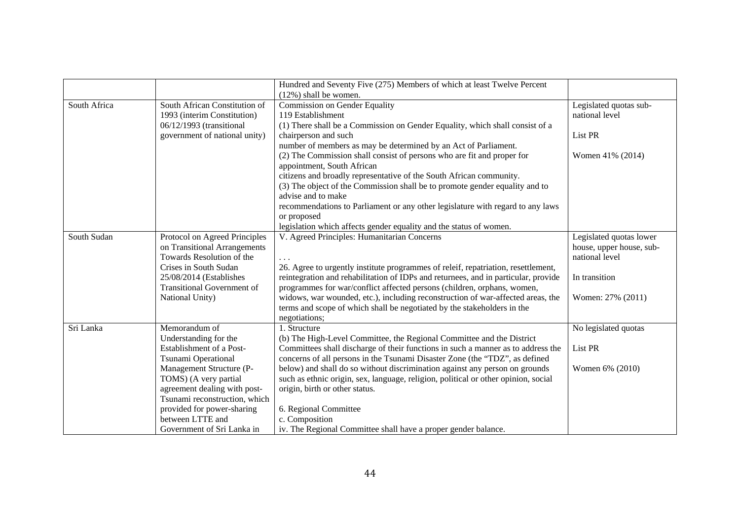|              |                                   | Hundred and Seventy Five (275) Members of which at least Twelve Percent            |                          |
|--------------|-----------------------------------|------------------------------------------------------------------------------------|--------------------------|
|              |                                   | $(12\%)$ shall be women.                                                           |                          |
| South Africa | South African Constitution of     | Commission on Gender Equality                                                      | Legislated quotas sub-   |
|              | 1993 (interim Constitution)       | 119 Establishment                                                                  | national level           |
|              | 06/12/1993 (transitional          | (1) There shall be a Commission on Gender Equality, which shall consist of a       |                          |
|              | government of national unity)     | chairperson and such                                                               | List PR                  |
|              |                                   | number of members as may be determined by an Act of Parliament.                    |                          |
|              |                                   | (2) The Commission shall consist of persons who are fit and proper for             | Women 41% (2014)         |
|              |                                   | appointment, South African                                                         |                          |
|              |                                   | citizens and broadly representative of the South African community.                |                          |
|              |                                   | (3) The object of the Commission shall be to promote gender equality and to        |                          |
|              |                                   | advise and to make                                                                 |                          |
|              |                                   | recommendations to Parliament or any other legislature with regard to any laws     |                          |
|              |                                   | or proposed                                                                        |                          |
|              |                                   | legislation which affects gender equality and the status of women.                 |                          |
| South Sudan  | Protocol on Agreed Principles     | V. Agreed Principles: Humanitarian Concerns                                        | Legislated quotas lower  |
|              | on Transitional Arrangements      |                                                                                    | house, upper house, sub- |
|              | Towards Resolution of the         |                                                                                    | national level           |
|              | Crises in South Sudan             | 26. Agree to urgently institute programmes of releif, repatriation, resettlement,  |                          |
|              | 25/08/2014 (Establishes           | reintegration and rehabilitation of IDPs and returnees, and in particular, provide | In transition            |
|              | <b>Transitional Government of</b> | programmes for war/conflict affected persons (children, orphans, women,            |                          |
|              | National Unity)                   | widows, war wounded, etc.), including reconstruction of war-affected areas, the    | Women: 27% (2011)        |
|              |                                   | terms and scope of which shall be negotiated by the stakeholders in the            |                          |
|              |                                   | negotiations;                                                                      |                          |
| Sri Lanka    | Memorandum of                     | 1. Structure                                                                       | No legislated quotas     |
|              | Understanding for the             | (b) The High-Level Committee, the Regional Committee and the District              |                          |
|              | Establishment of a Post-          | Committees shall discharge of their functions in such a manner as to address the   | List PR                  |
|              | Tsunami Operational               | concerns of all persons in the Tsunami Disaster Zone (the "TDZ", as defined        |                          |
|              | Management Structure (P-          | below) and shall do so without discrimination against any person on grounds        | Women 6% (2010)          |
|              | TOMS) (A very partial             | such as ethnic origin, sex, language, religion, political or other opinion, social |                          |
|              | agreement dealing with post-      | origin, birth or other status.                                                     |                          |
|              | Tsunami reconstruction, which     |                                                                                    |                          |
|              | provided for power-sharing        | 6. Regional Committee                                                              |                          |
|              | between LTTE and                  | c. Composition                                                                     |                          |
|              | Government of Sri Lanka in        | iv. The Regional Committee shall have a proper gender balance.                     |                          |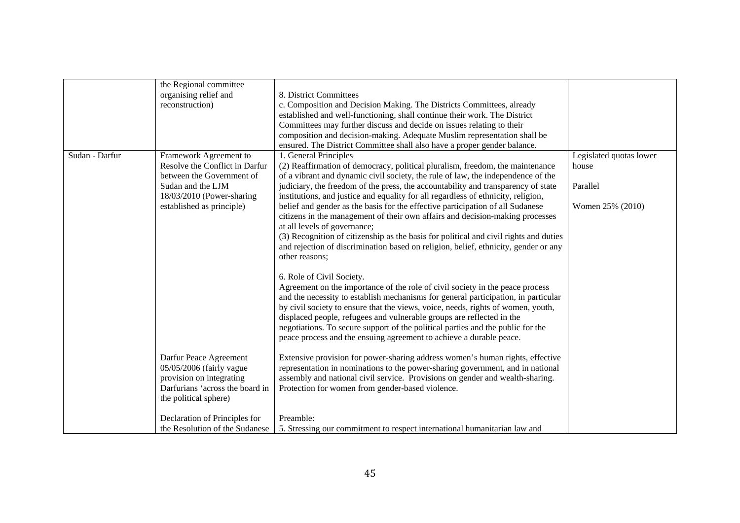|                | the Regional committee          |                                                                                       |                         |
|----------------|---------------------------------|---------------------------------------------------------------------------------------|-------------------------|
|                | organising relief and           | 8. District Committees                                                                |                         |
|                | reconstruction)                 | c. Composition and Decision Making. The Districts Committees, already                 |                         |
|                |                                 | established and well-functioning, shall continue their work. The District             |                         |
|                |                                 | Committees may further discuss and decide on issues relating to their                 |                         |
|                |                                 | composition and decision-making. Adequate Muslim representation shall be              |                         |
|                |                                 | ensured. The District Committee shall also have a proper gender balance.              |                         |
| Sudan - Darfur | Framework Agreement to          | 1. General Principles                                                                 | Legislated quotas lower |
|                | Resolve the Conflict in Darfur  | (2) Reaffirmation of democracy, political pluralism, freedom, the maintenance         | house                   |
|                | between the Government of       | of a vibrant and dynamic civil society, the rule of law, the independence of the      |                         |
|                | Sudan and the LJM               | judiciary, the freedom of the press, the accountability and transparency of state     | Parallel                |
|                | 18/03/2010 (Power-sharing       | institutions, and justice and equality for all regardless of ethnicity, religion,     |                         |
|                | established as principle)       | belief and gender as the basis for the effective participation of all Sudanese        | Women 25% (2010)        |
|                |                                 | citizens in the management of their own affairs and decision-making processes         |                         |
|                |                                 |                                                                                       |                         |
|                |                                 | at all levels of governance;                                                          |                         |
|                |                                 | (3) Recognition of citizenship as the basis for political and civil rights and duties |                         |
|                |                                 | and rejection of discrimination based on religion, belief, ethnicity, gender or any   |                         |
|                |                                 | other reasons;                                                                        |                         |
|                |                                 |                                                                                       |                         |
|                |                                 | 6. Role of Civil Society.                                                             |                         |
|                |                                 | Agreement on the importance of the role of civil society in the peace process         |                         |
|                |                                 | and the necessity to establish mechanisms for general participation, in particular    |                         |
|                |                                 | by civil society to ensure that the views, voice, needs, rights of women, youth,      |                         |
|                |                                 | displaced people, refugees and vulnerable groups are reflected in the                 |                         |
|                |                                 | negotiations. To secure support of the political parties and the public for the       |                         |
|                |                                 | peace process and the ensuing agreement to achieve a durable peace.                   |                         |
|                |                                 |                                                                                       |                         |
|                | Darfur Peace Agreement          | Extensive provision for power-sharing address women's human rights, effective         |                         |
|                | 05/05/2006 (fairly vague        | representation in nominations to the power-sharing government, and in national        |                         |
|                | provision on integrating        | assembly and national civil service. Provisions on gender and wealth-sharing.         |                         |
|                | Darfurians 'across the board in | Protection for women from gender-based violence.                                      |                         |
|                | the political sphere)           |                                                                                       |                         |
|                |                                 |                                                                                       |                         |
|                | Declaration of Principles for   | Preamble:                                                                             |                         |
|                | the Resolution of the Sudanese  | 5. Stressing our commitment to respect international humanitarian law and             |                         |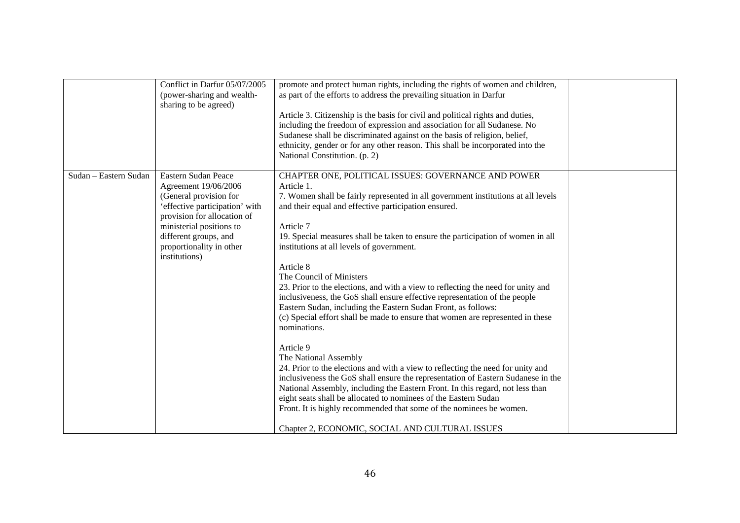|                       | Conflict in Darfur 05/07/2005<br>(power-sharing and wealth-<br>sharing to be agreed)                                                                                                                                                     | promote and protect human rights, including the rights of women and children,<br>as part of the efforts to address the prevailing situation in Darfur<br>Article 3. Citizenship is the basis for civil and political rights and duties,<br>including the freedom of expression and association for all Sudanese. No<br>Sudanese shall be discriminated against on the basis of religion, belief,<br>ethnicity, gender or for any other reason. This shall be incorporated into the<br>National Constitution. (p. 2)                                                                                                                                                                                                                                                                                                                                                                                                                                                                                                                                                                                                                                                                                                                  |  |
|-----------------------|------------------------------------------------------------------------------------------------------------------------------------------------------------------------------------------------------------------------------------------|--------------------------------------------------------------------------------------------------------------------------------------------------------------------------------------------------------------------------------------------------------------------------------------------------------------------------------------------------------------------------------------------------------------------------------------------------------------------------------------------------------------------------------------------------------------------------------------------------------------------------------------------------------------------------------------------------------------------------------------------------------------------------------------------------------------------------------------------------------------------------------------------------------------------------------------------------------------------------------------------------------------------------------------------------------------------------------------------------------------------------------------------------------------------------------------------------------------------------------------|--|
| Sudan - Eastern Sudan | Eastern Sudan Peace<br>Agreement 19/06/2006<br>(General provision for<br>'effective participation' with<br>provision for allocation of<br>ministerial positions to<br>different groups, and<br>proportionality in other<br>institutions) | CHAPTER ONE, POLITICAL ISSUES: GOVERNANCE AND POWER<br>Article 1.<br>7. Women shall be fairly represented in all government institutions at all levels<br>and their equal and effective participation ensured.<br>Article 7<br>19. Special measures shall be taken to ensure the participation of women in all<br>institutions at all levels of government.<br>Article 8<br>The Council of Ministers<br>23. Prior to the elections, and with a view to reflecting the need for unity and<br>inclusiveness, the GoS shall ensure effective representation of the people<br>Eastern Sudan, including the Eastern Sudan Front, as follows:<br>(c) Special effort shall be made to ensure that women are represented in these<br>nominations.<br>Article 9<br>The National Assembly<br>24. Prior to the elections and with a view to reflecting the need for unity and<br>inclusiveness the GoS shall ensure the representation of Eastern Sudanese in the<br>National Assembly, including the Eastern Front. In this regard, not less than<br>eight seats shall be allocated to nominees of the Eastern Sudan<br>Front. It is highly recommended that some of the nominees be women.<br>Chapter 2, ECONOMIC, SOCIAL AND CULTURAL ISSUES |  |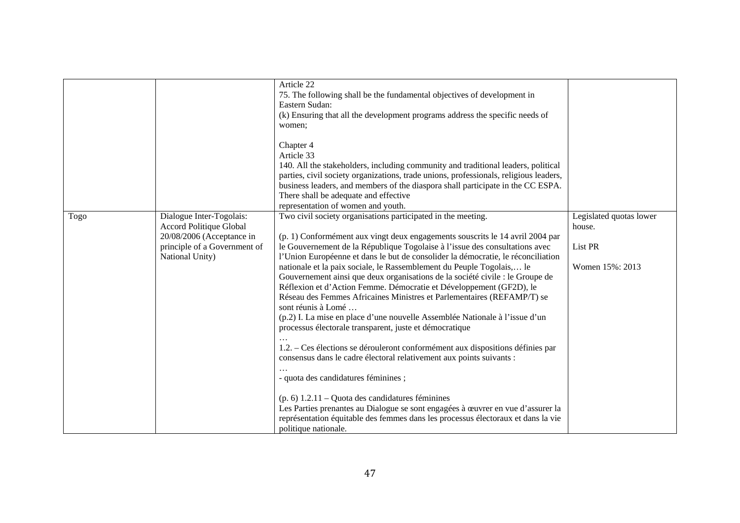|      |                                                                                                                                     | Article 22<br>75. The following shall be the fundamental objectives of development in<br>Eastern Sudan:<br>(k) Ensuring that all the development programs address the specific needs of<br>women;                                                                                                                                                                                                                                                                                                                                                                                                                                                                                                                                                                                                                                                                                                                                                                                                                                                                                                                                                                                                                                                  |                                                                 |
|------|-------------------------------------------------------------------------------------------------------------------------------------|----------------------------------------------------------------------------------------------------------------------------------------------------------------------------------------------------------------------------------------------------------------------------------------------------------------------------------------------------------------------------------------------------------------------------------------------------------------------------------------------------------------------------------------------------------------------------------------------------------------------------------------------------------------------------------------------------------------------------------------------------------------------------------------------------------------------------------------------------------------------------------------------------------------------------------------------------------------------------------------------------------------------------------------------------------------------------------------------------------------------------------------------------------------------------------------------------------------------------------------------------|-----------------------------------------------------------------|
|      |                                                                                                                                     | Chapter 4<br>Article 33<br>140. All the stakeholders, including community and traditional leaders, political<br>parties, civil society organizations, trade unions, professionals, religious leaders,<br>business leaders, and members of the diaspora shall participate in the CC ESPA.<br>There shall be adequate and effective<br>representation of women and youth.                                                                                                                                                                                                                                                                                                                                                                                                                                                                                                                                                                                                                                                                                                                                                                                                                                                                            |                                                                 |
| Togo | Dialogue Inter-Togolais:<br>Accord Politique Global<br>20/08/2006 (Acceptance in<br>principle of a Government of<br>National Unity) | Two civil society organisations participated in the meeting.<br>(p. 1) Conformément aux vingt deux engagements souscrits le 14 avril 2004 par<br>le Gouvernement de la République Togolaise à l'issue des consultations avec<br>l'Union Européenne et dans le but de consolider la démocratie, le réconciliation<br>nationale et la paix sociale, le Rassemblement du Peuple Togolais, le<br>Gouvernement ainsi que deux organisations de la société civile : le Groupe de<br>Réflexion et d'Action Femme. Démocratie et Développement (GF2D), le<br>Réseau des Femmes Africaines Ministres et Parlementaires (REFAMP/T) se<br>sont réunis à Lomé<br>(p.2) I. La mise en place d'une nouvelle Assemblée Nationale à l'issue d'un<br>processus électorale transparent, juste et démocratique<br>1.2. – Ces élections se dérouleront conformément aux dispositions définies par<br>consensus dans le cadre électoral relativement aux points suivants :<br>- quota des candidatures féminines ;<br>$(p. 6)$ 1.2.11 – Quota des candidatures féminines<br>Les Parties prenantes au Dialogue se sont engagées à œuvrer en vue d'assurer la<br>représentation équitable des femmes dans les processus électoraux et dans la vie<br>politique nationale. | Legislated quotas lower<br>house.<br>List PR<br>Women 15%: 2013 |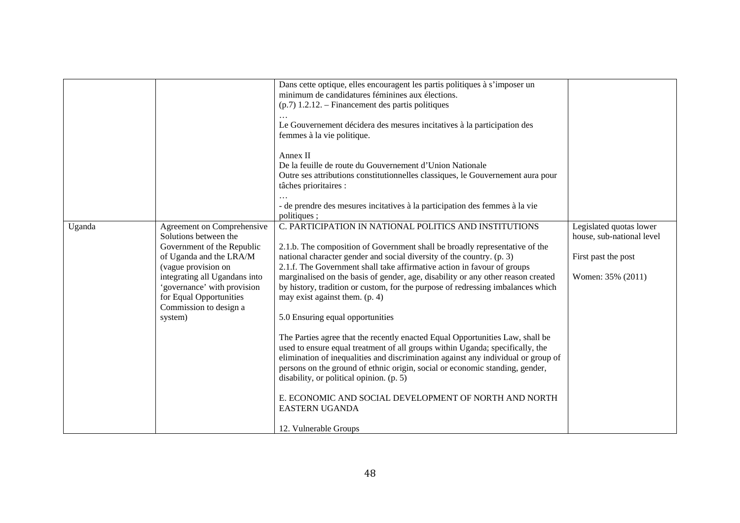|        |                                                                                                                                                                                                                                                                     | Dans cette optique, elles encouragent les partis politiques à s'imposer un<br>minimum de candidatures féminines aux élections.<br>$(p.7)$ 1.2.12. – Financement des partis politiques<br>Le Gouvernement décidera des mesures incitatives à la participation des<br>femmes à la vie politique.<br>Annex II<br>De la feuille de route du Gouvernement d'Union Nationale<br>Outre ses attributions constitutionnelles classiques, le Gouvernement aura pour                                                                                                                                                                                                                                                                                                                                                                                                                                                                                                                                                                            |                                                                                                  |
|--------|---------------------------------------------------------------------------------------------------------------------------------------------------------------------------------------------------------------------------------------------------------------------|--------------------------------------------------------------------------------------------------------------------------------------------------------------------------------------------------------------------------------------------------------------------------------------------------------------------------------------------------------------------------------------------------------------------------------------------------------------------------------------------------------------------------------------------------------------------------------------------------------------------------------------------------------------------------------------------------------------------------------------------------------------------------------------------------------------------------------------------------------------------------------------------------------------------------------------------------------------------------------------------------------------------------------------|--------------------------------------------------------------------------------------------------|
|        |                                                                                                                                                                                                                                                                     | tâches prioritaires :<br>- de prendre des mesures incitatives à la participation des femmes à la vie<br>politiques;                                                                                                                                                                                                                                                                                                                                                                                                                                                                                                                                                                                                                                                                                                                                                                                                                                                                                                                  |                                                                                                  |
| Uganda | Agreement on Comprehensive<br>Solutions between the<br>Government of the Republic<br>of Uganda and the LRA/M<br>(vague provision on<br>integrating all Ugandans into<br>'governance' with provision<br>for Equal Opportunities<br>Commission to design a<br>system) | C. PARTICIPATION IN NATIONAL POLITICS AND INSTITUTIONS<br>2.1.b. The composition of Government shall be broadly representative of the<br>national character gender and social diversity of the country. (p. 3)<br>2.1.f. The Government shall take affirmative action in favour of groups<br>marginalised on the basis of gender, age, disability or any other reason created<br>by history, tradition or custom, for the purpose of redressing imbalances which<br>may exist against them. (p. 4)<br>5.0 Ensuring equal opportunities<br>The Parties agree that the recently enacted Equal Opportunities Law, shall be<br>used to ensure equal treatment of all groups within Uganda; specifically, the<br>elimination of inequalities and discrimination against any individual or group of<br>persons on the ground of ethnic origin, social or economic standing, gender,<br>disability, or political opinion. (p. 5)<br>E. ECONOMIC AND SOCIAL DEVELOPMENT OF NORTH AND NORTH<br><b>EASTERN UGANDA</b><br>12. Vulnerable Groups | Legislated quotas lower<br>house, sub-national level<br>First past the post<br>Women: 35% (2011) |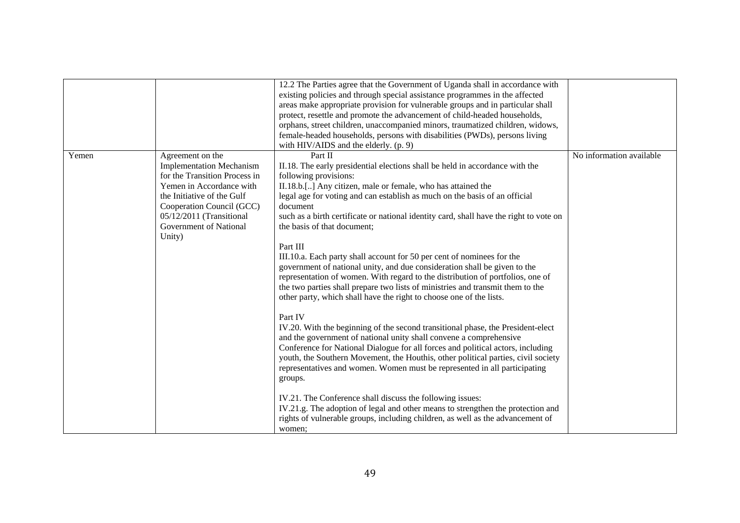|       |                                                                                                                                                                                                                                             | 12.2 The Parties agree that the Government of Uganda shall in accordance with<br>existing policies and through special assistance programmes in the affected<br>areas make appropriate provision for vulnerable groups and in particular shall<br>protect, resettle and promote the advancement of child-headed households,<br>orphans, street children, unaccompanied minors, traumatized children, widows,<br>female-headed households, persons with disabilities (PWDs), persons living<br>with HIV/AIDS and the elderly. (p. 9)                                                                                                                                                                                                                                                                                                                                                                                                                                                                                                                                                                                                                                                                                                                                                                                                                                                                                                                                                               |                          |
|-------|---------------------------------------------------------------------------------------------------------------------------------------------------------------------------------------------------------------------------------------------|---------------------------------------------------------------------------------------------------------------------------------------------------------------------------------------------------------------------------------------------------------------------------------------------------------------------------------------------------------------------------------------------------------------------------------------------------------------------------------------------------------------------------------------------------------------------------------------------------------------------------------------------------------------------------------------------------------------------------------------------------------------------------------------------------------------------------------------------------------------------------------------------------------------------------------------------------------------------------------------------------------------------------------------------------------------------------------------------------------------------------------------------------------------------------------------------------------------------------------------------------------------------------------------------------------------------------------------------------------------------------------------------------------------------------------------------------------------------------------------------------|--------------------------|
| Yemen | Agreement on the<br><b>Implementation Mechanism</b><br>for the Transition Process in<br>Yemen in Accordance with<br>the Initiative of the Gulf<br>Cooperation Council (GCC)<br>05/12/2011 (Transitional<br>Government of National<br>Unity) | Part II<br>II.18. The early presidential elections shall be held in accordance with the<br>following provisions:<br>II.18.b.[] Any citizen, male or female, who has attained the<br>legal age for voting and can establish as much on the basis of an official<br>document<br>such as a birth certificate or national identity card, shall have the right to vote on<br>the basis of that document;<br>Part III<br>III.10.a. Each party shall account for 50 per cent of nominees for the<br>government of national unity, and due consideration shall be given to the<br>representation of women. With regard to the distribution of portfolios, one of<br>the two parties shall prepare two lists of ministries and transmit them to the<br>other party, which shall have the right to choose one of the lists.<br>Part IV<br>IV.20. With the beginning of the second transitional phase, the President-elect<br>and the government of national unity shall convene a comprehensive<br>Conference for National Dialogue for all forces and political actors, including<br>youth, the Southern Movement, the Houthis, other political parties, civil society<br>representatives and women. Women must be represented in all participating<br>groups.<br>IV.21. The Conference shall discuss the following issues:<br>IV.21.g. The adoption of legal and other means to strengthen the protection and<br>rights of vulnerable groups, including children, as well as the advancement of<br>women: | No information available |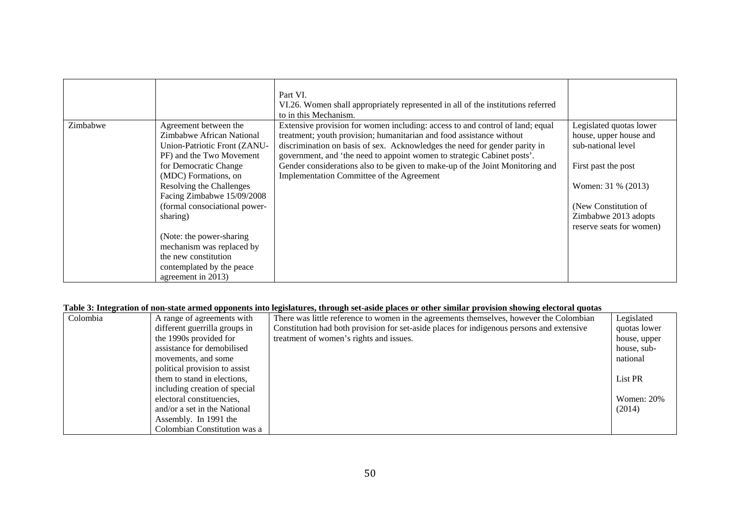|          |                                                                                                                                                                                                                                                                                                                                                                                                             | Part VI.<br>VI.26. Women shall appropriately represented in all of the institutions referred<br>to in this Mechanism.                                                                                                                                                                                                                                                                                                                        |                                                                                                                                                                                                  |
|----------|-------------------------------------------------------------------------------------------------------------------------------------------------------------------------------------------------------------------------------------------------------------------------------------------------------------------------------------------------------------------------------------------------------------|----------------------------------------------------------------------------------------------------------------------------------------------------------------------------------------------------------------------------------------------------------------------------------------------------------------------------------------------------------------------------------------------------------------------------------------------|--------------------------------------------------------------------------------------------------------------------------------------------------------------------------------------------------|
| Zimbabwe | Agreement between the<br>Zimbabwe African National<br>Union-Patriotic Front (ZANU-<br>PF) and the Two Movement<br>for Democratic Change<br>(MDC) Formations, on<br>Resolving the Challenges<br>Facing Zimbabwe 15/09/2008<br>(formal consociational power-<br>sharing)<br>(Note: the power-sharing)<br>mechanism was replaced by<br>the new constitution<br>contemplated by the peace<br>agreement in 2013) | Extensive provision for women including: access to and control of land; equal<br>treatment; youth provision; humanitarian and food assistance without<br>discrimination on basis of sex. Acknowledges the need for gender parity in<br>government, and 'the need to appoint women to strategic Cabinet posts'.<br>Gender considerations also to be given to make-up of the Joint Monitoring and<br>Implementation Committee of the Agreement | Legislated quotas lower<br>house, upper house and<br>sub-national level<br>First past the post<br>Women: 31 % (2013)<br>(New Constitution of<br>Zimbabwe 2013 adopts<br>reserve seats for women) |

#### **Table 3: Integration of non-state armed opponents into legislatures, through set-aside places or other similar provision showing electoral quotas**

| Colombia | A range of agreements with    | There was little reference to women in the agreements themselves, however the Colombian   | Legislated        |
|----------|-------------------------------|-------------------------------------------------------------------------------------------|-------------------|
|          | different guerrilla groups in | Constitution had both provision for set-aside places for indigenous persons and extensive | quotas lower      |
|          | the 1990s provided for        | treatment of women's rights and issues.                                                   | house, upper      |
|          | assistance for demobilised    |                                                                                           | house, sub-       |
|          | movements, and some           |                                                                                           | national          |
|          | political provision to assist |                                                                                           |                   |
|          | them to stand in elections,   |                                                                                           | List PR           |
|          | including creation of special |                                                                                           |                   |
|          | electoral constituencies,     |                                                                                           | <b>Women: 20%</b> |
|          | and/or a set in the National  |                                                                                           | (2014)            |
|          | Assembly. In 1991 the         |                                                                                           |                   |
|          | Colombian Constitution was a  |                                                                                           |                   |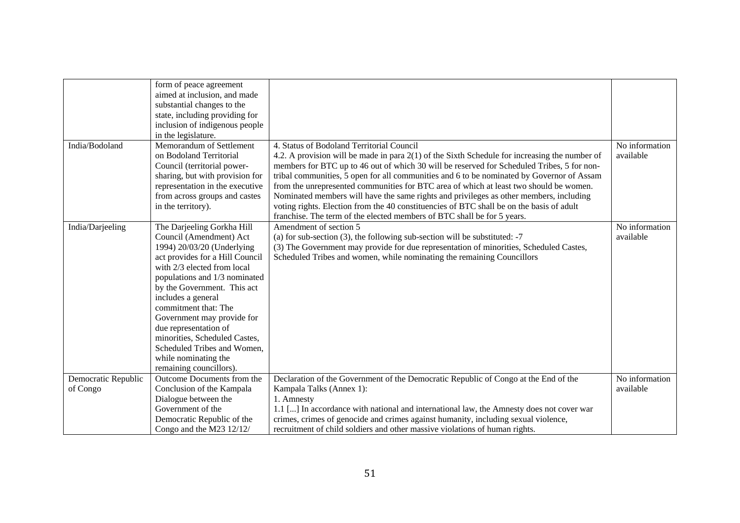|                     | form of peace agreement<br>aimed at inclusion, and made |                                                                                                 |                |
|---------------------|---------------------------------------------------------|-------------------------------------------------------------------------------------------------|----------------|
|                     | substantial changes to the                              |                                                                                                 |                |
|                     | state, including providing for                          |                                                                                                 |                |
|                     | inclusion of indigenous people                          |                                                                                                 |                |
|                     | in the legislature.                                     |                                                                                                 |                |
| India/Bodoland      | Memorandum of Settlement                                | 4. Status of Bodoland Territorial Council                                                       | No information |
|                     | on Bodoland Territorial                                 | 4.2. A provision will be made in para $2(1)$ of the Sixth Schedule for increasing the number of | available      |
|                     | Council (territorial power-                             | members for BTC up to 46 out of which 30 will be reserved for Scheduled Tribes, 5 for non-      |                |
|                     | sharing, but with provision for                         | tribal communities, 5 open for all communities and 6 to be nominated by Governor of Assam       |                |
|                     | representation in the executive                         | from the unrepresented communities for BTC area of which at least two should be women.          |                |
|                     | from across groups and castes                           | Nominated members will have the same rights and privileges as other members, including          |                |
|                     | in the territory).                                      | voting rights. Election from the 40 constituencies of BTC shall be on the basis of adult        |                |
|                     |                                                         | franchise. The term of the elected members of BTC shall be for 5 years.                         |                |
| India/Darjeeling    | The Darjeeling Gorkha Hill                              | Amendment of section 5                                                                          | No information |
|                     | Council (Amendment) Act                                 | (a) for sub-section $(3)$ , the following sub-section will be substituted: -7                   | available      |
|                     | 1994) 20/03/20 (Underlying                              | (3) The Government may provide for due representation of minorities, Scheduled Castes,          |                |
|                     | act provides for a Hill Council                         | Scheduled Tribes and women, while nominating the remaining Councillors                          |                |
|                     | with 2/3 elected from local                             |                                                                                                 |                |
|                     | populations and 1/3 nominated                           |                                                                                                 |                |
|                     | by the Government. This act                             |                                                                                                 |                |
|                     | includes a general                                      |                                                                                                 |                |
|                     | commitment that: The                                    |                                                                                                 |                |
|                     | Government may provide for                              |                                                                                                 |                |
|                     | due representation of                                   |                                                                                                 |                |
|                     | minorities, Scheduled Castes,                           |                                                                                                 |                |
|                     | Scheduled Tribes and Women,                             |                                                                                                 |                |
|                     | while nominating the                                    |                                                                                                 |                |
|                     | remaining councillors).                                 |                                                                                                 |                |
| Democratic Republic | Outcome Documents from the                              | Declaration of the Government of the Democratic Republic of Congo at the End of the             | No information |
| of Congo            | Conclusion of the Kampala                               | Kampala Talks (Annex 1):                                                                        | available      |
|                     | Dialogue between the                                    | 1. Amnesty                                                                                      |                |
|                     | Government of the                                       | 1.1 [] In accordance with national and international law, the Amnesty does not cover war        |                |
|                     | Democratic Republic of the                              | crimes, crimes of genocide and crimes against humanity, including sexual violence,              |                |
|                     | Congo and the M23 12/12/                                | recruitment of child soldiers and other massive violations of human rights.                     |                |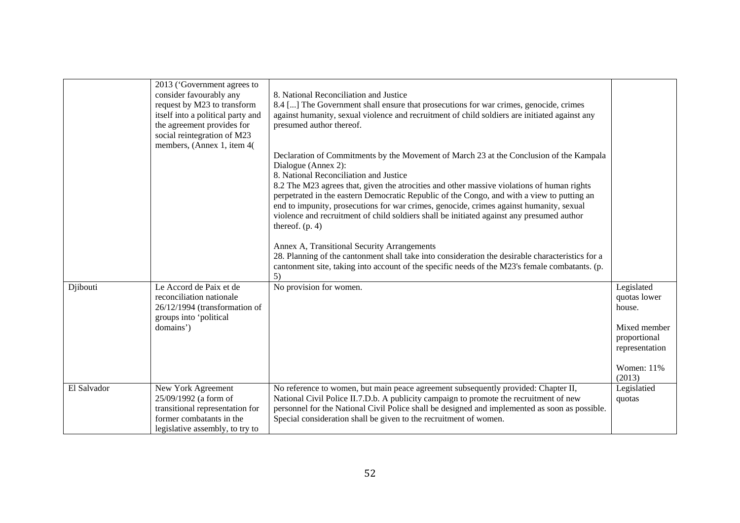|             | 2013 ('Government agrees to<br>consider favourably any<br>request by M23 to transform<br>itself into a political party and<br>the agreement provides for<br>social reintegration of M23<br>members, (Annex 1, item 4( | 8. National Reconciliation and Justice<br>8.4 [] The Government shall ensure that prosecutions for war crimes, genocide, crimes<br>against humanity, sexual violence and recruitment of child soldiers are initiated against any<br>presumed author thereof.<br>Declaration of Commitments by the Movement of March 23 at the Conclusion of the Kampala<br>Dialogue (Annex 2):<br>8. National Reconciliation and Justice<br>8.2 The M23 agrees that, given the atrocities and other massive violations of human rights<br>perpetrated in the eastern Democratic Republic of the Congo, and with a view to putting an<br>end to impunity, prosecutions for war crimes, genocide, crimes against humanity, sexual<br>violence and recruitment of child soldiers shall be initiated against any presumed author<br>thereof. $(p. 4)$<br>Annex A, Transitional Security Arrangements<br>28. Planning of the cantonment shall take into consideration the desirable characteristics for a<br>cantonment site, taking into account of the specific needs of the M23's female combatants. (p. |                                                                                                                   |
|-------------|-----------------------------------------------------------------------------------------------------------------------------------------------------------------------------------------------------------------------|----------------------------------------------------------------------------------------------------------------------------------------------------------------------------------------------------------------------------------------------------------------------------------------------------------------------------------------------------------------------------------------------------------------------------------------------------------------------------------------------------------------------------------------------------------------------------------------------------------------------------------------------------------------------------------------------------------------------------------------------------------------------------------------------------------------------------------------------------------------------------------------------------------------------------------------------------------------------------------------------------------------------------------------------------------------------------------------|-------------------------------------------------------------------------------------------------------------------|
| Djibouti    | Le Accord de Paix et de<br>reconciliation nationale<br>26/12/1994 (transformation of<br>groups into 'political<br>domains')                                                                                           | 5)<br>No provision for women.                                                                                                                                                                                                                                                                                                                                                                                                                                                                                                                                                                                                                                                                                                                                                                                                                                                                                                                                                                                                                                                          | Legislated<br>quotas lower<br>house.<br>Mixed member<br>proportional<br>representation<br>Women: $11\%$<br>(2013) |
| El Salvador | New York Agreement<br>25/09/1992 (a form of<br>transitional representation for<br>former combatants in the<br>legislative assembly, to try to                                                                         | No reference to women, but main peace agreement subsequently provided: Chapter II,<br>National Civil Police II.7.D.b. A publicity campaign to promote the recruitment of new<br>personnel for the National Civil Police shall be designed and implemented as soon as possible.<br>Special consideration shall be given to the recruitment of women.                                                                                                                                                                                                                                                                                                                                                                                                                                                                                                                                                                                                                                                                                                                                    | Legislatied<br>quotas                                                                                             |